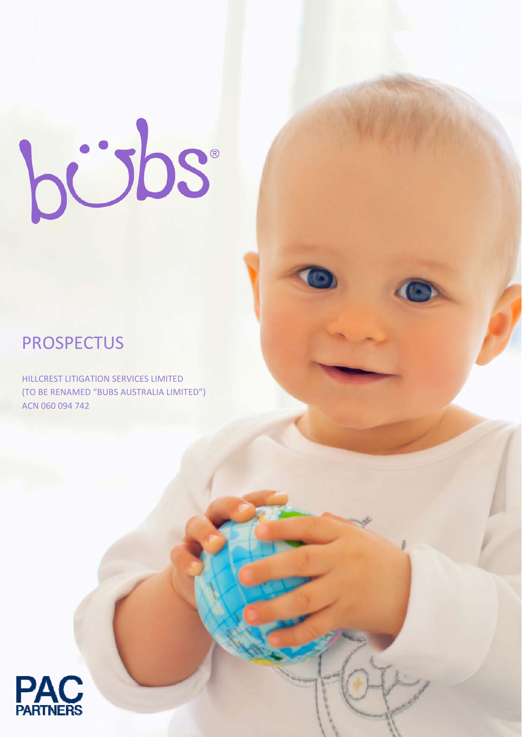# bübs

# PROSPECTUS

HILLCREST LITIGATION SERVICES LIMITED (TO BE RENAMED "BUBS AUSTRALIA LIMITED") ACN 060 094 742

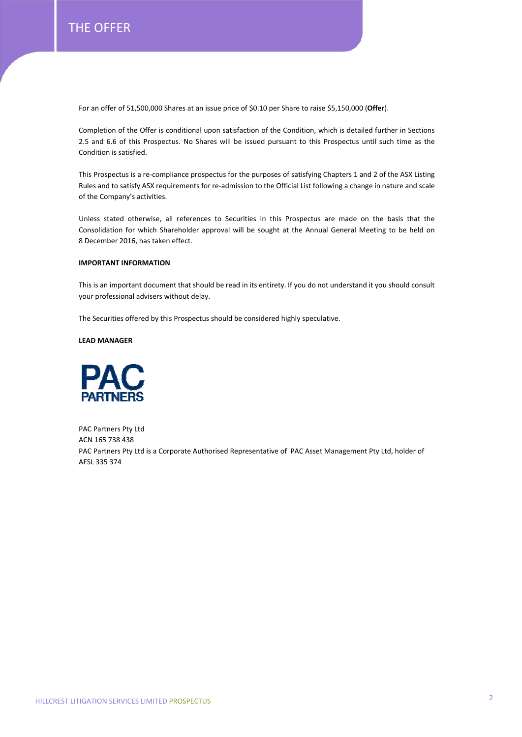For an offer of 51,500,000 Shares at an issue price of \$0.10 per Share to raise \$5,150,000 (**Offer**).

Completion of the Offer is conditional upon satisfaction of the Condition, which is detailed further in Sections 2.5 and 6.6 of this Prospectus. No Shares will be issued pursuant to this Prospectus until such time as the Condition is satisfied.

This Prospectus is a re-compliance prospectus for the purposes of satisfying Chapters 1 and 2 of the ASX Listing Rules and to satisfy ASX requirements for re‐admission to the Official List following a change in nature and scale of the Company's activities.

Unless stated otherwise, all references to Securities in this Prospectus are made on the basis that the Consolidation for which Shareholder approval will be sought at the Annual General Meeting to be held on 8 December 2016, has taken effect.

# **IMPORTANT INFORMATION**

This is an important document that should be read in its entirety. If you do not understand it you should consult your professional advisers without delay.

The Securities offered by this Prospectus should be considered highly speculative.

**LEAD MANAGER**



PAC Partners Pty Ltd ACN 165 738 438 PAC Partners Pty Ltd is a Corporate Authorised Representative of PAC Asset Management Pty Ltd, holder of AFSL 335 374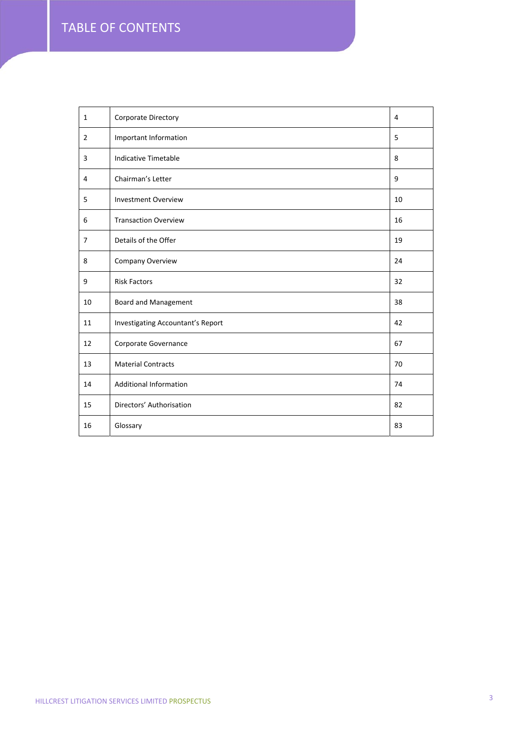| $\mathbf{1}$   | Corporate Directory               | 4  |
|----------------|-----------------------------------|----|
| $\overline{2}$ | Important Information             | 5  |
| 3              | Indicative Timetable              | 8  |
| 4              | Chairman's Letter                 | 9  |
| 5              | <b>Investment Overview</b>        | 10 |
| 6              | <b>Transaction Overview</b>       | 16 |
| $\overline{7}$ | Details of the Offer              | 19 |
| 8              | Company Overview                  | 24 |
|                |                                   |    |
| 9              | <b>Risk Factors</b>               | 32 |
| 10             | Board and Management              | 38 |
| 11             | Investigating Accountant's Report | 42 |
| 12             | Corporate Governance              | 67 |
| 13             | <b>Material Contracts</b>         | 70 |
| 14             | <b>Additional Information</b>     | 74 |
| 15             | Directors' Authorisation          | 82 |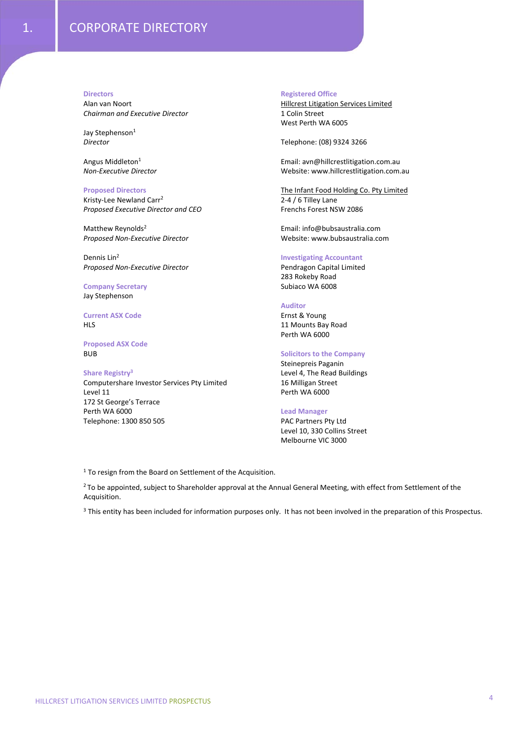#### **Directors**

Alan van Noort *Chairman and Executive Director*

Jay Stephenson<sup>1</sup> *Director*

Angus Middleton1 *Non‐Executive Director* 

# **Proposed Directors**

Kristy‐Lee Newland Carr2 *Proposed Executive Director and CEO*

Matthew Reynolds<sup>2</sup> *Proposed Non‐Executive Director*

Dennis Lin<sup>2</sup> *Proposed Non‐Executive Director*

#### **Company Secretary** Jay Stephenson

# **Current ASX Code** HLS

**Proposed ASX Code** BUB

#### **Share Registry3**

Computershare Investor Services Pty Limited Level 11 172 St George's Terrace Perth WA 6000 Telephone: 1300 850 505

# **Registered Office**

Hillcrest Litigation Services Limited 1 Colin Street West Perth WA 6005

Telephone: (08) 9324 3266

Email: avn@hillcrestlitigation.com.au Website: www.hillcrestlitigation.com.au

The Infant Food Holding Co. Pty Limited 2‐4 / 6 Tilley Lane Frenchs Forest NSW 2086

Email: info@bubsaustralia.com Website: www.bubsaustralia.com

# **Investigating Accountant**

Pendragon Capital Limited 283 Rokeby Road Subiaco WA 6008

#### **Auditor**

Ernst & Young 11 Mounts Bay Road Perth WA 6000

# **Solicitors to the Company**

Steinepreis Paganin Level 4, The Read Buildings 16 Milligan Street Perth WA 6000

#### **Lead Manager**

PAC Partners Pty Ltd Level 10, 330 Collins Street Melbourne VIC 3000

<sup>1</sup> To resign from the Board on Settlement of the Acquisition.

<sup>2</sup> To be appointed, subject to Shareholder approval at the Annual General Meeting, with effect from Settlement of the Acquisition.

<sup>3</sup> This entity has been included for information purposes only. It has not been involved in the preparation of this Prospectus.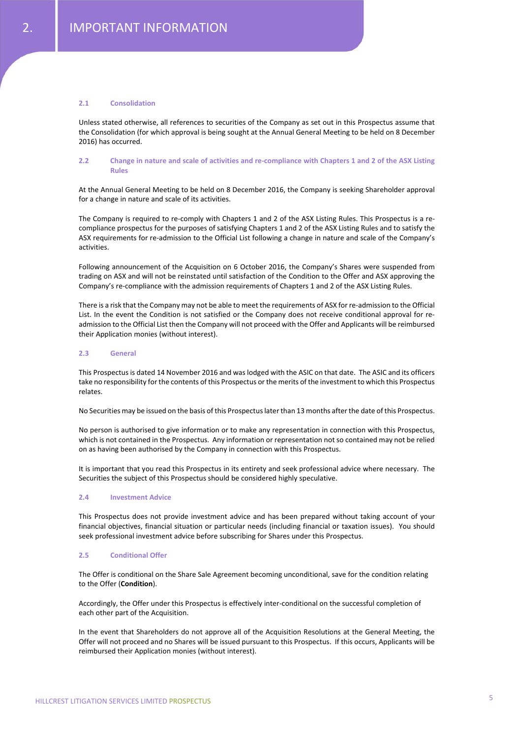# **2.1 Consolidation**

Unless stated otherwise, all references to securities of the Company as set out in this Prospectus assume that the Consolidation (for which approval is being sought at the Annual General Meeting to be held on 8 December 2016) has occurred.

# 2.2 Change in nature and scale of activities and re-compliance with Chapters 1 and 2 of the ASX Listing **Rules**

At the Annual General Meeting to be held on 8 December 2016, the Company is seeking Shareholder approval for a change in nature and scale of its activities.

The Company is required to re-comply with Chapters 1 and 2 of the ASX Listing Rules. This Prospectus is a recompliance prospectus for the purposes of satisfying Chapters 1 and 2 of the ASX Listing Rules and to satisfy the ASX requirements for re‐admission to the Official List following a change in nature and scale of the Company's activities.

Following announcement of the Acquisition on 6 October 2016, the Company's Shares were suspended from trading on ASX and will not be reinstated until satisfaction of the Condition to the Offer and ASX approving the Company's re-compliance with the admission requirements of Chapters 1 and 2 of the ASX Listing Rules.

There is a risk that the Company may not be able to meet the requirements of ASX for re-admission to the Official List. In the event the Condition is not satisfied or the Company does not receive conditional approval for re‐ admission to the Official List then the Company will not proceed with the Offer and Applicants will be reimbursed their Application monies (without interest).

#### **2.3 General**

This Prospectus is dated 14 November 2016 and was lodged with the ASIC on that date. The ASIC and its officers take no responsibility for the contents of this Prospectus orthe merits of the investment to which this Prospectus relates.

No Securities may be issued on the basis of this Prospectuslaterthan 13 months afterthe date of this Prospectus.

No person is authorised to give information or to make any representation in connection with this Prospectus, which is not contained in the Prospectus. Any information or representation not so contained may not be relied on as having been authorised by the Company in connection with this Prospectus.

It is important that you read this Prospectus in its entirety and seek professional advice where necessary. The Securities the subject of this Prospectus should be considered highly speculative.

#### **2.4 Investment Advice**

This Prospectus does not provide investment advice and has been prepared without taking account of your financial objectives, financial situation or particular needs (including financial or taxation issues). You should seek professional investment advice before subscribing for Shares under this Prospectus.

#### **2.5 Conditional Offer**

The Offer is conditional on the Share Sale Agreement becoming unconditional, save for the condition relating to the Offer (**Condition**).

Accordingly, the Offer under this Prospectus is effectively inter‐conditional on the successful completion of each other part of the Acquisition.

In the event that Shareholders do not approve all of the Acquisition Resolutions at the General Meeting, the Offer will not proceed and no Shares will be issued pursuant to this Prospectus. If this occurs, Applicants will be reimbursed their Application monies (without interest).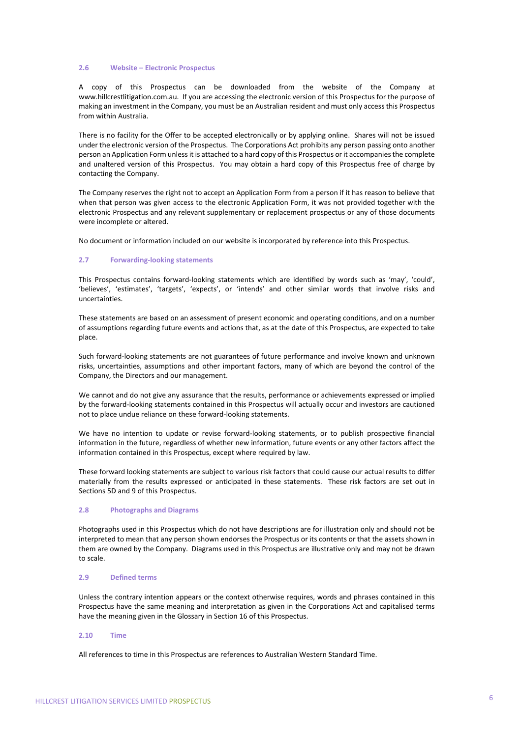#### **2.6 Website – Electronic Prospectus**

A copy of this Prospectus can be downloaded from the website of the Company at www.hillcrestlitigation.com.au. If you are accessing the electronic version of this Prospectus for the purpose of making an investment in the Company, you must be an Australian resident and must only access this Prospectus from within Australia.

There is no facility for the Offer to be accepted electronically or by applying online. Shares will not be issued under the electronic version of the Prospectus. The Corporations Act prohibits any person passing onto another person an Application Form unlessit is attached to a hard copy of this Prospectus or it accompaniesthe complete and unaltered version of this Prospectus. You may obtain a hard copy of this Prospectus free of charge by contacting the Company.

The Company reserves the right not to accept an Application Form from a person if it has reason to believe that when that person was given access to the electronic Application Form, it was not provided together with the electronic Prospectus and any relevant supplementary or replacement prospectus or any of those documents were incomplete or altered.

No document or information included on our website is incorporated by reference into this Prospectus.

#### **2.7 Forwarding‐looking statements**

This Prospectus contains forward-looking statements which are identified by words such as 'may', 'could', 'believes', 'estimates', 'targets', 'expects', or 'intends' and other similar words that involve risks and uncertainties.

These statements are based on an assessment of present economic and operating conditions, and on a number of assumptions regarding future events and actions that, as at the date of this Prospectus, are expected to take place.

Such forward‐looking statements are not guarantees of future performance and involve known and unknown risks, uncertainties, assumptions and other important factors, many of which are beyond the control of the Company, the Directors and our management.

We cannot and do not give any assurance that the results, performance or achievements expressed or implied by the forward‐looking statements contained in this Prospectus will actually occur and investors are cautioned not to place undue reliance on these forward‐looking statements.

We have no intention to update or revise forward-looking statements, or to publish prospective financial information in the future, regardless of whether new information, future events or any other factors affect the information contained in this Prospectus, except where required by law.

These forward looking statements are subject to various risk factors that could cause our actual results to differ materially from the results expressed or anticipated in these statements. These risk factors are set out in Sections 5D and 9 of this Prospectus.

# **2.8 Photographs and Diagrams**

Photographs used in this Prospectus which do not have descriptions are for illustration only and should not be interpreted to mean that any person shown endorses the Prospectus or its contents or that the assets shown in them are owned by the Company. Diagrams used in this Prospectus are illustrative only and may not be drawn to scale.

#### **2.9 Defined terms**

Unless the contrary intention appears or the context otherwise requires, words and phrases contained in this Prospectus have the same meaning and interpretation as given in the Corporations Act and capitalised terms have the meaning given in the Glossary in Section 16 of this Prospectus.

# **2.10 Time**

All references to time in this Prospectus are references to Australian Western Standard Time.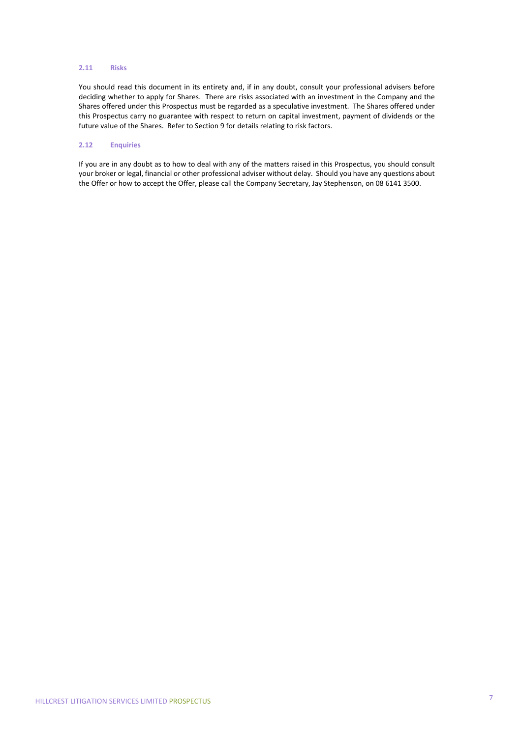### **2.11 Risks**

You should read this document in its entirety and, if in any doubt, consult your professional advisers before deciding whether to apply for Shares. There are risks associated with an investment in the Company and the Shares offered under this Prospectus must be regarded as a speculative investment. The Shares offered under this Prospectus carry no guarantee with respect to return on capital investment, payment of dividends or the future value of the Shares. Refer to Section 9 for details relating to risk factors.

# **2.12 Enquiries**

If you are in any doubt as to how to deal with any of the matters raised in this Prospectus, you should consult your broker or legal, financial or other professional adviser without delay. Should you have any questions about the Offer or how to accept the Offer, please call the Company Secretary, Jay Stephenson, on 08 6141 3500.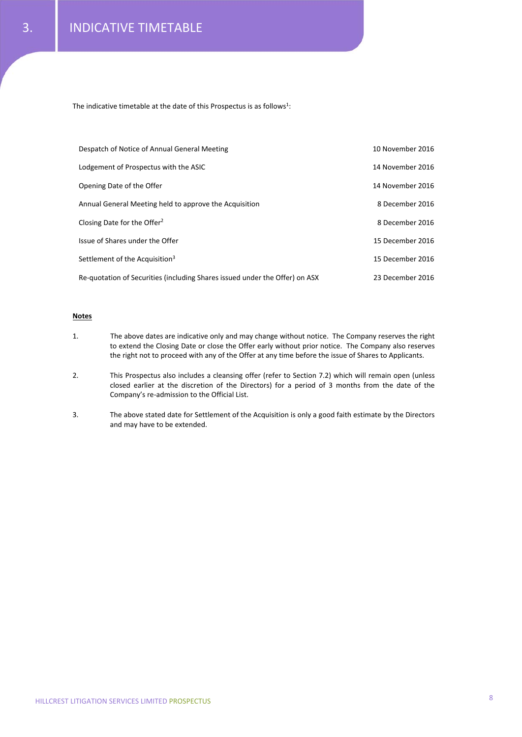The indicative timetable at the date of this Prospectus is as follows<sup>1</sup>:

| Despatch of Notice of Annual General Meeting                                | 10 November 2016 |
|-----------------------------------------------------------------------------|------------------|
| Lodgement of Prospectus with the ASIC                                       | 14 November 2016 |
| Opening Date of the Offer                                                   | 14 November 2016 |
| Annual General Meeting held to approve the Acquisition                      | 8 December 2016  |
| Closing Date for the Offer <sup>2</sup>                                     | 8 December 2016  |
| Issue of Shares under the Offer                                             | 15 December 2016 |
| Settlement of the Acquisition <sup>3</sup>                                  | 15 December 2016 |
| Re-quotation of Securities (including Shares issued under the Offer) on ASX | 23 December 2016 |

# **Notes**

- 1. The above dates are indicative only and may change without notice. The Company reserves the right to extend the Closing Date or close the Offer early without prior notice. The Company also reserves the right not to proceed with any of the Offer at any time before the issue of Shares to Applicants.
- 2. This Prospectus also includes a cleansing offer (refer to Section 7.2) which will remain open (unless closed earlier at the discretion of the Directors) for a period of 3 months from the date of the Company's re‐admission to the Official List.
- 3. The above stated date for Settlement of the Acquisition is only a good faith estimate by the Directors and may have to be extended.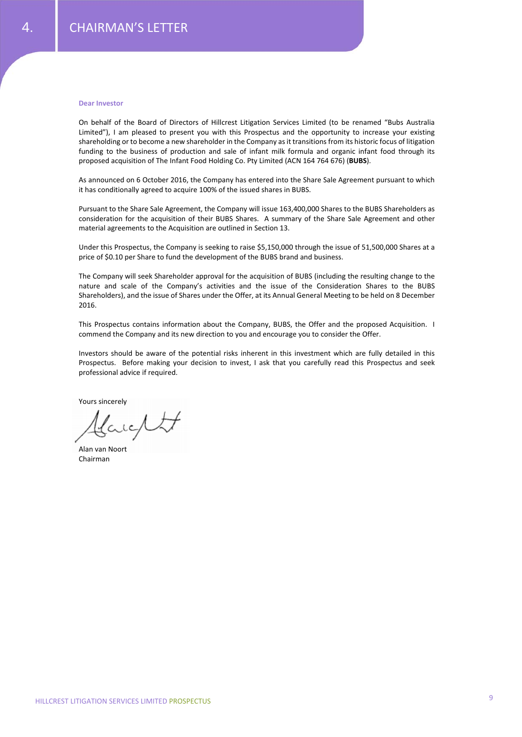#### **Dear Investor**

On behalf of the Board of Directors of Hillcrest Litigation Services Limited (to be renamed "Bubs Australia Limited"), I am pleased to present you with this Prospectus and the opportunity to increase your existing shareholding or to become a new shareholder in the Company as it transitions from its historic focus of litigation funding to the business of production and sale of infant milk formula and organic infant food through its proposed acquisition of The Infant Food Holding Co. Pty Limited (ACN 164 764 676) (**BUBS**).

As announced on 6 October 2016, the Company has entered into the Share Sale Agreement pursuant to which it has conditionally agreed to acquire 100% of the issued shares in BUBS.

Pursuant to the Share Sale Agreement, the Company will issue 163,400,000 Shares to the BUBS Shareholders as consideration for the acquisition of their BUBS Shares. A summary of the Share Sale Agreement and other material agreements to the Acquisition are outlined in Section 13.

Under this Prospectus, the Company is seeking to raise \$5,150,000 through the issue of 51,500,000 Shares at a price of \$0.10 per Share to fund the development of the BUBS brand and business.

The Company will seek Shareholder approval for the acquisition of BUBS (including the resulting change to the nature and scale of the Company's activities and the issue of the Consideration Shares to the BUBS Shareholders), and the issue of Shares under the Offer, at its Annual General Meeting to be held on 8 December 2016.

This Prospectus contains information about the Company, BUBS, the Offer and the proposed Acquisition. I commend the Company and its new direction to you and encourage you to consider the Offer.

Investors should be aware of the potential risks inherent in this investment which are fully detailed in this Prospectus. Before making your decision to invest, I ask that you carefully read this Prospectus and seek professional advice if required.

Yours sincerely

ic/t

Alan van Noort Chairman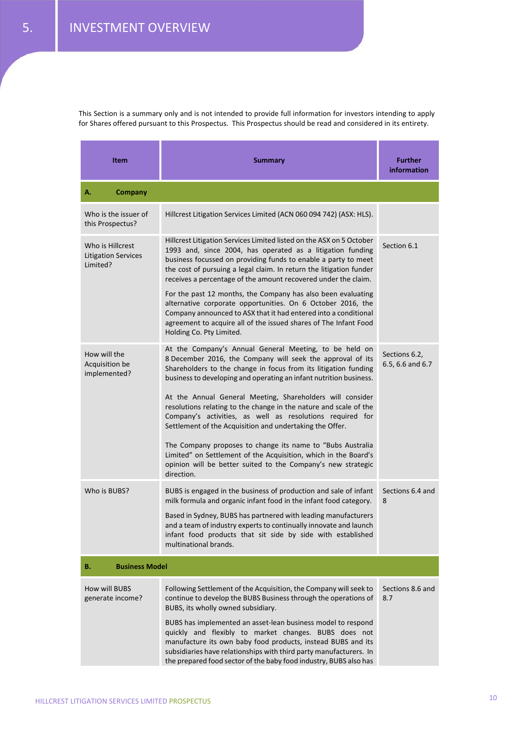This Section is a summary only and is not intended to provide full information for investors intending to apply for Shares offered pursuant to this Prospectus. This Prospectus should be read and considered in its entirety.

| <b>Item</b>                                                | Summary                                                                                                                                                                                                                                                                                                                                       | <b>Further</b><br>information     |  |
|------------------------------------------------------------|-----------------------------------------------------------------------------------------------------------------------------------------------------------------------------------------------------------------------------------------------------------------------------------------------------------------------------------------------|-----------------------------------|--|
| А.<br><b>Company</b>                                       |                                                                                                                                                                                                                                                                                                                                               |                                   |  |
| Who is the issuer of<br>this Prospectus?                   | Hillcrest Litigation Services Limited (ACN 060 094 742) (ASX: HLS).                                                                                                                                                                                                                                                                           |                                   |  |
| Who is Hillcrest<br><b>Litigation Services</b><br>Limited? | Hillcrest Litigation Services Limited listed on the ASX on 5 October<br>1993 and, since 2004, has operated as a litigation funding<br>business focussed on providing funds to enable a party to meet<br>the cost of pursuing a legal claim. In return the litigation funder<br>receives a percentage of the amount recovered under the claim. | Section 6.1                       |  |
|                                                            | For the past 12 months, the Company has also been evaluating<br>alternative corporate opportunities. On 6 October 2016, the<br>Company announced to ASX that it had entered into a conditional<br>agreement to acquire all of the issued shares of The Infant Food<br>Holding Co. Pty Limited.                                                |                                   |  |
| How will the<br>Acquisition be<br>implemented?             | At the Company's Annual General Meeting, to be held on<br>8 December 2016, the Company will seek the approval of its<br>Shareholders to the change in focus from its litigation funding<br>business to developing and operating an infant nutrition business.                                                                                 | Sections 6.2,<br>6.5, 6.6 and 6.7 |  |
|                                                            | At the Annual General Meeting, Shareholders will consider<br>resolutions relating to the change in the nature and scale of the<br>Company's activities, as well as resolutions required for<br>Settlement of the Acquisition and undertaking the Offer.                                                                                       |                                   |  |
|                                                            | The Company proposes to change its name to "Bubs Australia<br>Limited" on Settlement of the Acquisition, which in the Board's<br>opinion will be better suited to the Company's new strategic<br>direction.                                                                                                                                   |                                   |  |
| Who is BUBS?                                               | BUBS is engaged in the business of production and sale of infant<br>milk formula and organic infant food in the infant food category.                                                                                                                                                                                                         | Sections 6.4 and<br>8             |  |
|                                                            | Based in Sydney, BUBS has partnered with leading manufacturers<br>and a team of industry experts to continually innovate and launch<br>infant food products that sit side by side with established<br>multinational brands.                                                                                                                   |                                   |  |
| <b>Business Model</b><br>В.                                |                                                                                                                                                                                                                                                                                                                                               |                                   |  |
| How will BUBS<br>generate income?                          | Following Settlement of the Acquisition, the Company will seek to<br>continue to develop the BUBS Business through the operations of<br>BUBS, its wholly owned subsidiary.                                                                                                                                                                    | Sections 8.6 and<br>8.7           |  |
|                                                            | BUBS has implemented an asset-lean business model to respond<br>quickly and flexibly to market changes. BUBS does not<br>manufacture its own baby food products, instead BUBS and its<br>subsidiaries have relationships with third party manufacturers. In<br>the prepared food sector of the baby food industry, BUBS also has              |                                   |  |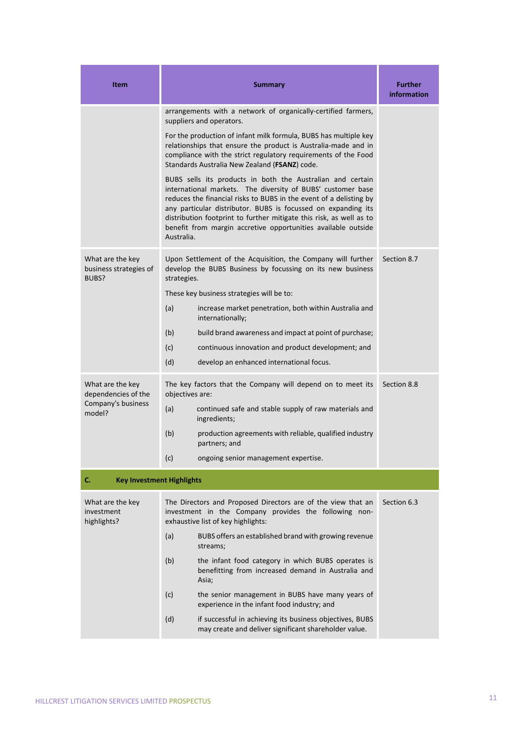| <b>Item</b>                                         | <b>Summary</b>                                                                                                                                                                                                                                                                                                                                                                                                         | <b>Further</b><br>information |  |
|-----------------------------------------------------|------------------------------------------------------------------------------------------------------------------------------------------------------------------------------------------------------------------------------------------------------------------------------------------------------------------------------------------------------------------------------------------------------------------------|-------------------------------|--|
|                                                     | arrangements with a network of organically-certified farmers,<br>suppliers and operators.                                                                                                                                                                                                                                                                                                                              |                               |  |
|                                                     | For the production of infant milk formula, BUBS has multiple key<br>relationships that ensure the product is Australia-made and in<br>compliance with the strict regulatory requirements of the Food<br>Standards Australia New Zealand (FSANZ) code.                                                                                                                                                                  |                               |  |
|                                                     | BUBS sells its products in both the Australian and certain<br>international markets. The diversity of BUBS' customer base<br>reduces the financial risks to BUBS in the event of a delisting by<br>any particular distributor. BUBS is focussed on expanding its<br>distribution footprint to further mitigate this risk, as well as to<br>benefit from margin accretive opportunities available outside<br>Australia. |                               |  |
| What are the key<br>business strategies of<br>BUBS? | Upon Settlement of the Acquisition, the Company will further<br>develop the BUBS Business by focussing on its new business<br>strategies.                                                                                                                                                                                                                                                                              | Section 8.7                   |  |
|                                                     | These key business strategies will be to:                                                                                                                                                                                                                                                                                                                                                                              |                               |  |
|                                                     | (a)<br>increase market penetration, both within Australia and<br>internationally;                                                                                                                                                                                                                                                                                                                                      |                               |  |
|                                                     | (b)<br>build brand awareness and impact at point of purchase;                                                                                                                                                                                                                                                                                                                                                          |                               |  |
|                                                     | (c)<br>continuous innovation and product development; and                                                                                                                                                                                                                                                                                                                                                              |                               |  |
|                                                     | (d)<br>develop an enhanced international focus.                                                                                                                                                                                                                                                                                                                                                                        |                               |  |
| What are the key<br>dependencies of the             | The key factors that the Company will depend on to meet its<br>objectives are:                                                                                                                                                                                                                                                                                                                                         | Section 8.8                   |  |
| Company's business<br>model?                        | continued safe and stable supply of raw materials and<br>(a)<br>ingredients;                                                                                                                                                                                                                                                                                                                                           |                               |  |
|                                                     | (b)<br>production agreements with reliable, qualified industry<br>partners; and                                                                                                                                                                                                                                                                                                                                        |                               |  |
|                                                     | (c)<br>ongoing senior management expertise.                                                                                                                                                                                                                                                                                                                                                                            |                               |  |
| C.<br><b>Key Investment Highlights</b>              |                                                                                                                                                                                                                                                                                                                                                                                                                        |                               |  |
| What are the key<br>investment<br>highlights?       | The Directors and Proposed Directors are of the view that an<br>investment in the Company provides the following non-<br>exhaustive list of key highlights:                                                                                                                                                                                                                                                            | Section 6.3                   |  |
|                                                     | (a)<br>BUBS offers an established brand with growing revenue<br>streams;                                                                                                                                                                                                                                                                                                                                               |                               |  |
|                                                     | (b)<br>the infant food category in which BUBS operates is<br>benefitting from increased demand in Australia and<br>Asia;                                                                                                                                                                                                                                                                                               |                               |  |
|                                                     | (c)<br>the senior management in BUBS have many years of<br>experience in the infant food industry; and                                                                                                                                                                                                                                                                                                                 |                               |  |
|                                                     | (d)<br>if successful in achieving its business objectives, BUBS<br>may create and deliver significant shareholder value.                                                                                                                                                                                                                                                                                               |                               |  |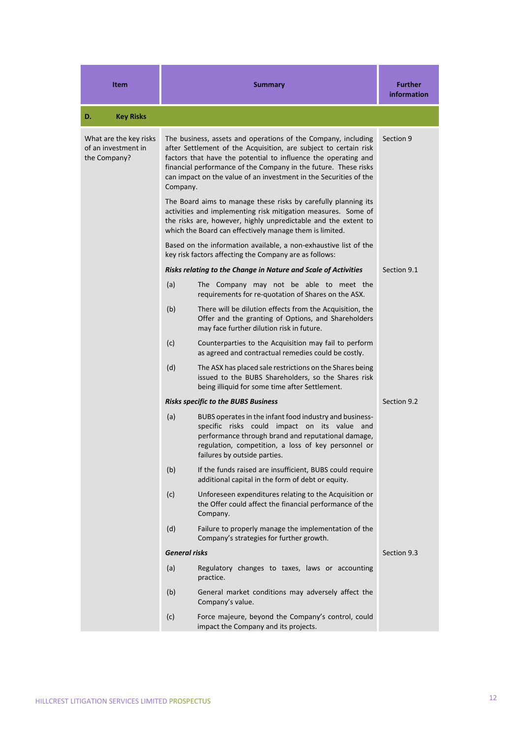| <b>Item</b>                                                   | <b>Summary</b>       |                                                                                                                                                                                                                                                                                                                                             | <b>Further</b><br>information |
|---------------------------------------------------------------|----------------------|---------------------------------------------------------------------------------------------------------------------------------------------------------------------------------------------------------------------------------------------------------------------------------------------------------------------------------------------|-------------------------------|
| <b>Key Risks</b><br>D.                                        |                      |                                                                                                                                                                                                                                                                                                                                             |                               |
| What are the key risks<br>of an investment in<br>the Company? | Company.             | The business, assets and operations of the Company, including<br>after Settlement of the Acquisition, are subject to certain risk<br>factors that have the potential to influence the operating and<br>financial performance of the Company in the future. These risks<br>can impact on the value of an investment in the Securities of the | Section 9                     |
|                                                               |                      | The Board aims to manage these risks by carefully planning its<br>activities and implementing risk mitigation measures. Some of<br>the risks are, however, highly unpredictable and the extent to<br>which the Board can effectively manage them is limited.                                                                                |                               |
|                                                               |                      | Based on the information available, a non-exhaustive list of the<br>key risk factors affecting the Company are as follows:                                                                                                                                                                                                                  |                               |
|                                                               |                      | Risks relating to the Change in Nature and Scale of Activities                                                                                                                                                                                                                                                                              | Section 9.1                   |
|                                                               | (a)                  | The Company may not be able to meet the<br>requirements for re-quotation of Shares on the ASX.                                                                                                                                                                                                                                              |                               |
|                                                               | (b)                  | There will be dilution effects from the Acquisition, the<br>Offer and the granting of Options, and Shareholders<br>may face further dilution risk in future.                                                                                                                                                                                |                               |
|                                                               | (c)                  | Counterparties to the Acquisition may fail to perform<br>as agreed and contractual remedies could be costly.                                                                                                                                                                                                                                |                               |
|                                                               | (d)                  | The ASX has placed sale restrictions on the Shares being<br>issued to the BUBS Shareholders, so the Shares risk<br>being illiquid for some time after Settlement.                                                                                                                                                                           |                               |
|                                                               |                      | <b>Risks specific to the BUBS Business</b>                                                                                                                                                                                                                                                                                                  | Section 9.2                   |
|                                                               | (a)                  | BUBS operates in the infant food industry and business-<br>specific risks could impact on its value and<br>performance through brand and reputational damage,<br>regulation, competition, a loss of key personnel or<br>failures by outside parties.                                                                                        |                               |
|                                                               | (b)                  | If the funds raised are insufficient, BUBS could require<br>additional capital in the form of debt or equity.                                                                                                                                                                                                                               |                               |
|                                                               | (c)                  | Unforeseen expenditures relating to the Acquisition or<br>the Offer could affect the financial performance of the<br>Company.                                                                                                                                                                                                               |                               |
|                                                               | (d)                  | Failure to properly manage the implementation of the<br>Company's strategies for further growth.                                                                                                                                                                                                                                            |                               |
|                                                               | <b>General risks</b> |                                                                                                                                                                                                                                                                                                                                             | Section 9.3                   |
|                                                               | (a)                  | Regulatory changes to taxes, laws or accounting<br>practice.                                                                                                                                                                                                                                                                                |                               |
|                                                               | (b)                  | General market conditions may adversely affect the<br>Company's value.                                                                                                                                                                                                                                                                      |                               |
|                                                               | (c)                  | Force majeure, beyond the Company's control, could<br>impact the Company and its projects.                                                                                                                                                                                                                                                  |                               |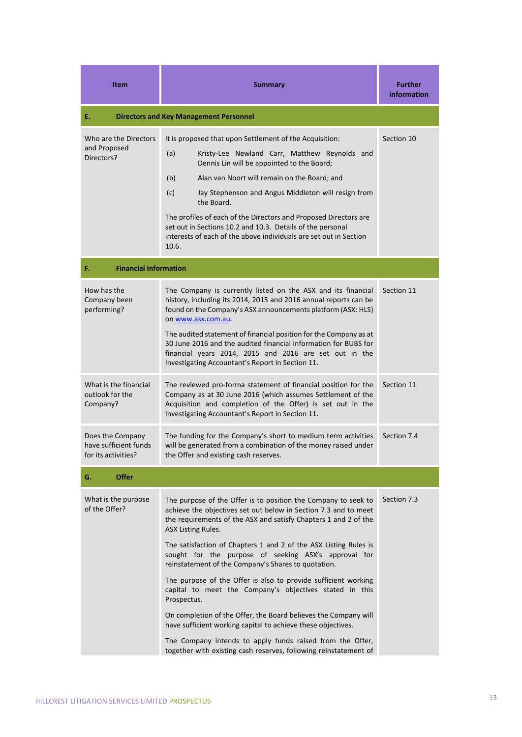| <b>Item</b>                                                      | <b>Summary</b>                                                                                                                                                                                                                                                                                                                                                                                                                                                                                                                                                                                                                                                                                                                                                                                                                       | <b>Further</b><br>information |
|------------------------------------------------------------------|--------------------------------------------------------------------------------------------------------------------------------------------------------------------------------------------------------------------------------------------------------------------------------------------------------------------------------------------------------------------------------------------------------------------------------------------------------------------------------------------------------------------------------------------------------------------------------------------------------------------------------------------------------------------------------------------------------------------------------------------------------------------------------------------------------------------------------------|-------------------------------|
| Е.                                                               | <b>Directors and Key Management Personnel</b>                                                                                                                                                                                                                                                                                                                                                                                                                                                                                                                                                                                                                                                                                                                                                                                        |                               |
| Who are the Directors<br>and Proposed<br>Directors?              | It is proposed that upon Settlement of the Acquisition:<br>(a)<br>Kristy-Lee Newland Carr, Matthew Reynolds and<br>Dennis Lin will be appointed to the Board;<br>(b)<br>Alan van Noort will remain on the Board; and<br>(c)<br>Jay Stephenson and Angus Middleton will resign from<br>the Board.<br>The profiles of each of the Directors and Proposed Directors are<br>set out in Sections 10.2 and 10.3. Details of the personal<br>interests of each of the above individuals are set out in Section<br>10.6.                                                                                                                                                                                                                                                                                                                     | Section 10                    |
| F.<br><b>Financial Information</b>                               |                                                                                                                                                                                                                                                                                                                                                                                                                                                                                                                                                                                                                                                                                                                                                                                                                                      |                               |
| How has the<br>Company been<br>performing?                       | The Company is currently listed on the ASX and its financial<br>history, including its 2014, 2015 and 2016 annual reports can be<br>found on the Company's ASX announcements platform (ASX: HLS)<br>on www.asx.com.au.<br>The audited statement of financial position for the Company as at<br>30 June 2016 and the audited financial information for BUBS for<br>financial years 2014, 2015 and 2016 are set out in the<br>Investigating Accountant's Report in Section 11.                                                                                                                                                                                                                                                                                                                                                         | Section 11                    |
| What is the financial<br>outlook for the<br>Company?             | The reviewed pro-forma statement of financial position for the<br>Company as at 30 June 2016 (which assumes Settlement of the<br>Acquisition and completion of the Offer) is set out in the<br>Investigating Accountant's Report in Section 11.                                                                                                                                                                                                                                                                                                                                                                                                                                                                                                                                                                                      | Section 11                    |
| Does the Company<br>have sufficient funds<br>for its activities? | The funding for the Company's short to medium term activities<br>will be generated from a combination of the money raised under<br>the Offer and existing cash reserves.                                                                                                                                                                                                                                                                                                                                                                                                                                                                                                                                                                                                                                                             | Section 7.4                   |
| <b>Offer</b><br>G.                                               |                                                                                                                                                                                                                                                                                                                                                                                                                                                                                                                                                                                                                                                                                                                                                                                                                                      |                               |
| What is the purpose<br>of the Offer?                             | The purpose of the Offer is to position the Company to seek to<br>achieve the objectives set out below in Section 7.3 and to meet<br>the requirements of the ASX and satisfy Chapters 1 and 2 of the<br><b>ASX Listing Rules.</b><br>The satisfaction of Chapters 1 and 2 of the ASX Listing Rules is<br>sought for the purpose of seeking ASX's approval for<br>reinstatement of the Company's Shares to quotation.<br>The purpose of the Offer is also to provide sufficient working<br>capital to meet the Company's objectives stated in this<br>Prospectus.<br>On completion of the Offer, the Board believes the Company will<br>have sufficient working capital to achieve these objectives.<br>The Company intends to apply funds raised from the Offer,<br>together with existing cash reserves, following reinstatement of | Section 7.3                   |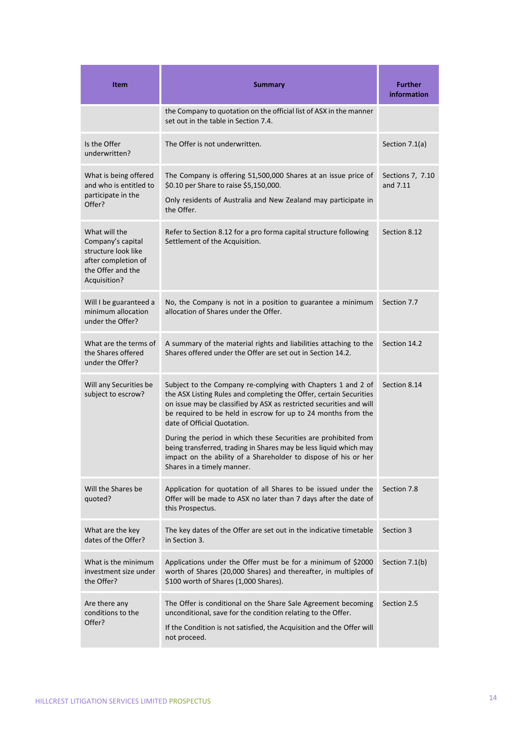| <b>Item</b>                                                                                                           | <b>Summary</b>                                                                                                                                                                                                                                                                                                                                                                                                                                                                                                                                     | <b>Further</b><br>information |
|-----------------------------------------------------------------------------------------------------------------------|----------------------------------------------------------------------------------------------------------------------------------------------------------------------------------------------------------------------------------------------------------------------------------------------------------------------------------------------------------------------------------------------------------------------------------------------------------------------------------------------------------------------------------------------------|-------------------------------|
|                                                                                                                       | the Company to quotation on the official list of ASX in the manner<br>set out in the table in Section 7.4.                                                                                                                                                                                                                                                                                                                                                                                                                                         |                               |
| Is the Offer<br>underwritten?                                                                                         | The Offer is not underwritten.                                                                                                                                                                                                                                                                                                                                                                                                                                                                                                                     | Section 7.1(a)                |
| What is being offered<br>and who is entitled to<br>participate in the<br>Offer?                                       | The Company is offering 51,500,000 Shares at an issue price of<br>\$0.10 per Share to raise \$5,150,000.<br>Only residents of Australia and New Zealand may participate in<br>the Offer.                                                                                                                                                                                                                                                                                                                                                           | Sections 7, 7.10<br>and 7.11  |
| What will the<br>Company's capital<br>structure look like<br>after completion of<br>the Offer and the<br>Acquisition? | Refer to Section 8.12 for a pro forma capital structure following<br>Settlement of the Acquisition.                                                                                                                                                                                                                                                                                                                                                                                                                                                | Section 8.12                  |
| Will I be guaranteed a<br>minimum allocation<br>under the Offer?                                                      | No, the Company is not in a position to guarantee a minimum<br>allocation of Shares under the Offer.                                                                                                                                                                                                                                                                                                                                                                                                                                               | Section 7.7                   |
| What are the terms of<br>the Shares offered<br>under the Offer?                                                       | A summary of the material rights and liabilities attaching to the<br>Shares offered under the Offer are set out in Section 14.2.                                                                                                                                                                                                                                                                                                                                                                                                                   | Section 14.2                  |
| Will any Securities be<br>subject to escrow?                                                                          | Subject to the Company re-complying with Chapters 1 and 2 of<br>the ASX Listing Rules and completing the Offer, certain Securities<br>on issue may be classified by ASX as restricted securities and will<br>be required to be held in escrow for up to 24 months from the<br>date of Official Quotation.<br>During the period in which these Securities are prohibited from<br>being transferred, trading in Shares may be less liquid which may<br>impact on the ability of a Shareholder to dispose of his or her<br>Shares in a timely manner. | Section 8.14                  |
| Will the Shares be<br>quoted?                                                                                         | Application for quotation of all Shares to be issued under the<br>Offer will be made to ASX no later than 7 days after the date of<br>this Prospectus.                                                                                                                                                                                                                                                                                                                                                                                             | Section 7.8                   |
| What are the key<br>dates of the Offer?                                                                               | The key dates of the Offer are set out in the indicative timetable<br>in Section 3.                                                                                                                                                                                                                                                                                                                                                                                                                                                                | Section 3                     |
| What is the minimum<br>investment size under<br>the Offer?                                                            | Applications under the Offer must be for a minimum of \$2000<br>worth of Shares (20,000 Shares) and thereafter, in multiples of<br>\$100 worth of Shares (1,000 Shares).                                                                                                                                                                                                                                                                                                                                                                           | Section 7.1(b)                |
| Are there any<br>conditions to the<br>Offer?                                                                          | The Offer is conditional on the Share Sale Agreement becoming<br>unconditional, save for the condition relating to the Offer.<br>If the Condition is not satisfied, the Acquisition and the Offer will<br>not proceed.                                                                                                                                                                                                                                                                                                                             | Section 2.5                   |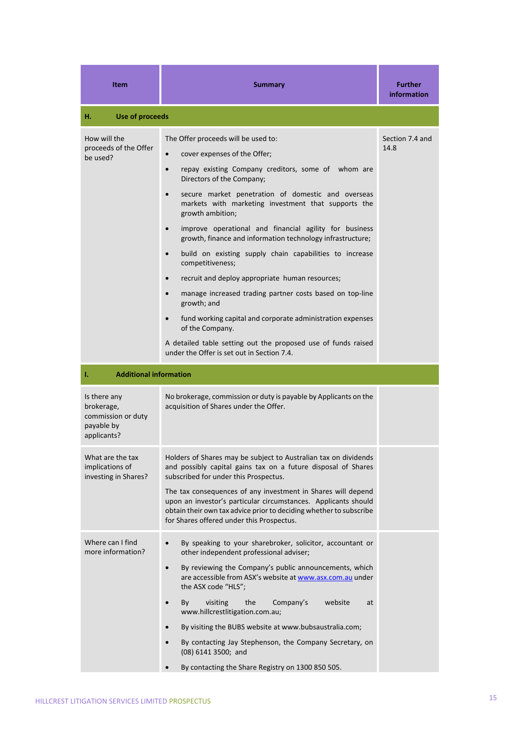| <b>Item</b>                                                                   | <b>Summary</b>                                                                                                                                                                                                                                                                                                                                                                                                                                                                                                                                                                                                                                                                                                                                                                                                                                                                                                                       | <b>Further</b><br><b>information</b> |
|-------------------------------------------------------------------------------|--------------------------------------------------------------------------------------------------------------------------------------------------------------------------------------------------------------------------------------------------------------------------------------------------------------------------------------------------------------------------------------------------------------------------------------------------------------------------------------------------------------------------------------------------------------------------------------------------------------------------------------------------------------------------------------------------------------------------------------------------------------------------------------------------------------------------------------------------------------------------------------------------------------------------------------|--------------------------------------|
| н.<br><b>Use of proceeds</b>                                                  |                                                                                                                                                                                                                                                                                                                                                                                                                                                                                                                                                                                                                                                                                                                                                                                                                                                                                                                                      |                                      |
| How will the<br>proceeds of the Offer<br>be used?                             | The Offer proceeds will be used to:<br>cover expenses of the Offer;<br>$\bullet$<br>repay existing Company creditors, some of whom are<br>$\bullet$<br>Directors of the Company;<br>secure market penetration of domestic and overseas<br>$\bullet$<br>markets with marketing investment that supports the<br>growth ambition;<br>improve operational and financial agility for business<br>$\bullet$<br>growth, finance and information technology infrastructure;<br>build on existing supply chain capabilities to increase<br>$\bullet$<br>competitiveness;<br>recruit and deploy appropriate human resources;<br>$\bullet$<br>manage increased trading partner costs based on top-line<br>$\bullet$<br>growth; and<br>fund working capital and corporate administration expenses<br>$\bullet$<br>of the Company.<br>A detailed table setting out the proposed use of funds raised<br>under the Offer is set out in Section 7.4. | Section 7.4 and<br>14.8              |
| <b>Additional information</b><br>ı.                                           |                                                                                                                                                                                                                                                                                                                                                                                                                                                                                                                                                                                                                                                                                                                                                                                                                                                                                                                                      |                                      |
| Is there any<br>brokerage,<br>commission or duty<br>payable by<br>applicants? | No brokerage, commission or duty is payable by Applicants on the<br>acquisition of Shares under the Offer.                                                                                                                                                                                                                                                                                                                                                                                                                                                                                                                                                                                                                                                                                                                                                                                                                           |                                      |
| What are the tax<br>implications of<br>investing in Shares?                   | Holders of Shares may be subject to Australian tax on dividends<br>and possibly capital gains tax on a future disposal of Shares<br>subscribed for under this Prospectus.<br>The tax consequences of any investment in Shares will depend<br>upon an investor's particular circumstances. Applicants should<br>obtain their own tax advice prior to deciding whether to subscribe<br>for Shares offered under this Prospectus.                                                                                                                                                                                                                                                                                                                                                                                                                                                                                                       |                                      |
| Where can I find<br>more information?                                         | By speaking to your sharebroker, solicitor, accountant or<br>$\bullet$<br>other independent professional adviser;<br>By reviewing the Company's public announcements, which<br>$\bullet$<br>are accessible from ASX's website at www.asx.com.au under<br>the ASX code "HLS";<br>Company's<br>website<br>visiting<br>the<br>By<br>at<br>www.hillcrestlitigation.com.au;<br>By visiting the BUBS website at www.bubsaustralia.com;<br>$\bullet$<br>By contacting Jay Stephenson, the Company Secretary, on<br>(08) 6141 3500; and<br>By contacting the Share Registry on 1300 850 505.<br>$\bullet$                                                                                                                                                                                                                                                                                                                                    |                                      |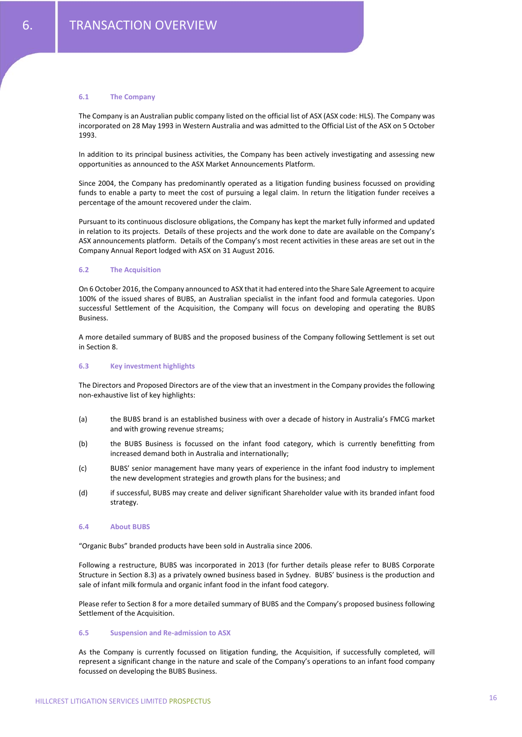#### **6.1 The Company**

The Company is an Australian public company listed on the official list of ASX (ASX code: HLS). The Company was incorporated on 28 May 1993 in Western Australia and was admitted to the Official List of the ASX on 5 October 1993.

In addition to its principal business activities, the Company has been actively investigating and assessing new opportunities as announced to the ASX Market Announcements Platform.

Since 2004, the Company has predominantly operated as a litigation funding business focussed on providing funds to enable a party to meet the cost of pursuing a legal claim. In return the litigation funder receives a percentage of the amount recovered under the claim.

Pursuant to its continuous disclosure obligations, the Company has kept the market fully informed and updated in relation to its projects. Details of these projects and the work done to date are available on the Company's ASX announcements platform. Details of the Company's most recent activities in these areas are set out in the Company Annual Report lodged with ASX on 31 August 2016.

# **6.2 The Acquisition**

On 6 October 2016, the Company announced to ASX that it had entered into the Share Sale Agreement to acquire 100% of the issued shares of BUBS, an Australian specialist in the infant food and formula categories. Upon successful Settlement of the Acquisition, the Company will focus on developing and operating the BUBS **Business** 

A more detailed summary of BUBS and the proposed business of the Company following Settlement is set out in Section 8.

# **6.3 Key investment highlights**

The Directors and Proposed Directors are of the view that an investment in the Company provides the following non‐exhaustive list of key highlights:

- (a) the BUBS brand is an established business with over a decade of history in Australia's FMCG market and with growing revenue streams;
- (b) the BUBS Business is focussed on the infant food category, which is currently benefitting from increased demand both in Australia and internationally;
- (c) BUBS' senior management have many years of experience in the infant food industry to implement the new development strategies and growth plans for the business; and
- (d) if successful, BUBS may create and deliver significant Shareholder value with its branded infant food strategy.

#### **6.4 About BUBS**

"Organic Bubs" branded products have been sold in Australia since 2006.

Following a restructure, BUBS was incorporated in 2013 (for further details please refer to BUBS Corporate Structure in Section 8.3) as a privately owned business based in Sydney. BUBS' business is the production and sale of infant milk formula and organic infant food in the infant food category.

Please refer to Section 8 for a more detailed summary of BUBS and the Company's proposed business following Settlement of the Acquisition.

#### **6.5 Suspension and Re‐admission to ASX**

As the Company is currently focussed on litigation funding, the Acquisition, if successfully completed, will represent a significant change in the nature and scale of the Company's operations to an infant food company focussed on developing the BUBS Business.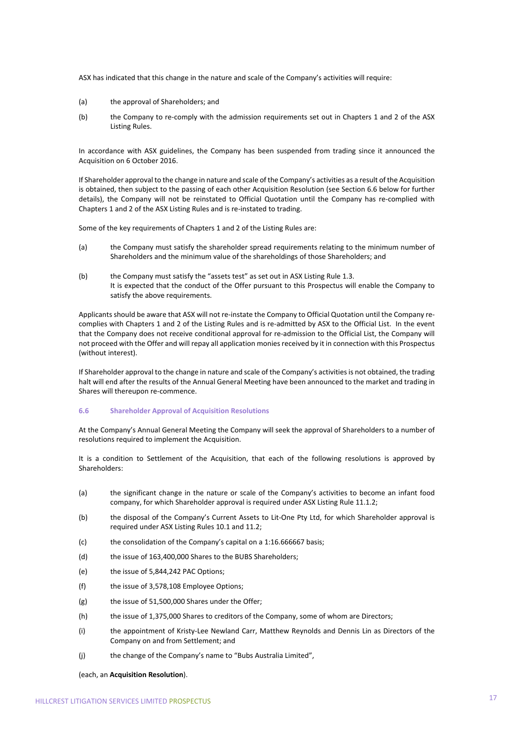ASX has indicated that this change in the nature and scale of the Company's activities will require:

- (a) the approval of Shareholders; and
- (b) the Company to re‐comply with the admission requirements set out in Chapters 1 and 2 of the ASX Listing Rules.

In accordance with ASX guidelines, the Company has been suspended from trading since it announced the Acquisition on 6 October 2016.

If Shareholder approval to the change in nature and scale of the Company's activities as a result of the Acquisition is obtained, then subject to the passing of each other Acquisition Resolution (see Section 6.6 below for further details), the Company will not be reinstated to Official Quotation until the Company has re‐complied with Chapters 1 and 2 of the ASX Listing Rules and is re‐instated to trading.

Some of the key requirements of Chapters 1 and 2 of the Listing Rules are:

- (a) the Company must satisfy the shareholder spread requirements relating to the minimum number of Shareholders and the minimum value of the shareholdings of those Shareholders; and
- (b) the Company must satisfy the "assets test" as set out in ASX Listing Rule 1.3. It is expected that the conduct of the Offer pursuant to this Prospectus will enable the Company to satisfy the above requirements.

Applicants should be aware that ASX will not re‐instate the Company to Official Quotation until the Company re‐ complies with Chapters 1 and 2 of the Listing Rules and is re-admitted by ASX to the Official List. In the event that the Company does not receive conditional approval for re‐admission to the Official List, the Company will not proceed with the Offer and will repay all application monies received by it in connection with this Prospectus (without interest).

If Shareholder approval to the change in nature and scale of the Company's activitiesis not obtained, the trading halt will end after the results of the Annual General Meeting have been announced to the market and trading in Shares will thereupon re‐commence.

# **6.6 Shareholder Approval of Acquisition Resolutions**

At the Company's Annual General Meeting the Company will seek the approval of Shareholders to a number of resolutions required to implement the Acquisition.

It is a condition to Settlement of the Acquisition, that each of the following resolutions is approved by Shareholders:

- (a) the significant change in the nature or scale of the Company's activities to become an infant food company, for which Shareholder approval is required under ASX Listing Rule 11.1.2;
- (b) the disposal of the Company's Current Assets to Lit-One Pty Ltd, for which Shareholder approval is required under ASX Listing Rules 10.1 and 11.2;
- (c) the consolidation of the Company's capital on a 1:16.666667 basis;
- (d) the issue of 163,400,000 Shares to the BUBS Shareholders;
- (e) the issue of 5,844,242 PAC Options;
- (f) the issue of 3,578,108 Employee Options;
- (g) the issue of 51,500,000 Shares under the Offer;
- (h) the issue of 1,375,000 Shares to creditors of the Company, some of whom are Directors;
- (i) the appointment of Kristy‐Lee Newland Carr, Matthew Reynolds and Dennis Lin as Directors of the Company on and from Settlement; and
- (j) the change of the Company's name to "Bubs Australia Limited",

(each, an **Acquisition Resolution**).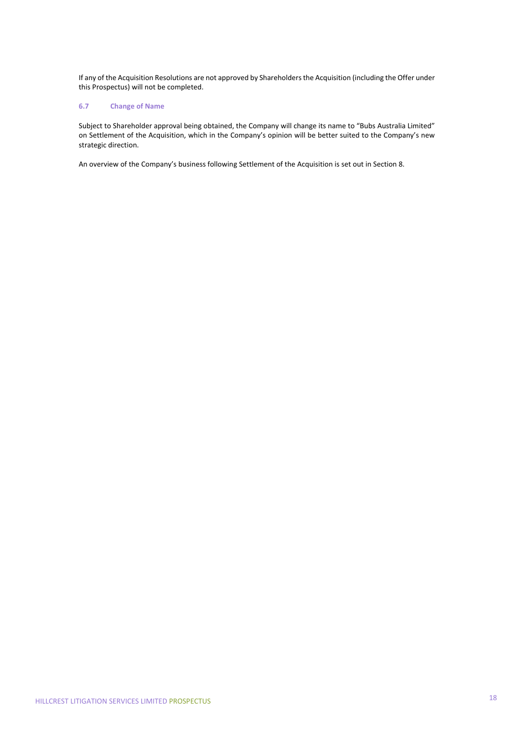If any of the Acquisition Resolutions are not approved by Shareholders the Acquisition (including the Offer under this Prospectus) will not be completed.

# **6.7 Change of Name**

Subject to Shareholder approval being obtained, the Company will change its name to "Bubs Australia Limited" on Settlement of the Acquisition, which in the Company's opinion will be better suited to the Company's new strategic direction.

An overview of the Company's business following Settlement of the Acquisition is set out in Section 8.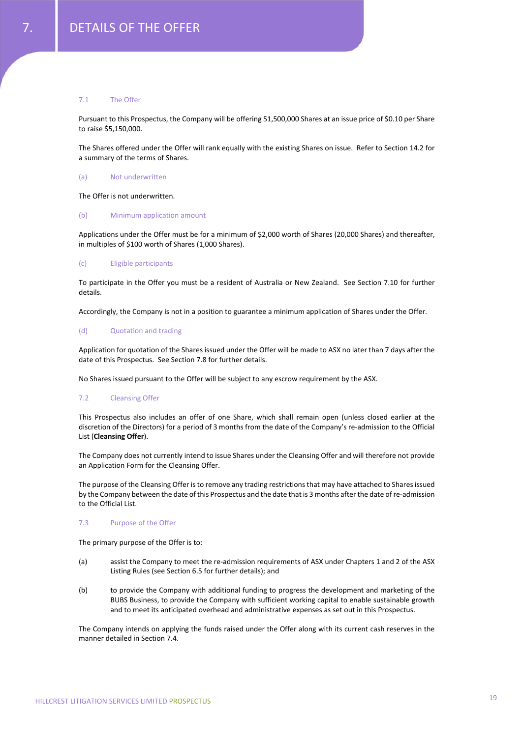# 7.1 The Offer

Pursuant to this Prospectus, the Company will be offering 51,500,000 Shares at an issue price of \$0.10 per Share to raise \$5,150,000.

The Shares offered under the Offer will rank equally with the existing Shares on issue. Refer to Section 14.2 for a summary of the terms of Shares.

### (a) Not underwritten

The Offer is not underwritten.

# (b) Minimum application amount

Applications under the Offer must be for a minimum of \$2,000 worth of Shares (20,000 Shares) and thereafter, in multiples of \$100 worth of Shares (1,000 Shares).

# (c) Eligible participants

To participate in the Offer you must be a resident of Australia or New Zealand. See Section 7.10 for further details.

Accordingly, the Company is not in a position to guarantee a minimum application of Shares under the Offer.

#### (d) Quotation and trading

Application for quotation of the Shares issued under the Offer will be made to ASX no later than 7 days after the date of this Prospectus. See Section 7.8 for further details.

No Shares issued pursuant to the Offer will be subject to any escrow requirement by the ASX.

# 7.2 Cleansing Offer

This Prospectus also includes an offer of one Share, which shall remain open (unless closed earlier at the discretion of the Directors) for a period of 3 months from the date of the Company's re‐admission to the Official List (**Cleansing Offer**).

The Company does not currently intend to issue Shares under the Cleansing Offer and will therefore not provide an Application Form for the Cleansing Offer.

The purpose of the Cleansing Offer is to remove any trading restrictionsthat may have attached to Sharesissued by the Company between the date of this Prospectus and the date that is 3 months afterthe date of re‐admission to the Official List.

# 7.3 Purpose of the Offer

The primary purpose of the Offer is to:

- (a) assist the Company to meet the re‐admission requirements of ASX under Chapters 1 and 2 of the ASX Listing Rules (see Section 6.5 for further details); and
- (b) to provide the Company with additional funding to progress the development and marketing of the BUBS Business, to provide the Company with sufficient working capital to enable sustainable growth and to meet its anticipated overhead and administrative expenses as set out in this Prospectus.

The Company intends on applying the funds raised under the Offer along with its current cash reserves in the manner detailed in Section 7.4.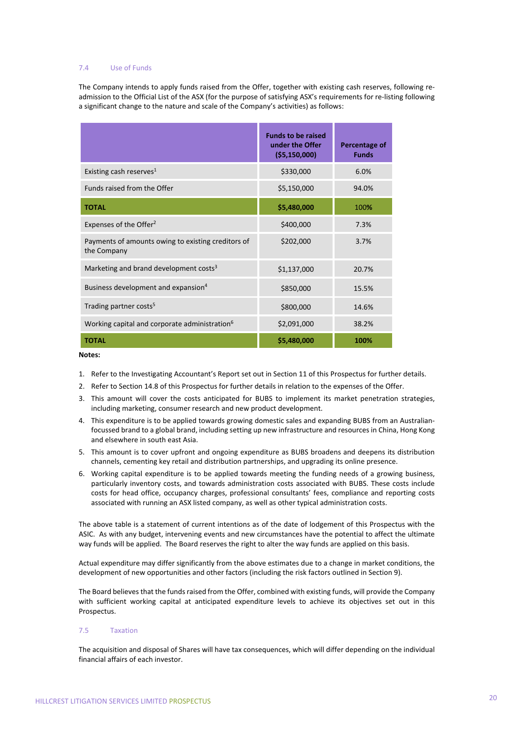# 7.4 Use of Funds

The Company intends to apply funds raised from the Offer, together with existing cash reserves, following readmission to the Official List of the ASX (for the purpose of satisfying ASX's requirements for re‐listing following a significant change to the nature and scale of the Company's activities) as follows:

|                                                                   | <b>Funds to be raised</b><br>under the Offer<br>( \$5,150,000] | <b>Percentage of</b><br><b>Funds</b> |
|-------------------------------------------------------------------|----------------------------------------------------------------|--------------------------------------|
| Existing cash reserves <sup>1</sup>                               | \$330,000                                                      | 6.0%                                 |
| Funds raised from the Offer                                       | \$5,150,000                                                    | 94.0%                                |
| <b>TOTAL</b>                                                      | \$5,480,000                                                    | 100%                                 |
| Expenses of the Offer <sup>2</sup>                                | \$400,000                                                      | 7.3%                                 |
| Payments of amounts owing to existing creditors of<br>the Company | \$202,000                                                      | 3.7%                                 |
| Marketing and brand development costs <sup>3</sup>                | \$1,137,000                                                    | 20.7%                                |
| Business development and expansion <sup>4</sup>                   | \$850,000                                                      | 15.5%                                |
| Trading partner costs <sup>5</sup>                                | \$800,000                                                      | 14.6%                                |
| Working capital and corporate administration <sup>6</sup>         | \$2,091,000                                                    | 38.2%                                |
| <b>TOTAL</b>                                                      | \$5,480,000                                                    | 100%                                 |

#### **Notes:**

- 1. Refer to the Investigating Accountant's Report set out in Section 11 of this Prospectus for further details.
- 2. Refer to Section 14.8 of this Prospectus for further details in relation to the expenses of the Offer.
- 3. This amount will cover the costs anticipated for BUBS to implement its market penetration strategies, including marketing, consumer research and new product development.
- 4. This expenditure is to be applied towards growing domestic sales and expanding BUBS from an Australian‐ focussed brand to a global brand, including setting up new infrastructure and resources in China, Hong Kong and elsewhere in south east Asia.
- 5. This amount is to cover upfront and ongoing expenditure as BUBS broadens and deepens its distribution channels, cementing key retail and distribution partnerships, and upgrading its online presence.
- 6. Working capital expenditure is to be applied towards meeting the funding needs of a growing business, particularly inventory costs, and towards administration costs associated with BUBS. These costs include costs for head office, occupancy charges, professional consultants' fees, compliance and reporting costs associated with running an ASX listed company, as well as other typical administration costs.

The above table is a statement of current intentions as of the date of lodgement of this Prospectus with the ASIC. As with any budget, intervening events and new circumstances have the potential to affect the ultimate way funds will be applied. The Board reserves the right to alter the way funds are applied on this basis.

Actual expenditure may differ significantly from the above estimates due to a change in market conditions, the development of new opportunities and other factors (including the risk factors outlined in Section 9).

The Board believes that the funds raised from the Offer, combined with existing funds, will provide the Company with sufficient working capital at anticipated expenditure levels to achieve its objectives set out in this Prospectus.

# 7.5 Taxation

The acquisition and disposal of Shares will have tax consequences, which will differ depending on the individual financial affairs of each investor.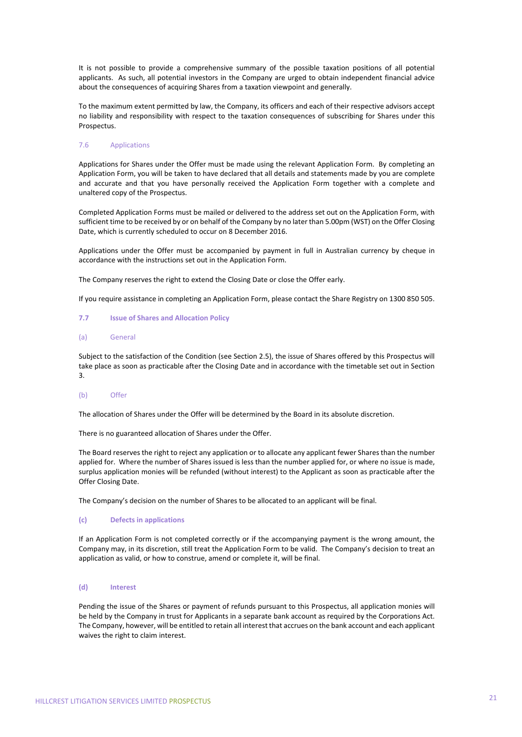It is not possible to provide a comprehensive summary of the possible taxation positions of all potential applicants. As such, all potential investors in the Company are urged to obtain independent financial advice about the consequences of acquiring Shares from a taxation viewpoint and generally.

To the maximum extent permitted by law, the Company, its officers and each of their respective advisors accept no liability and responsibility with respect to the taxation consequences of subscribing for Shares under this Prospectus.

# 7.6 Applications

Applications for Shares under the Offer must be made using the relevant Application Form. By completing an Application Form, you will be taken to have declared that all details and statements made by you are complete and accurate and that you have personally received the Application Form together with a complete and unaltered copy of the Prospectus.

Completed Application Forms must be mailed or delivered to the address set out on the Application Form, with sufficient time to be received by or on behalf of the Company by no later than 5.00pm (WST) on the Offer Closing Date, which is currently scheduled to occur on 8 December 2016.

Applications under the Offer must be accompanied by payment in full in Australian currency by cheque in accordance with the instructions set out in the Application Form.

The Company reserves the right to extend the Closing Date or close the Offer early.

If you require assistance in completing an Application Form, please contact the Share Registry on 1300 850 505.

# **7.7 Issue of Shares and Allocation Policy**

# (a) General

Subject to the satisfaction of the Condition (see Section 2.5), the issue of Shares offered by this Prospectus will take place as soon as practicable after the Closing Date and in accordance with the timetable set out in Section 3.

# (b) Offer

The allocation of Shares under the Offer will be determined by the Board in its absolute discretion.

There is no guaranteed allocation of Shares under the Offer.

The Board reserves the right to reject any application or to allocate any applicant fewer Shares than the number applied for. Where the number of Shares issued is less than the number applied for, or where no issue is made, surplus application monies will be refunded (without interest) to the Applicant as soon as practicable after the Offer Closing Date.

The Company's decision on the number of Shares to be allocated to an applicant will be final.

# **(c) Defects in applications**

If an Application Form is not completed correctly or if the accompanying payment is the wrong amount, the Company may, in its discretion, still treat the Application Form to be valid. The Company's decision to treat an application as valid, or how to construe, amend or complete it, will be final.

# **(d) Interest**

Pending the issue of the Shares or payment of refunds pursuant to this Prospectus, all application monies will be held by the Company in trust for Applicants in a separate bank account as required by the Corporations Act. The Company, however, will be entitled to retain all interest that accrues on the bank account and each applicant waives the right to claim interest.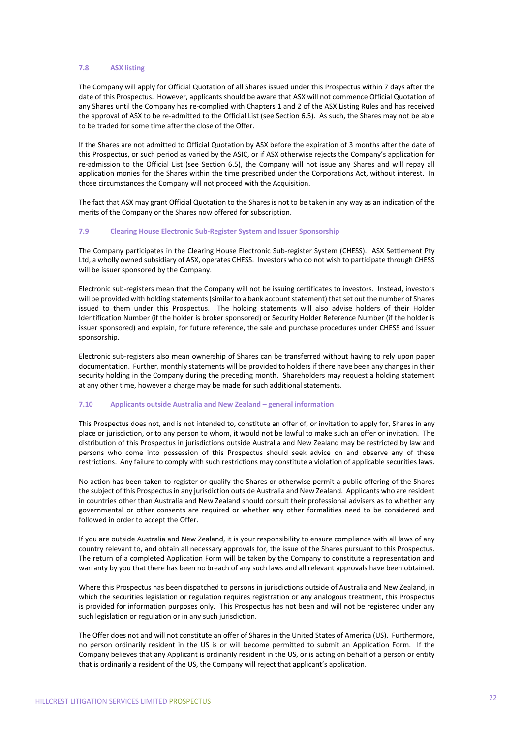# **7.8 ASX listing**

The Company will apply for Official Quotation of all Shares issued under this Prospectus within 7 days after the date of this Prospectus. However, applicants should be aware that ASX will not commence Official Quotation of any Shares until the Company has re‐complied with Chapters 1 and 2 of the ASX Listing Rules and has received the approval of ASX to be re-admitted to the Official List (see Section 6.5). As such, the Shares may not be able to be traded for some time after the close of the Offer.

If the Shares are not admitted to Official Quotation by ASX before the expiration of 3 months after the date of this Prospectus, or such period as varied by the ASIC, or if ASX otherwise rejects the Company's application for re‐admission to the Official List (see Section 6.5), the Company will not issue any Shares and will repay all application monies for the Shares within the time prescribed under the Corporations Act, without interest. In those circumstances the Company will not proceed with the Acquisition.

The fact that ASX may grant Official Quotation to the Shares is not to be taken in any way as an indication of the merits of the Company or the Shares now offered for subscription.

# **7.9 Clearing House Electronic Sub‐Register System and Issuer Sponsorship**

The Company participates in the Clearing House Electronic Sub-register System (CHESS). ASX Settlement Pty Ltd, a wholly owned subsidiary of ASX, operates CHESS. Investors who do not wish to participate through CHESS will be issuer sponsored by the Company.

Electronic sub-registers mean that the Company will not be issuing certificates to investors. Instead, investors will be provided with holding statements (similar to a bank account statement) that set out the number of Shares issued to them under this Prospectus. The holding statements will also advise holders of their Holder Identification Number (if the holder is broker sponsored) or Security Holder Reference Number (if the holder is issuer sponsored) and explain, for future reference, the sale and purchase procedures under CHESS and issuer sponsorship.

Electronic sub‐registers also mean ownership of Shares can be transferred without having to rely upon paper documentation. Further, monthly statements will be provided to holdersif there have been any changesin their security holding in the Company during the preceding month. Shareholders may request a holding statement at any other time, however a charge may be made for such additional statements.

#### **7.10 Applicants outside Australia and New Zealand – general information**

This Prospectus does not, and is not intended to, constitute an offer of, or invitation to apply for, Shares in any place or jurisdiction, or to any person to whom, it would not be lawful to make such an offer or invitation. The distribution of this Prospectus in jurisdictions outside Australia and New Zealand may be restricted by law and persons who come into possession of this Prospectus should seek advice on and observe any of these restrictions. Any failure to comply with such restrictions may constitute a violation of applicable securities laws.

No action has been taken to register or qualify the Shares or otherwise permit a public offering of the Shares the subject of this Prospectusin any jurisdiction outside Australia and New Zealand. Applicants who are resident in countries other than Australia and New Zealand should consult their professional advisers as to whether any governmental or other consents are required or whether any other formalities need to be considered and followed in order to accept the Offer.

If you are outside Australia and New Zealand, it is your responsibility to ensure compliance with all laws of any country relevant to, and obtain all necessary approvals for, the issue of the Shares pursuant to this Prospectus. The return of a completed Application Form will be taken by the Company to constitute a representation and warranty by you that there has been no breach of any such laws and all relevant approvals have been obtained.

Where this Prospectus has been dispatched to persons in jurisdictions outside of Australia and New Zealand, in which the securities legislation or regulation requires registration or any analogous treatment, this Prospectus is provided for information purposes only. This Prospectus has not been and will not be registered under any such legislation or regulation or in any such jurisdiction.

The Offer does not and will not constitute an offer of Shares in the United States of America (US). Furthermore, no person ordinarily resident in the US is or will become permitted to submit an Application Form. If the Company believes that any Applicant is ordinarily resident in the US, or is acting on behalf of a person or entity that is ordinarily a resident of the US, the Company will reject that applicant's application.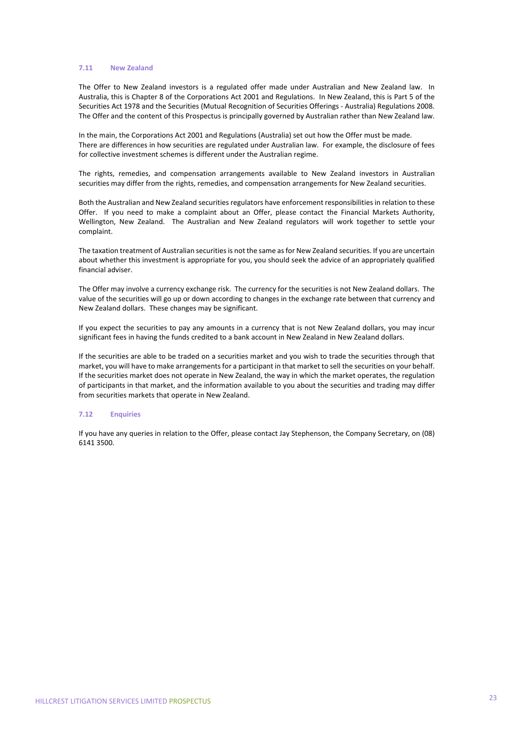#### **7.11 New Zealand**

The Offer to New Zealand investors is a regulated offer made under Australian and New Zealand law. In Australia, this is Chapter 8 of the Corporations Act 2001 and Regulations. In New Zealand, this is Part 5 of the Securities Act 1978 and the Securities (Mutual Recognition of Securities Offerings ‐ Australia) Regulations 2008. The Offer and the content of this Prospectus is principally governed by Australian rather than New Zealand law.

In the main, the Corporations Act 2001 and Regulations (Australia) set out how the Offer must be made. There are differences in how securities are regulated under Australian law. For example, the disclosure of fees for collective investment schemes is different under the Australian regime.

The rights, remedies, and compensation arrangements available to New Zealand investors in Australian securities may differ from the rights, remedies, and compensation arrangements for New Zealand securities.

Both the Australian and New Zealand securities regulators have enforcement responsibilities in relation to these Offer. If you need to make a complaint about an Offer, please contact the Financial Markets Authority, Wellington, New Zealand. The Australian and New Zealand regulators will work together to settle your complaint.

The taxation treatment of Australian securitiesis not the same asfor New Zealand securities. If you are uncertain about whether this investment is appropriate for you, you should seek the advice of an appropriately qualified financial adviser.

The Offer may involve a currency exchange risk. The currency for the securities is not New Zealand dollars. The value of the securities will go up or down according to changes in the exchange rate between that currency and New Zealand dollars. These changes may be significant.

If you expect the securities to pay any amounts in a currency that is not New Zealand dollars, you may incur significant fees in having the funds credited to a bank account in New Zealand in New Zealand dollars.

If the securities are able to be traded on a securities market and you wish to trade the securities through that market, you will have to make arrangementsfor a participant in that market to sell the securities on your behalf. If the securities market does not operate in New Zealand, the way in which the market operates, the regulation of participants in that market, and the information available to you about the securities and trading may differ from securities markets that operate in New Zealand.

#### **7.12 Enquiries**

If you have any queries in relation to the Offer, please contact Jay Stephenson, the Company Secretary, on (08) 6141 3500.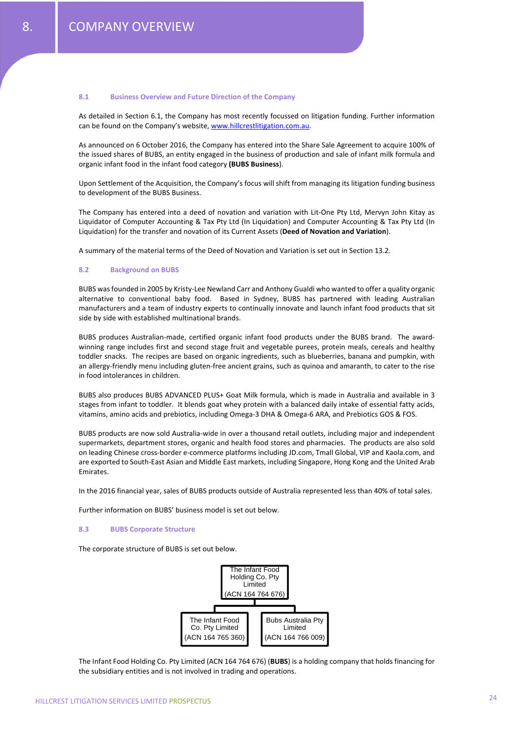#### **8.1 Business Overview and Future Direction of the Company**

As detailed in Section 6.1, the Company has most recently focussed on litigation funding. Further information can be found on the Company's website, www.hillcrestlitigation.com.au.

As announced on 6 October 2016, the Company has entered into the Share Sale Agreement to acquire 100% of the issued shares of BUBS, an entity engaged in the business of production and sale of infant milk formula and organic infant food in the infant food category **(BUBS Business**).

Upon Settlement of the Acquisition, the Company's focus will shift from managing its litigation funding business to development of the BUBS Business.

The Company has entered into a deed of novation and variation with Lit-One Pty Ltd. Mervyn John Kitay as Liquidator of Computer Accounting & Tax Pty Ltd (In Liquidation) and Computer Accounting & Tax Pty Ltd (In Liquidation) for the transfer and novation of its Current Assets (**Deed of Novation and Variation**).

A summary of the material terms of the Deed of Novation and Variation is set out in Section 13.2.

#### **8.2 Background on BUBS**

BUBS wasfounded in 2005 by Kristy‐Lee Newland Carr and Anthony Gualdi who wanted to offer a quality organic alternative to conventional baby food. Based in Sydney, BUBS has partnered with leading Australian manufacturers and a team of industry experts to continually innovate and launch infant food products that sit side by side with established multinational brands.

BUBS produces Australian-made, certified organic infant food products under the BUBS brand. The awardwinning range includes first and second stage fruit and vegetable purees, protein meals, cereals and healthy toddler snacks. The recipes are based on organic ingredients, such as blueberries, banana and pumpkin, with an allergy-friendly menu including gluten-free ancient grains, such as quinoa and amaranth, to cater to the rise in food intolerances in children.

BUBS also produces BUBS ADVANCED PLUS+ Goat Milk formula, which is made in Australia and available in 3 stages from infant to toddler. It blends goat whey protein with a balanced daily intake of essential fatty acids, vitamins, amino acids and prebiotics, including Omega‐3 DHA & Omega‐6 ARA, and Prebiotics GOS & FOS.

BUBS products are now sold Australia‐wide in over a thousand retail outlets, including major and independent supermarkets, department stores, organic and health food stores and pharmacies. The products are also sold on leading Chinese cross‐border e‐commerce platforms including JD.com, Tmall Global, VIP and Kaola.com, and are exported to South‐East Asian and Middle East markets, including Singapore, Hong Kong and the United Arab Emirates.

In the 2016 financial year, sales of BUBS products outside of Australia represented less than 40% of total sales.

Further information on BUBS' business model is set out below.

# **8.3 BUBS Corporate Structure**

The corporate structure of BUBS is set out below.



The Infant Food Holding Co. Pty Limited (ACN 164 764 676) (**BUBS**) is a holding company that holds financing for the subsidiary entities and is not involved in trading and operations.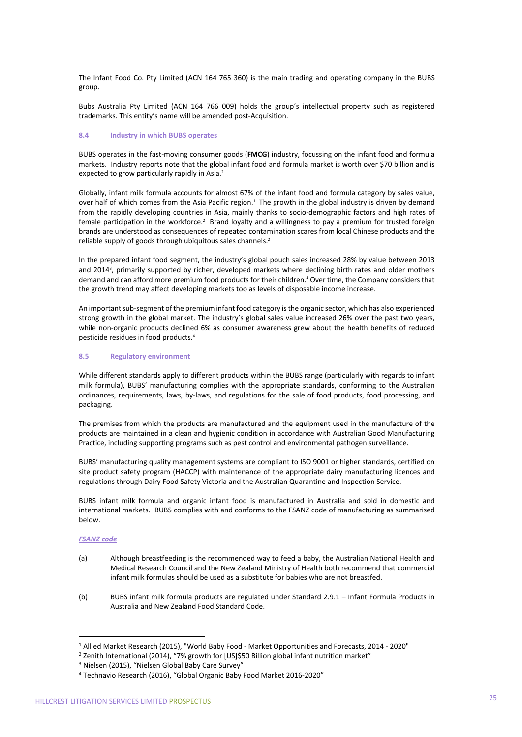The Infant Food Co. Pty Limited (ACN 164 765 360) is the main trading and operating company in the BUBS group.

Bubs Australia Pty Limited (ACN 164 766 009) holds the group's intellectual property such as registered trademarks. This entity's name will be amended post‐Acquisition.

# **8.4 Industry in which BUBS operates**

BUBS operates in the fast‐moving consumer goods (**FMCG**) industry, focussing on the infant food and formula markets. Industry reports note that the global infant food and formula market is worth over \$70 billion and is expected to grow particularly rapidly in Asia.<sup>2</sup>

Globally, infant milk formula accounts for almost 67% of the infant food and formula category by sales value, over half of which comes from the Asia Pacific region.<sup>1</sup> The growth in the global industry is driven by demand from the rapidly developing countries in Asia, mainly thanks to socio-demographic factors and high rates of female participation in the workforce.<sup>2</sup> Brand loyalty and a willingness to pay a premium for trusted foreign brands are understood as consequences of repeated contamination scares from local Chinese products and the reliable supply of goods through ubiquitous sales channels.<sup>2</sup>

In the prepared infant food segment, the industry's global pouch sales increased 28% by value between 2013 and 2014<sup>3</sup>, primarily supported by richer, developed markets where declining birth rates and older mothers demand and can afford more premium food products for their children.<sup>4</sup> Over time, the Company considers that the growth trend may affect developing markets too as levels of disposable income increase.

An important sub-segment of the premium infant food category is the organic sector, which has also experienced strong growth in the global market. The industry's global sales value increased 26% over the past two years, while non-organic products declined 6% as consumer awareness grew about the health benefits of reduced pesticide residues in food products.4

# **8.5 Regulatory environment**

While different standards apply to different products within the BUBS range (particularly with regards to infant milk formula), BUBS' manufacturing complies with the appropriate standards, conforming to the Australian ordinances, requirements, laws, by‐laws, and regulations for the sale of food products, food processing, and packaging.

The premises from which the products are manufactured and the equipment used in the manufacture of the products are maintained in a clean and hygienic condition in accordance with Australian Good Manufacturing Practice, including supporting programs such as pest control and environmental pathogen surveillance.

BUBS' manufacturing quality management systems are compliant to ISO 9001 or higher standards, certified on site product safety program (HACCP) with maintenance of the appropriate dairy manufacturing licences and regulations through Dairy Food Safety Victoria and the Australian Quarantine and Inspection Service.

BUBS infant milk formula and organic infant food is manufactured in Australia and sold in domestic and international markets. BUBS complies with and conforms to the FSANZ code of manufacturing as summarised below.

# *FSANZ code*

- (a) Although breastfeeding is the recommended way to feed a baby, the Australian National Health and Medical Research Council and the New Zealand Ministry of Health both recommend that commercial infant milk formulas should be used as a substitute for babies who are not breastfed.
- (b) BUBS infant milk formula products are regulated under Standard 2.9.1 Infant Formula Products in Australia and New Zealand Food Standard Code.

 

<sup>1</sup> Allied Market Research (2015), "World Baby Food ‐ Market Opportunities and Forecasts, 2014 ‐ 2020"

<sup>&</sup>lt;sup>2</sup> Zenith International (2014), "7% growth for [US]\$50 Billion global infant nutrition market"

<sup>3</sup> Nielsen (2015), "Nielsen Global Baby Care Survey"

<sup>4</sup> Technavio Research (2016), "Global Organic Baby Food Market 2016‐2020"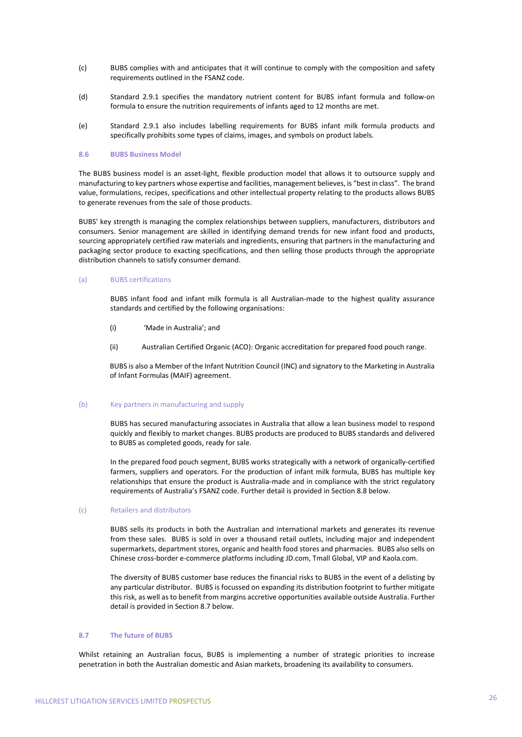- (c) BUBS complies with and anticipates that it will continue to comply with the composition and safety requirements outlined in the FSANZ code.
- (d) Standard 2.9.1 specifies the mandatory nutrient content for BUBS infant formula and follow‐on formula to ensure the nutrition requirements of infants aged to 12 months are met.
- (e) Standard 2.9.1 also includes labelling requirements for BUBS infant milk formula products and specifically prohibits some types of claims, images, and symbols on product labels.

#### **8.6 BUBS Business Model**

The BUBS business model is an asset‐light, flexible production model that allows it to outsource supply and manufacturing to key partners whose expertise and facilities, management believes, is "best in class". The brand value, formulations, recipes, specifications and other intellectual property relating to the products allows BUBS to generate revenues from the sale of those products.

BUBS' key strength is managing the complex relationships between suppliers, manufacturers, distributors and consumers. Senior management are skilled in identifying demand trends for new infant food and products, sourcing appropriately certified raw materials and ingredients, ensuring that partners in the manufacturing and packaging sector produce to exacting specifications, and then selling those products through the appropriate distribution channels to satisfy consumer demand.

#### (a) BUBS certifications

BUBS infant food and infant milk formula is all Australian‐made to the highest quality assurance standards and certified by the following organisations:

- (i) 'Made in Australia'; and
- (ii) Australian Certified Organic (ACO): Organic accreditation for prepared food pouch range.

BUBS is also a Member of the Infant Nutrition Council (INC) and signatory to the Marketing in Australia of Infant Formulas (MAIF) agreement.

#### (b) Key partners in manufacturing and supply

BUBS has secured manufacturing associates in Australia that allow a lean business model to respond quickly and flexibly to market changes. BUBS products are produced to BUBS standards and delivered to BUBS as completed goods, ready for sale.

In the prepared food pouch segment, BUBS works strategically with a network of organically‐certified farmers, suppliers and operators. For the production of infant milk formula, BUBS has multiple key relationships that ensure the product is Australia‐made and in compliance with the strict regulatory requirements of Australia's FSANZ code. Further detail is provided in Section 8.8 below.

# (c) Retailers and distributors

BUBS sells its products in both the Australian and international markets and generates its revenue from these sales. BUBS is sold in over a thousand retail outlets, including major and independent supermarkets, department stores, organic and health food stores and pharmacies. BUBS also sells on Chinese cross‐border e‐commerce platforms including JD.com, Tmall Global, VIP and Kaola.com.

The diversity of BUBS customer base reduces the financial risks to BUBS in the event of a delisting by any particular distributor. BUBS is focussed on expanding its distribution footprint to further mitigate this risk, as well as to benefit from margins accretive opportunities available outside Australia. Further detail is provided in Section 8.7 below.

# **8.7 The future of BUBS**

Whilst retaining an Australian focus, BUBS is implementing a number of strategic priorities to increase penetration in both the Australian domestic and Asian markets, broadening its availability to consumers.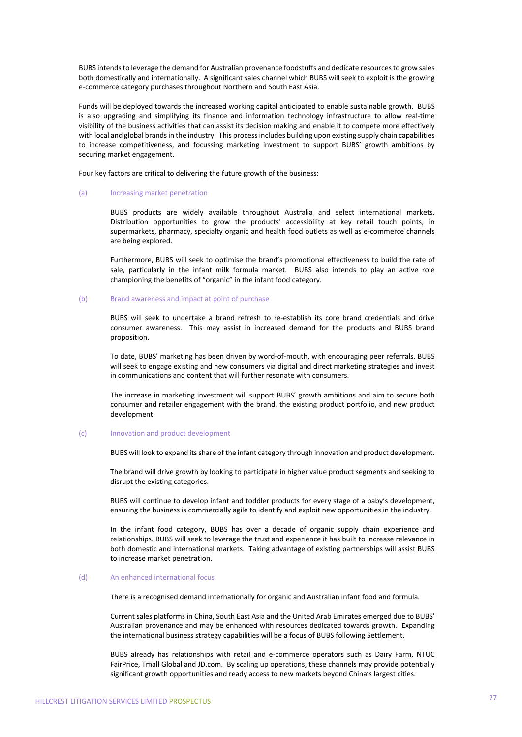BUBS intends to leverage the demand for Australian provenance foodstuffs and dedicate resources to grow sales both domestically and internationally. A significant sales channel which BUBS will seek to exploit is the growing e‐commerce category purchases throughout Northern and South East Asia.

Funds will be deployed towards the increased working capital anticipated to enable sustainable growth. BUBS is also upgrading and simplifying its finance and information technology infrastructure to allow real-time visibility of the business activities that can assist its decision making and enable it to compete more effectively with local and global brands in the industry. This process includes building upon existing supply chain capabilities to increase competitiveness, and focussing marketing investment to support BUBS' growth ambitions by securing market engagement.

Four key factors are critical to delivering the future growth of the business:

# (a) Increasing market penetration

BUBS products are widely available throughout Australia and select international markets. Distribution opportunities to grow the products' accessibility at key retail touch points, in supermarkets, pharmacy, specialty organic and health food outlets as well as e-commerce channels are being explored.

Furthermore, BUBS will seek to optimise the brand's promotional effectiveness to build the rate of sale, particularly in the infant milk formula market. BUBS also intends to play an active role championing the benefits of "organic" in the infant food category.

#### (b) Brand awareness and impact at point of purchase

BUBS will seek to undertake a brand refresh to re‐establish its core brand credentials and drive consumer awareness. This may assist in increased demand for the products and BUBS brand proposition.

To date, BUBS' marketing has been driven by word‐of‐mouth, with encouraging peer referrals. BUBS will seek to engage existing and new consumers via digital and direct marketing strategies and invest in communications and content that will further resonate with consumers.

The increase in marketing investment will support BUBS' growth ambitions and aim to secure both consumer and retailer engagement with the brand, the existing product portfolio, and new product development.

# (c) Innovation and product development

BUBS will look to expand itsshare of the infant category through innovation and product development.

The brand will drive growth by looking to participate in higher value product segments and seeking to disrupt the existing categories.

BUBS will continue to develop infant and toddler products for every stage of a baby's development, ensuring the business is commercially agile to identify and exploit new opportunities in the industry.

In the infant food category, BUBS has over a decade of organic supply chain experience and relationships. BUBS will seek to leverage the trust and experience it has built to increase relevance in both domestic and international markets. Taking advantage of existing partnerships will assist BUBS to increase market penetration.

# (d) An enhanced international focus

There is a recognised demand internationally for organic and Australian infant food and formula.

Current sales platforms in China, South East Asia and the United Arab Emirates emerged due to BUBS' Australian provenance and may be enhanced with resources dedicated towards growth. Expanding the international business strategy capabilities will be a focus of BUBS following Settlement.

BUBS already has relationships with retail and e‐commerce operators such as Dairy Farm, NTUC FairPrice, Tmall Global and JD.com. By scaling up operations, these channels may provide potentially significant growth opportunities and ready access to new markets beyond China's largest cities.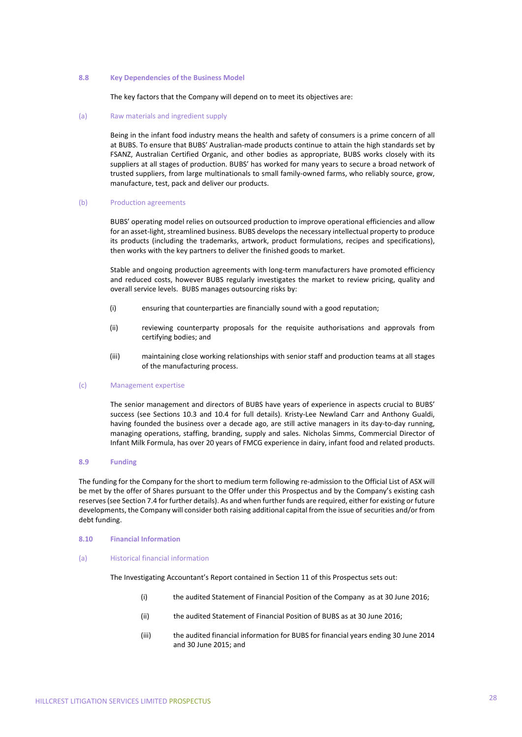#### **8.8 Key Dependencies of the Business Model**

The key factors that the Company will depend on to meet its objectives are:

#### (a) Raw materials and ingredient supply

Being in the infant food industry means the health and safety of consumers is a prime concern of all at BUBS. To ensure that BUBS' Australian-made products continue to attain the high standards set by FSANZ, Australian Certified Organic, and other bodies as appropriate, BUBS works closely with its suppliers at all stages of production. BUBS' has worked for many years to secure a broad network of trusted suppliers, from large multinationals to small family‐owned farms, who reliably source, grow, manufacture, test, pack and deliver our products.

#### (b) Production agreements

BUBS' operating model relies on outsourced production to improve operational efficiencies and allow for an asset‐light, streamlined business. BUBS develops the necessary intellectual property to produce its products (including the trademarks, artwork, product formulations, recipes and specifications), then works with the key partners to deliver the finished goods to market.

Stable and ongoing production agreements with long-term manufacturers have promoted efficiency and reduced costs, however BUBS regularly investigates the market to review pricing, quality and overall service levels. BUBS manages outsourcing risks by:

- (i) ensuring that counterparties are financially sound with a good reputation;
- (ii) reviewing counterparty proposals for the requisite authorisations and approvals from certifying bodies; and
- (iii) maintaining close working relationships with senior staff and production teams at all stages of the manufacturing process.

#### (c) Management expertise

The senior management and directors of BUBS have years of experience in aspects crucial to BUBS' success (see Sections 10.3 and 10.4 for full details). Kristy-Lee Newland Carr and Anthony Gualdi, having founded the business over a decade ago, are still active managers in its day-to-day running, managing operations, staffing, branding, supply and sales. Nicholas Simms, Commercial Director of Infant Milk Formula, has over 20 years of FMCG experience in dairy, infant food and related products.

# **8.9 Funding**

The funding for the Company for the short to medium term following re-admission to the Official List of ASX will be met by the offer of Shares pursuant to the Offer under this Prospectus and by the Company's existing cash reserves(see Section 7.4 for further details). As and when further funds are required, either for existing or future developments, the Company will consider both raising additional capital from the issue of securities and/or from debt funding.

#### **8.10 Financial Information**

#### (a) Historical financial information

The Investigating Accountant's Report contained in Section 11 of this Prospectus sets out:

- (i) the audited Statement of Financial Position of the Company as at 30 June 2016;
- (ii) the audited Statement of Financial Position of BUBS as at 30 June 2016;
- (iii) the audited financial information for BUBS for financial years ending 30 June 2014 and 30 June 2015; and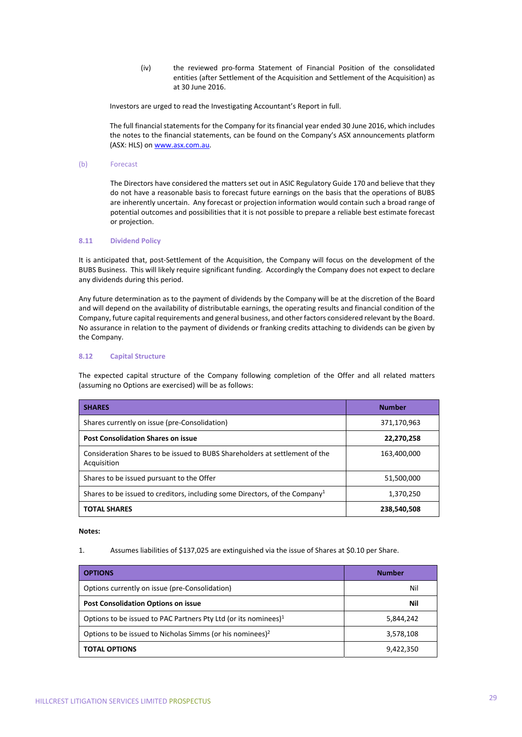(iv) the reviewed pro‐forma Statement of Financial Position of the consolidated entities (after Settlement of the Acquisition and Settlement of the Acquisition) as at 30 June 2016.

Investors are urged to read the Investigating Accountant's Report in full.

The full financial statements for the Company for its financial year ended 30 June 2016, which includes the notes to the financial statements, can be found on the Company's ASX announcements platform (ASX: HLS) on www.asx.com.au.

# (b) Forecast

The Directors have considered the matters set out in ASIC Regulatory Guide 170 and believe that they do not have a reasonable basis to forecast future earnings on the basis that the operations of BUBS are inherently uncertain. Any forecast or projection information would contain such a broad range of potential outcomes and possibilities that it is not possible to prepare a reliable best estimate forecast or projection.

# **8.11 Dividend Policy**

It is anticipated that, post-Settlement of the Acquisition, the Company will focus on the development of the BUBS Business. This will likely require significant funding. Accordingly the Company does not expect to declare any dividends during this period.

Any future determination as to the payment of dividends by the Company will be at the discretion of the Board and will depend on the availability of distributable earnings, the operating results and financial condition of the Company, future capital requirements and general business, and other factors considered relevant by the Board. No assurance in relation to the payment of dividends or franking credits attaching to dividends can be given by the Company.

# **8.12 Capital Structure**

The expected capital structure of the Company following completion of the Offer and all related matters (assuming no Options are exercised) will be as follows:

| <b>SHARES</b>                                                                              | <b>Number</b> |
|--------------------------------------------------------------------------------------------|---------------|
| Shares currently on issue (pre-Consolidation)                                              | 371,170,963   |
| <b>Post Consolidation Shares on issue</b>                                                  | 22,270,258    |
| Consideration Shares to be issued to BUBS Shareholders at settlement of the<br>Acquisition | 163,400,000   |
| Shares to be issued pursuant to the Offer                                                  | 51,500,000    |
| Shares to be issued to creditors, including some Directors, of the Company <sup>1</sup>    | 1,370,250     |
| <b>TOTAL SHARES</b>                                                                        | 238,540,508   |

# **Notes:**

1. Assumes liabilities of \$137,025 are extinguished via the issue of Shares at \$0.10 per Share.

| <b>OPTIONS</b>                                                        | <b>Number</b> |
|-----------------------------------------------------------------------|---------------|
| Options currently on issue (pre-Consolidation)                        | Nil           |
| <b>Post Consolidation Options on issue</b>                            | Nil           |
| Options to be issued to PAC Partners Pty Ltd (or its nominees) $1$    | 5,844,242     |
| Options to be issued to Nicholas Simms (or his nominees) <sup>2</sup> | 3,578,108     |
| <b>TOTAL OPTIONS</b>                                                  | 9,422,350     |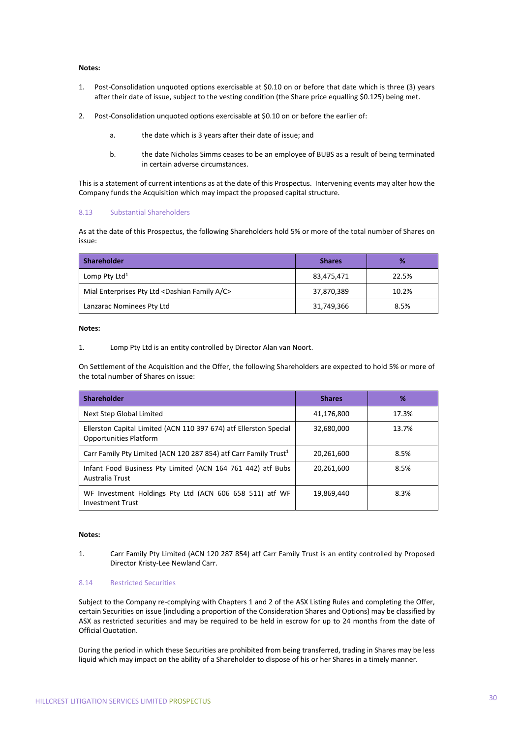# **Notes:**

- 1. Post‐Consolidation unquoted options exercisable at \$0.10 on or before that date which is three (3) years after their date of issue, subject to the vesting condition (the Share price equalling \$0.125) being met.
- 2. Post-Consolidation unquoted options exercisable at \$0.10 on or before the earlier of:
	- a. the date which is 3 years after their date of issue; and
	- b. the date Nicholas Simms ceases to be an employee of BUBS as a result of being terminated in certain adverse circumstances.

This is a statement of current intentions as at the date of this Prospectus. Intervening events may alter how the Company funds the Acquisition which may impact the proposed capital structure.

# 8.13 Substantial Shareholders

As at the date of this Prospectus, the following Shareholders hold 5% or more of the total number of Shares on issue:

| <b>Shareholder</b>                                               | <b>Shares</b> | %     |
|------------------------------------------------------------------|---------------|-------|
| Lomp Pty Ltd <sup>1</sup>                                        | 83,475,471    | 22.5% |
| Mial Enterprises Pty Ltd <dashian a="" c="" family=""></dashian> | 37,870,389    | 10.2% |
| Lanzarac Nominees Pty Ltd                                        | 31,749,366    | 8.5%  |

# **Notes:**

1. Lomp Pty Ltd is an entity controlled by Director Alan van Noort.

On Settlement of the Acquisition and the Offer, the following Shareholders are expected to hold 5% or more of the total number of Shares on issue:

| <b>Shareholder</b>                                                                                 | <b>Shares</b> | %     |
|----------------------------------------------------------------------------------------------------|---------------|-------|
| Next Step Global Limited                                                                           | 41,176,800    | 17.3% |
| Ellerston Capital Limited (ACN 110 397 674) atf Ellerston Special<br><b>Opportunities Platform</b> | 32,680,000    | 13.7% |
| Carr Family Pty Limited (ACN 120 287 854) atf Carr Family Trust <sup>1</sup>                       | 20,261,600    | 8.5%  |
| Infant Food Business Pty Limited (ACN 164 761 442) atf Bubs<br>Australia Trust                     | 20.261.600    | 8.5%  |
| WF Investment Holdings Pty Ltd (ACN 606 658 511) atf WF<br><b>Investment Trust</b>                 | 19,869,440    | 8.3%  |

# **Notes:**

1. Carr Family Pty Limited (ACN 120 287 854) atf Carr Family Trust is an entity controlled by Proposed Director Kristy‐Lee Newland Carr.

# 8.14 Restricted Securities

Subject to the Company re‐complying with Chapters 1 and 2 of the ASX Listing Rules and completing the Offer, certain Securities on issue (including a proportion of the Consideration Shares and Options) may be classified by ASX as restricted securities and may be required to be held in escrow for up to 24 months from the date of Official Quotation.

During the period in which these Securities are prohibited from being transferred, trading in Shares may be less liquid which may impact on the ability of a Shareholder to dispose of his or her Shares in a timely manner.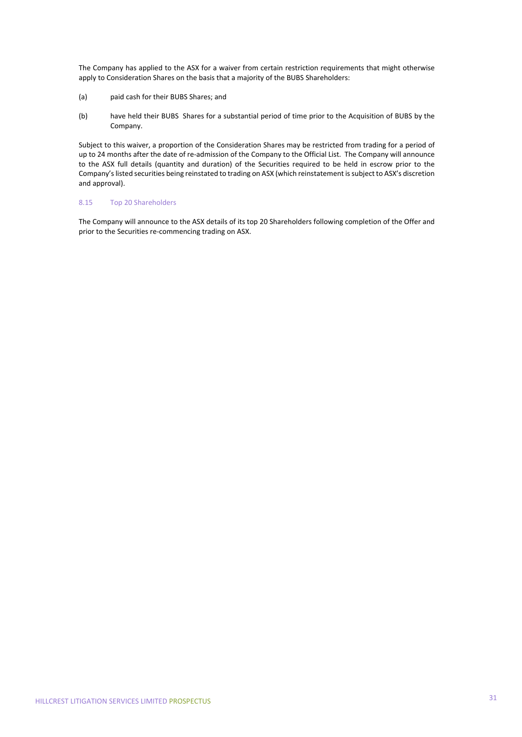The Company has applied to the ASX for a waiver from certain restriction requirements that might otherwise apply to Consideration Shares on the basis that a majority of the BUBS Shareholders:

- (a) paid cash for their BUBS Shares; and
- (b) have held their BUBS Shares for a substantial period of time prior to the Acquisition of BUBS by the Company.

Subject to this waiver, a proportion of the Consideration Shares may be restricted from trading for a period of up to 24 months after the date of re‐admission of the Company to the Official List. The Company will announce to the ASX full details (quantity and duration) of the Securities required to be held in escrow prior to the Company'slisted securities being reinstated to trading on ASX (which reinstatement issubject to ASX's discretion and approval).

# 8.15 Top 20 Shareholders

The Company will announce to the ASX details of its top 20 Shareholders following completion of the Offer and prior to the Securities re‐commencing trading on ASX.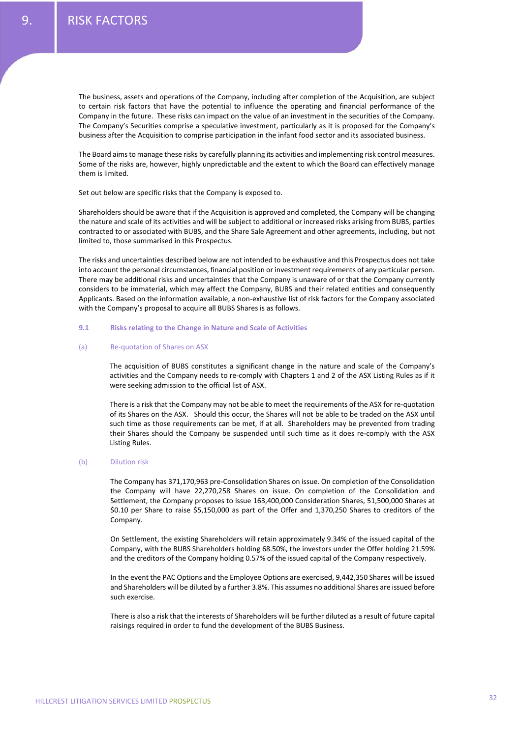The business, assets and operations of the Company, including after completion of the Acquisition, are subject to certain risk factors that have the potential to influence the operating and financial performance of the Company in the future. These risks can impact on the value of an investment in the securities of the Company. The Company's Securities comprise a speculative investment, particularly as it is proposed for the Company's business after the Acquisition to comprise participation in the infant food sector and its associated business.

The Board aimsto manage these risks by carefully planning its activities and implementing risk control measures. Some of the risks are, however, highly unpredictable and the extent to which the Board can effectively manage them is limited.

Set out below are specific risks that the Company is exposed to.

Shareholders should be aware that if the Acquisition is approved and completed, the Company will be changing the nature and scale of its activities and will be subject to additional or increased risks arising from BUBS, parties contracted to or associated with BUBS, and the Share Sale Agreement and other agreements, including, but not limited to, those summarised in this Prospectus.

The risks and uncertainties described below are not intended to be exhaustive and this Prospectus does not take into account the personal circumstances, financial position or investment requirements of any particular person. There may be additional risks and uncertainties that the Company is unaware of or that the Company currently considers to be immaterial, which may affect the Company, BUBS and their related entities and consequently Applicants. Based on the information available, a non‐exhaustive list of risk factors for the Company associated with the Company's proposal to acquire all BUBS Shares is as follows.

### **9.1 Risks relating to the Change in Nature and Scale of Activities**

#### (a) Re‐quotation of Shares on ASX

The acquisition of BUBS constitutes a significant change in the nature and scale of the Company's activities and the Company needs to re‐comply with Chapters 1 and 2 of the ASX Listing Rules as if it were seeking admission to the official list of ASX.

There is a risk that the Company may not be able to meet the requirements of the ASX for re-quotation of its Shares on the ASX. Should this occur, the Shares will not be able to be traded on the ASX until such time as those requirements can be met, if at all. Shareholders may be prevented from trading their Shares should the Company be suspended until such time as it does re‐comply with the ASX Listing Rules.

# (b) Dilution risk

The Company has 371,170,963 pre‐Consolidation Shares on issue. On completion of the Consolidation the Company will have 22,270,258 Shares on issue. On completion of the Consolidation and Settlement, the Company proposes to issue 163,400,000 Consideration Shares, 51,500,000 Shares at \$0.10 per Share to raise \$5,150,000 as part of the Offer and 1,370,250 Shares to creditors of the Company.

On Settlement, the existing Shareholders will retain approximately 9.34% of the issued capital of the Company, with the BUBS Shareholders holding 68.50%, the investors under the Offer holding 21.59% and the creditors of the Company holding 0.57% of the issued capital of the Company respectively.

In the event the PAC Options and the Employee Options are exercised, 9,442,350 Shares will be issued and Shareholders will be diluted by a further 3.8%. This assumes no additional Shares are issued before such exercise.

There is also a risk that the interests of Shareholders will be further diluted as a result of future capital raisings required in order to fund the development of the BUBS Business.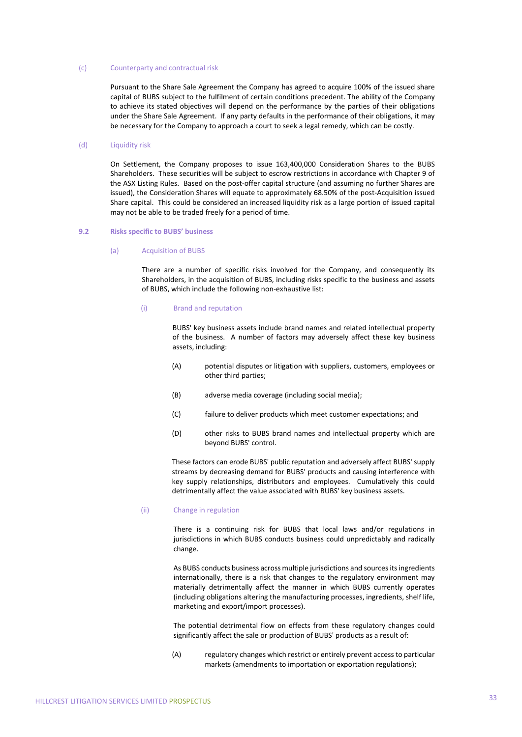#### (c) Counterparty and contractual risk

Pursuant to the Share Sale Agreement the Company has agreed to acquire 100% of the issued share capital of BUBS subject to the fulfilment of certain conditions precedent. The ability of the Company to achieve its stated objectives will depend on the performance by the parties of their obligations under the Share Sale Agreement. If any party defaults in the performance of their obligations, it may be necessary for the Company to approach a court to seek a legal remedy, which can be costly.

#### (d) Liquidity risk

On Settlement, the Company proposes to issue 163,400,000 Consideration Shares to the BUBS Shareholders. These securities will be subject to escrow restrictions in accordance with Chapter 9 of the ASX Listing Rules. Based on the post-offer capital structure (and assuming no further Shares are issued), the Consideration Shares will equate to approximately 68.50% of the post‐Acquisition issued Share capital. This could be considered an increased liquidity risk as a large portion of issued capital may not be able to be traded freely for a period of time.

# **9.2 Risks specific to BUBS' business**

#### (a) Acquisition of BUBS

There are a number of specific risks involved for the Company, and consequently its Shareholders, in the acquisition of BUBS, including risks specific to the business and assets of BUBS, which include the following non‐exhaustive list:

#### (i) Brand and reputation

BUBS' key business assets include brand names and related intellectual property of the business. A number of factors may adversely affect these key business assets, including:

- (A) potential disputes or litigation with suppliers, customers, employees or other third parties;
- (B) adverse media coverage (including social media);
- (C) failure to deliver products which meet customer expectations; and
- (D) other risks to BUBS brand names and intellectual property which are beyond BUBS' control.

These factors can erode BUBS' public reputation and adversely affect BUBS' supply streams by decreasing demand for BUBS' products and causing interference with key supply relationships, distributors and employees. Cumulatively this could detrimentally affect the value associated with BUBS' key business assets.

# (ii) Change in regulation

There is a continuing risk for BUBS that local laws and/or regulations in jurisdictions in which BUBS conducts business could unpredictably and radically change.

As BUBS conducts business across multiple jurisdictions and sources its ingredients internationally, there is a risk that changes to the regulatory environment may materially detrimentally affect the manner in which BUBS currently operates (including obligations altering the manufacturing processes, ingredients, shelf life, marketing and export/import processes).

The potential detrimental flow on effects from these regulatory changes could significantly affect the sale or production of BUBS' products as a result of:

(A) regulatory changes which restrict or entirely prevent accessto particular markets (amendments to importation or exportation regulations);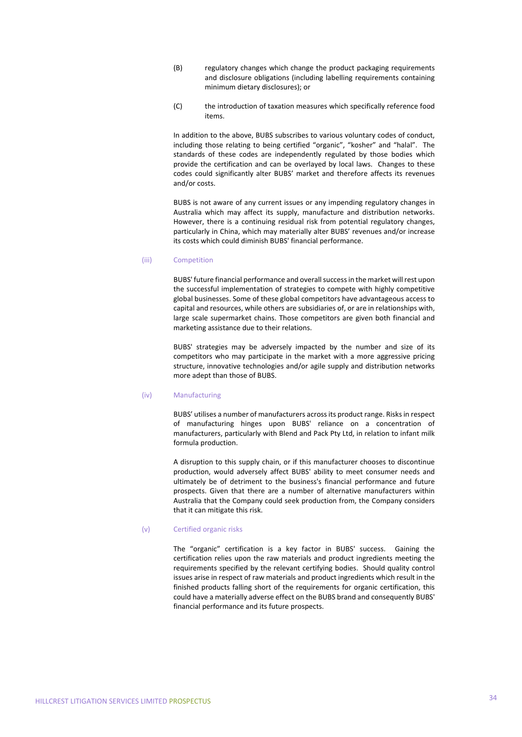- (B) regulatory changes which change the product packaging requirements and disclosure obligations (including labelling requirements containing minimum dietary disclosures); or
- (C) the introduction of taxation measures which specifically reference food items.

In addition to the above, BUBS subscribes to various voluntary codes of conduct, including those relating to being certified "organic", "kosher" and "halal". The standards of these codes are independently regulated by those bodies which provide the certification and can be overlayed by local laws. Changes to these codes could significantly alter BUBS' market and therefore affects its revenues and/or costs.

BUBS is not aware of any current issues or any impending regulatory changes in Australia which may affect its supply, manufacture and distribution networks. However, there is a continuing residual risk from potential regulatory changes, particularly in China, which may materially alter BUBS' revenues and/or increase its costs which could diminish BUBS' financial performance.

### (iii) Competition

BUBS' future financial performance and overall success in the market will rest upon the successful implementation of strategies to compete with highly competitive global businesses. Some of these global competitors have advantageous access to capital and resources, while others are subsidiaries of, or are in relationships with, large scale supermarket chains. Those competitors are given both financial and marketing assistance due to their relations.

BUBS' strategies may be adversely impacted by the number and size of its competitors who may participate in the market with a more aggressive pricing structure, innovative technologies and/or agile supply and distribution networks more adept than those of BUBS.

# (iv) Manufacturing

BUBS' utilises a number of manufacturers acrossits product range. Risksin respect of manufacturing hinges upon BUBS' reliance on a concentration of manufacturers, particularly with Blend and Pack Pty Ltd, in relation to infant milk formula production.

A disruption to this supply chain, or if this manufacturer chooses to discontinue production, would adversely affect BUBS' ability to meet consumer needs and ultimately be of detriment to the business's financial performance and future prospects. Given that there are a number of alternative manufacturers within Australia that the Company could seek production from, the Company considers that it can mitigate this risk.

#### (v) Certified organic risks

The "organic" certification is a key factor in BUBS' success. Gaining the certification relies upon the raw materials and product ingredients meeting the requirements specified by the relevant certifying bodies. Should quality control issues arise in respect of raw materials and product ingredients which result in the finished products falling short of the requirements for organic certification, this could have a materially adverse effect on the BUBS brand and consequently BUBS' financial performance and its future prospects.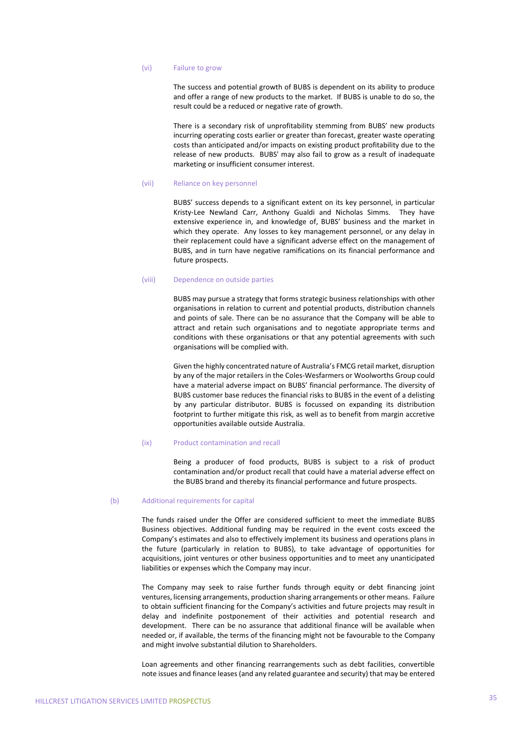#### (vi) Failure to grow

The success and potential growth of BUBS is dependent on its ability to produce and offer a range of new products to the market. If BUBS is unable to do so, the result could be a reduced or negative rate of growth.

There is a secondary risk of unprofitability stemming from BUBS' new products incurring operating costs earlier or greater than forecast, greater waste operating costs than anticipated and/or impacts on existing product profitability due to the release of new products. BUBS' may also fail to grow as a result of inadequate marketing or insufficient consumer interest.

# (vii) Reliance on key personnel

BUBS' success depends to a significant extent on its key personnel, in particular Kristy-Lee Newland Carr, Anthony Gualdi and Nicholas Simms. They have extensive experience in, and knowledge of, BUBS' business and the market in which they operate. Any losses to key management personnel, or any delay in their replacement could have a significant adverse effect on the management of BUBS, and in turn have negative ramifications on its financial performance and future prospects.

#### (viii) Dependence on outside parties

BUBS may pursue a strategy that forms strategic business relationships with other organisations in relation to current and potential products, distribution channels and points of sale. There can be no assurance that the Company will be able to attract and retain such organisations and to negotiate appropriate terms and conditions with these organisations or that any potential agreements with such organisations will be complied with.

Given the highly concentrated nature of Australia's FMCG retail market, disruption by any of the major retailers in the Coles‐Wesfarmers or Woolworths Group could have a material adverse impact on BUBS' financial performance. The diversity of BUBS customer base reduces the financial risks to BUBS in the event of a delisting by any particular distributor. BUBS is focussed on expanding its distribution footprint to further mitigate this risk, as well as to benefit from margin accretive opportunities available outside Australia.

### (ix) Product contamination and recall

Being a producer of food products, BUBS is subject to a risk of product contamination and/or product recall that could have a material adverse effect on the BUBS brand and thereby its financial performance and future prospects.

#### (b) Additional requirements for capital

The funds raised under the Offer are considered sufficient to meet the immediate BUBS Business objectives. Additional funding may be required in the event costs exceed the Company's estimates and also to effectively implement its business and operations plans in the future (particularly in relation to BUBS), to take advantage of opportunities for acquisitions, joint ventures or other business opportunities and to meet any unanticipated liabilities or expenses which the Company may incur.

The Company may seek to raise further funds through equity or debt financing joint ventures, licensing arrangements, production sharing arrangements or other means. Failure to obtain sufficient financing for the Company's activities and future projects may result in delay and indefinite postponement of their activities and potential research and development. There can be no assurance that additional finance will be available when needed or, if available, the terms of the financing might not be favourable to the Company and might involve substantial dilution to Shareholders.

Loan agreements and other financing rearrangements such as debt facilities, convertible note issues and finance leases (and any related guarantee and security) that may be entered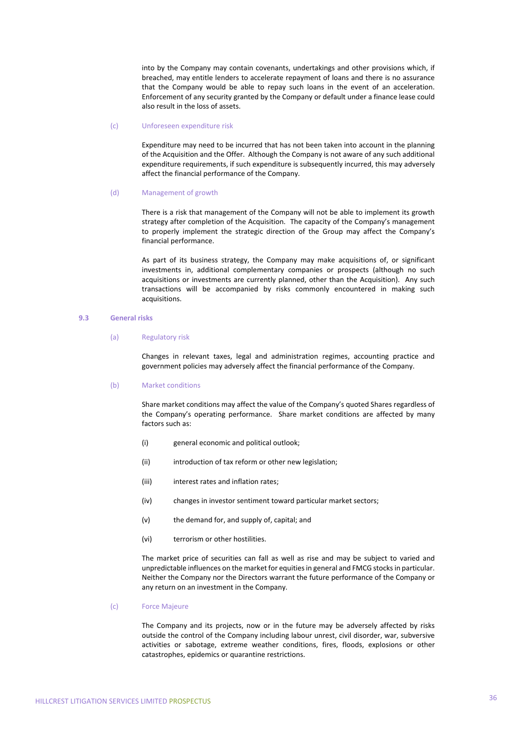into by the Company may contain covenants, undertakings and other provisions which, if breached, may entitle lenders to accelerate repayment of loans and there is no assurance that the Company would be able to repay such loans in the event of an acceleration. Enforcement of any security granted by the Company or default under a finance lease could also result in the loss of assets.

#### (c) Unforeseen expenditure risk

Expenditure may need to be incurred that has not been taken into account in the planning of the Acquisition and the Offer. Although the Company is not aware of any such additional expenditure requirements, if such expenditure is subsequently incurred, this may adversely affect the financial performance of the Company.

#### (d) Management of growth

There is a risk that management of the Company will not be able to implement its growth strategy after completion of the Acquisition. The capacity of the Company's management to properly implement the strategic direction of the Group may affect the Company's financial performance.

As part of its business strategy, the Company may make acquisitions of, or significant investments in, additional complementary companies or prospects (although no such acquisitions or investments are currently planned, other than the Acquisition). Any such transactions will be accompanied by risks commonly encountered in making such acquisitions.

# **9.3 General risks**

#### (a) Regulatory risk

Changes in relevant taxes, legal and administration regimes, accounting practice and government policies may adversely affect the financial performance of the Company.

#### (b) Market conditions

Share market conditions may affect the value of the Company's quoted Shares regardless of the Company's operating performance. Share market conditions are affected by many factors such as:

- (i) general economic and political outlook;
- (ii) introduction of tax reform or other new legislation;
- (iii) interest rates and inflation rates;
- (iv) changes in investor sentiment toward particular market sectors;
- (v) the demand for, and supply of, capital; and
- (vi) terrorism or other hostilities.

The market price of securities can fall as well as rise and may be subject to varied and unpredictable influences on the market for equitiesin general and FMCG stocksin particular. Neither the Company nor the Directors warrant the future performance of the Company or any return on an investment in the Company.

# (c) Force Majeure

The Company and its projects, now or in the future may be adversely affected by risks outside the control of the Company including labour unrest, civil disorder, war, subversive activities or sabotage, extreme weather conditions, fires, floods, explosions or other catastrophes, epidemics or quarantine restrictions.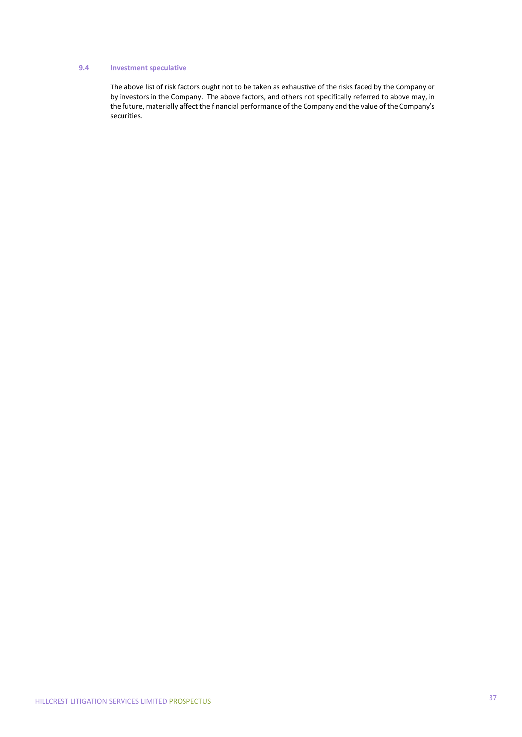## **9.4 Investment speculative**

The above list of risk factors ought not to be taken as exhaustive of the risks faced by the Company or by investors in the Company. The above factors, and others not specifically referred to above may, in the future, materially affect the financial performance of the Company and the value of the Company's securities.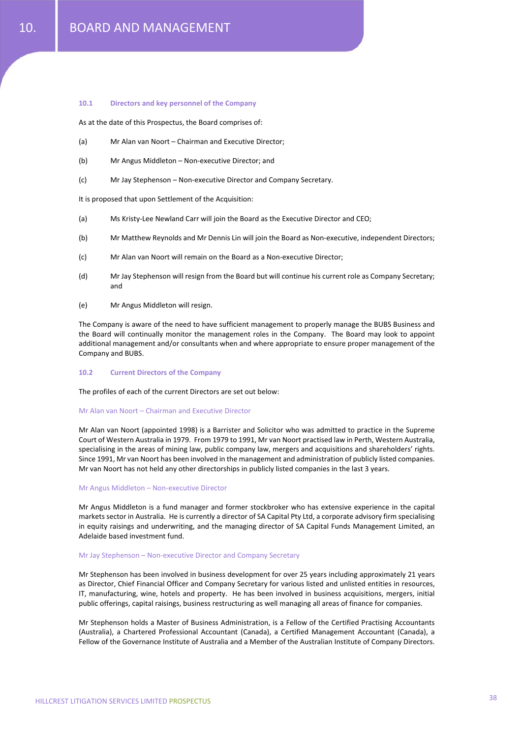### **10.1 Directors and key personnel of the Company**

As at the date of this Prospectus, the Board comprises of:

- (a) Mr Alan van Noort Chairman and Executive Director;
- (b) Mr Angus Middleton Non‐executive Director; and
- (c) Mr Jay Stephenson Non‐executive Director and Company Secretary.

It is proposed that upon Settlement of the Acquisition:

- (a) Ms Kristy‐Lee Newland Carr will join the Board as the Executive Director and CEO;
- (b) Mr Matthew Reynolds and Mr Dennis Lin will join the Board as Non‐executive, independent Directors;
- (c) Mr Alan van Noort will remain on the Board as a Non‐executive Director;
- (d) Mr Jay Stephenson will resign from the Board but will continue his current role as Company Secretary; and
- (e) Mr Angus Middleton will resign.

The Company is aware of the need to have sufficient management to properly manage the BUBS Business and the Board will continually monitor the management roles in the Company. The Board may look to appoint additional management and/or consultants when and where appropriate to ensure proper management of the Company and BUBS.

### **10.2 Current Directors of the Company**

The profiles of each of the current Directors are set out below:

### Mr Alan van Noort – Chairman and Executive Director

Mr Alan van Noort (appointed 1998) is a Barrister and Solicitor who was admitted to practice in the Supreme Court of Western Australia in 1979. From 1979 to 1991, Mr van Noort practised law in Perth, Western Australia, specialising in the areas of mining law, public company law, mergers and acquisitions and shareholders' rights. Since 1991, Mr van Noort has been involved in the management and administration of publicly listed companies. Mr van Noort has not held any other directorships in publicly listed companies in the last 3 years.

#### Mr Angus Middleton – Non‐executive Director

Mr Angus Middleton is a fund manager and former stockbroker who has extensive experience in the capital markets sector in Australia. He is currently a director of SA Capital Pty Ltd, a corporate advisory firm specialising in equity raisings and underwriting, and the managing director of SA Capital Funds Management Limited, an Adelaide based investment fund.

#### Mr Jay Stephenson – Non‐executive Director and Company Secretary

Mr Stephenson has been involved in business development for over 25 years including approximately 21 years as Director, Chief Financial Officer and Company Secretary for various listed and unlisted entities in resources, IT, manufacturing, wine, hotels and property. He has been involved in business acquisitions, mergers, initial public offerings, capital raisings, business restructuring as well managing all areas of finance for companies.

Mr Stephenson holds a Master of Business Administration, is a Fellow of the Certified Practising Accountants (Australia), a Chartered Professional Accountant (Canada), a Certified Management Accountant (Canada), a Fellow of the Governance Institute of Australia and a Member of the Australian Institute of Company Directors.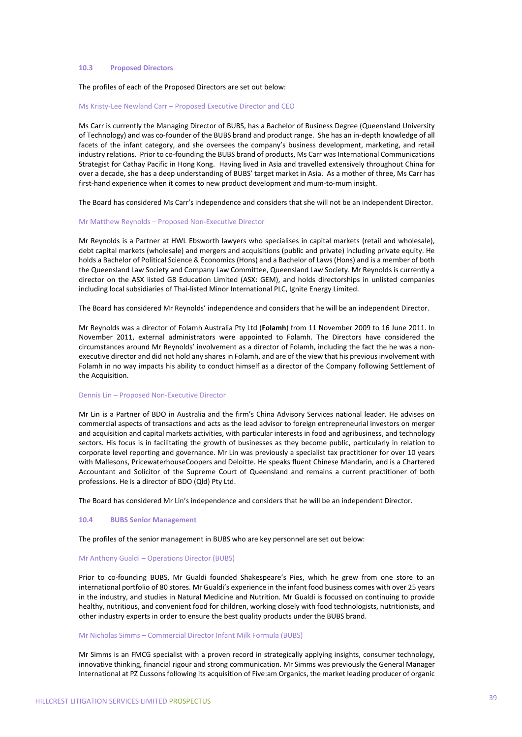### **10.3 Proposed Directors**

### The profiles of each of the Proposed Directors are set out below:

### Ms Kristy‐Lee Newland Carr – Proposed Executive Director and CEO

Ms Carr is currently the Managing Director of BUBS, has a Bachelor of Business Degree (Queensland University of Technology) and was co‐founder of the BUBS brand and product range. She has an in‐depth knowledge of all facets of the infant category, and she oversees the company's business development, marketing, and retail industry relations. Prior to co-founding the BUBS brand of products, Ms Carr was International Communications Strategist for Cathay Pacific in Hong Kong. Having lived in Asia and travelled extensively throughout China for over a decade, she has a deep understanding of BUBS' target market in Asia. As a mother of three, Ms Carr has first-hand experience when it comes to new product development and mum-to-mum insight.

The Board has considered Ms Carr's independence and considers that she will not be an independent Director.

#### Mr Matthew Reynolds – Proposed Non‐Executive Director

Mr Reynolds is a Partner at HWL Ebsworth lawyers who specialises in capital markets (retail and wholesale), debt capital markets (wholesale) and mergers and acquisitions (public and private) including private equity. He holds a Bachelor of Political Science & Economics (Hons) and a Bachelor of Laws (Hons) and is a member of both the Queensland Law Society and Company Law Committee, Queensland Law Society. Mr Reynolds is currently a director on the ASX listed G8 Education Limited (ASX: GEM), and holds directorships in unlisted companies including local subsidiaries of Thai‐listed Minor International PLC, Ignite Energy Limited.

The Board has considered Mr Reynolds' independence and considers that he will be an independent Director.

Mr Reynolds was a director of Folamh Australia Pty Ltd (**Folamh**) from 11 November 2009 to 16 June 2011. In November 2011, external administrators were appointed to Folamh. The Directors have considered the circumstances around Mr Reynolds' involvement as a director of Folamh, including the fact the he was a non‐ executive director and did not hold any shares in Folamh, and are of the view that his previous involvement with Folamh in no way impacts his ability to conduct himself as a director of the Company following Settlement of the Acquisition.

#### Dennis Lin – Proposed Non‐Executive Director

Mr Lin is a Partner of BDO in Australia and the firm's China Advisory Services national leader. He advises on commercial aspects of transactions and acts as the lead advisor to foreign entrepreneurial investors on merger and acquisition and capital markets activities, with particular interests in food and agribusiness, and technology sectors. His focus is in facilitating the growth of businesses as they become public, particularly in relation to corporate level reporting and governance. Mr Lin was previously a specialist tax practitioner for over 10 years with Mallesons, PricewaterhouseCoopers and Deloitte. He speaks fluent Chinese Mandarin, and is a Chartered Accountant and Solicitor of the Supreme Court of Queensland and remains a current practitioner of both professions. He is a director of BDO (Qld) Pty Ltd.

The Board has considered Mr Lin's independence and considers that he will be an independent Director.

### **10.4 BUBS Senior Management**

The profiles of the senior management in BUBS who are key personnel are set out below:

## Mr Anthony Gualdi – Operations Director (BUBS)

Prior to co-founding BUBS, Mr Gualdi founded Shakespeare's Pies, which he grew from one store to an international portfolio of 80 stores. Mr Gualdi's experience in the infant food business comes with over 25 years in the industry, and studies in Natural Medicine and Nutrition. Mr Gualdi is focussed on continuing to provide healthy, nutritious, and convenient food for children, working closely with food technologists, nutritionists, and other industry experts in order to ensure the best quality products under the BUBS brand.

#### Mr Nicholas Simms – Commercial Director Infant Milk Formula (BUBS)

Mr Simms is an FMCG specialist with a proven record in strategically applying insights, consumer technology, innovative thinking, financial rigour and strong communication. Mr Simms was previously the General Manager International at PZ Cussons following its acquisition of Five:am Organics, the market leading producer of organic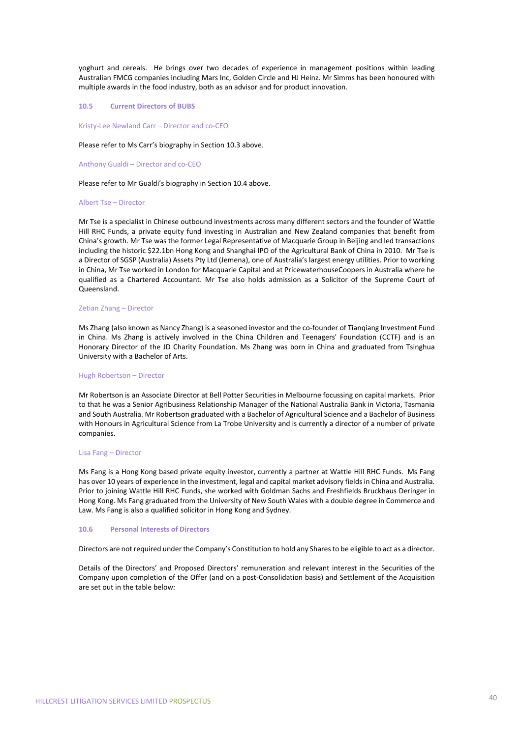yoghurt and cereals. He brings over two decades of experience in management positions within leading Australian FMCG companies including Mars Inc, Golden Circle and HJ Heinz. Mr Simms has been honoured with multiple awards in the food industry, both as an advisor and for product innovation.

### **10.5 Current Directors of BUBS**

Kristy‐Lee Newland Carr – Director and co‐CEO

#### Please refer to Ms Carr's biography in Section 10.3 above.

Anthony Gualdi – Director and co‐CEO

Please refer to Mr Gualdi's biography in Section 10.4 above.

#### Albert Tse – Director

Mr Tse is a specialist in Chinese outbound investments across many different sectors and the founder of Wattle Hill RHC Funds, a private equity fund investing in Australian and New Zealand companies that benefit from China's growth. Mr Tse was the former Legal Representative of Macquarie Group in Beijing and led transactions including the historic \$22.1bn Hong Kong and Shanghai IPO of the Agricultural Bank of China in 2010. Mr Tse is a Director of SGSP (Australia) Assets Pty Ltd (Jemena), one of Australia's largest energy utilities. Prior to working in China, Mr Tse worked in London for Macquarie Capital and at PricewaterhouseCoopers in Australia where he qualified as a Chartered Accountant. Mr Tse also holds admission as a Solicitor of the Supreme Court of Queensland.

### Zetian Zhang – Director

Ms Zhang (also known as Nancy Zhang) is a seasoned investor and the co-founder of Tianqiang Investment Fund in China. Ms Zhang is actively involved in the China Children and Teenagers' Foundation (CCTF) and is an Honorary Director of the JD Charity Foundation. Ms Zhang was born in China and graduated from Tsinghua University with a Bachelor of Arts.

#### Hugh Robertson – Director

Mr Robertson is an Associate Director at Bell Potter Securities in Melbourne focussing on capital markets. Prior to that he was a Senior Agribusiness Relationship Manager of the National Australia Bank in Victoria, Tasmania and South Australia. Mr Robertson graduated with a Bachelor of Agricultural Science and a Bachelor of Business with Honours in Agricultural Science from La Trobe University and is currently a director of a number of private companies.

### Lisa Fang – Director

Ms Fang is a Hong Kong based private equity investor, currently a partner at Wattle Hill RHC Funds. Ms Fang has over 10 years of experience in the investment, legal and capital market advisory fields in China and Australia. Prior to joining Wattle Hill RHC Funds, she worked with Goldman Sachs and Freshfields Bruckhaus Deringer in Hong Kong. Ms Fang graduated from the University of New South Wales with a double degree in Commerce and Law. Ms Fang is also a qualified solicitor in Hong Kong and Sydney.

#### **10.6 Personal Interests of Directors**

Directors are not required under the Company's Constitution to hold any Shares to be eligible to act as a director.

Details of the Directors' and Proposed Directors' remuneration and relevant interest in the Securities of the Company upon completion of the Offer (and on a post‐Consolidation basis) and Settlement of the Acquisition are set out in the table below: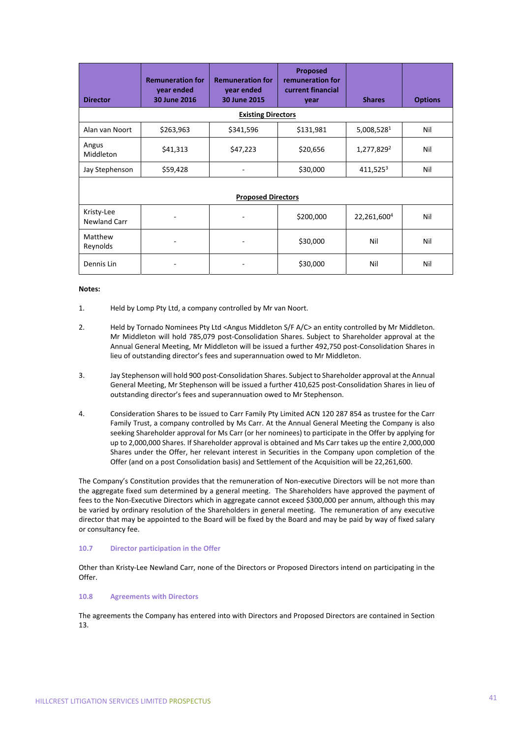| <b>Director</b>            | <b>Remuneration for</b><br>year ended<br>30 June 2016 | <b>Remuneration for</b><br>year ended<br>30 June 2015 | <b>Proposed</b><br>remuneration for<br>current financial<br>vear | <b>Shares</b>           | <b>Options</b> |
|----------------------------|-------------------------------------------------------|-------------------------------------------------------|------------------------------------------------------------------|-------------------------|----------------|
|                            |                                                       | <b>Existing Directors</b>                             |                                                                  |                         |                |
| Alan van Noort             | \$263,963                                             | \$341,596                                             | \$131,981                                                        | 5,008,5281              | Nil            |
| Angus<br>Middleton         | \$41,313                                              | \$47,223                                              | \$20,656                                                         | 1,277,829 <sup>2</sup>  | Nil            |
| Jay Stephenson             | \$59,428                                              |                                                       | \$30,000                                                         | $411,525^3$             | Nil            |
| <b>Proposed Directors</b>  |                                                       |                                                       |                                                                  |                         |                |
| Kristy-Lee<br>Newland Carr |                                                       |                                                       | \$200,000                                                        | 22,261,600 <sup>4</sup> | Nil            |
| Matthew<br>Reynolds        |                                                       |                                                       | \$30,000                                                         | Nil                     | Nil            |
| Dennis Lin                 |                                                       |                                                       | \$30,000                                                         | Nil                     | Nil            |

### **Notes:**

- 1. Held by Lomp Pty Ltd, a company controlled by Mr van Noort.
- 2. Held by Tornado Nominees Pty Ltd <Angus Middleton S/F A/C> an entity controlled by Mr Middleton. Mr Middleton will hold 785,079 post‐Consolidation Shares. Subject to Shareholder approval at the Annual General Meeting, Mr Middleton will be issued a further 492,750 post‐Consolidation Shares in lieu of outstanding director's fees and superannuation owed to Mr Middleton.
- 3. Jay Stephenson will hold 900 post‐Consolidation Shares. Subject to Shareholder approval at the Annual General Meeting, Mr Stephenson will be issued a further 410,625 post‐Consolidation Shares in lieu of outstanding director's fees and superannuation owed to Mr Stephenson.
- 4. Consideration Shares to be issued to Carr Family Pty Limited ACN 120 287 854 as trustee for the Carr Family Trust, a company controlled by Ms Carr. At the Annual General Meeting the Company is also seeking Shareholder approval for Ms Carr (or her nominees) to participate in the Offer by applying for up to 2,000,000 Shares. If Shareholder approval is obtained and Ms Carr takes up the entire 2,000,000 Shares under the Offer, her relevant interest in Securities in the Company upon completion of the Offer (and on a post Consolidation basis) and Settlement of the Acquisition will be 22,261,600.

The Company's Constitution provides that the remuneration of Non-executive Directors will be not more than the aggregate fixed sum determined by a general meeting. The Shareholders have approved the payment of fees to the Non-Executive Directors which in aggregate cannot exceed \$300,000 per annum, although this may be varied by ordinary resolution of the Shareholders in general meeting. The remuneration of any executive director that may be appointed to the Board will be fixed by the Board and may be paid by way of fixed salary or consultancy fee.

## **10.7 Director participation in the Offer**

Other than Kristy‐Lee Newland Carr, none of the Directors or Proposed Directors intend on participating in the Offer.

### **10.8 Agreements with Directors**

The agreements the Company has entered into with Directors and Proposed Directors are contained in Section 13.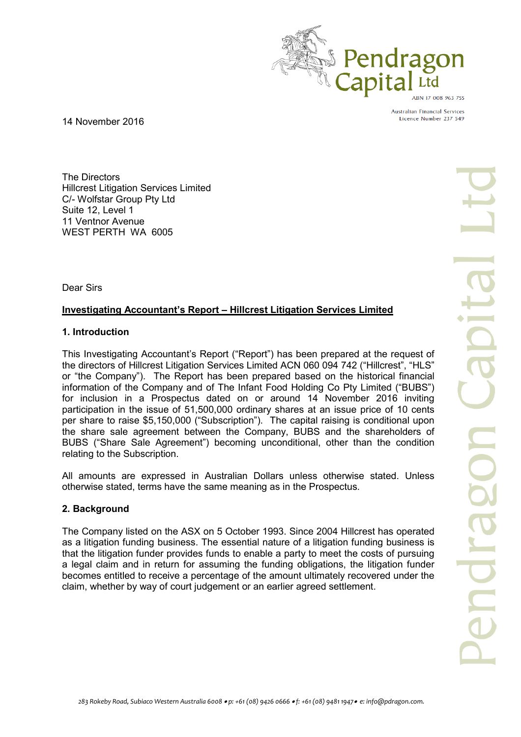

Australian Financial Services Licence Number 237 549

14 November 2016

The Directors Hillcrest Litigation Services Limited C/- Wolfstar Group Pty Ltd Suite 12, Level 1 11 Ventnor Avenue WEST PERTH WA 6005

Dear Sirs

# **Investigating Accountant's Report – Hillcrest Litigation Services Limited**

# **1. Introduction**

This Investigating Accountant's Report ("Report") has been prepared at the request of the directors of Hillcrest Litigation Services Limited ACN 060 094 742 ("Hillcrest", "HLS" or "the Company"). The Report has been prepared based on the historical financial information of the Company and of The Infant Food Holding Co Pty Limited ("BUBS") for inclusion in a Prospectus dated on or around 14 November 2016 inviting participation in the issue of 51,500,000 ordinary shares at an issue price of 10 cents per share to raise \$5,150,000 ("Subscription"). The capital raising is conditional upon the share sale agreement between the Company, BUBS and the shareholders of BUBS ("Share Sale Agreement") becoming unconditional, other than the condition relating to the Subscription.

All amounts are expressed in Australian Dollars unless otherwise stated. Unless otherwise stated, terms have the same meaning as in the Prospectus.

# **2. Background**

The Company listed on the ASX on 5 October 1993. Since 2004 Hillcrest has operated as a litigation funding business. The essential nature of a litigation funding business is that the litigation funder provides funds to enable a party to meet the costs of pursuing a legal claim and in return for assuming the funding obligations, the litigation funder becomes entitled to receive a percentage of the amount ultimately recovered under the claim, whether by way of court judgement or an earlier agreed settlement.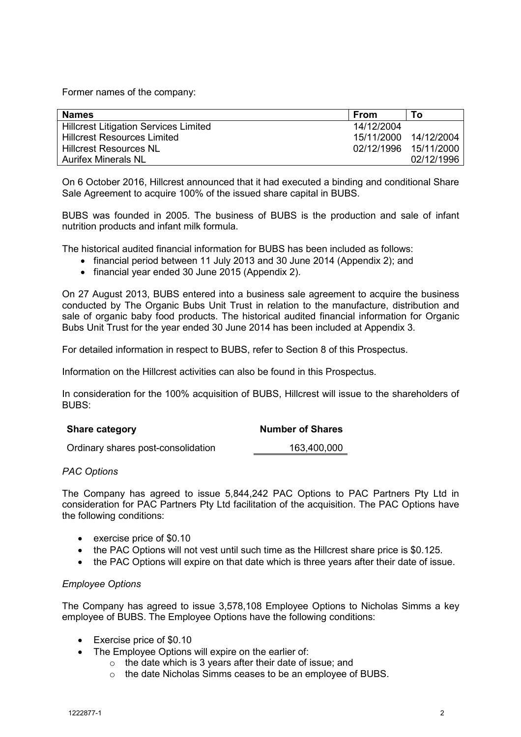Former names of the company:

| <b>Names</b>                                 | <b>From</b>           | To                    |
|----------------------------------------------|-----------------------|-----------------------|
| <b>Hillcrest Litigation Services Limited</b> | 14/12/2004            |                       |
| <b>Hillcrest Resources Limited</b>           |                       | 15/11/2000 14/12/2004 |
| <b>Hillcrest Resources NL</b>                | 02/12/1996 15/11/2000 |                       |
| <b>Aurifex Minerals NL</b>                   |                       | 02/12/1996            |

On 6 October 2016, Hillcrest announced that it had executed a binding and conditional Share Sale Agreement to acquire 100% of the issued share capital in BUBS.

BUBS was founded in 2005. The business of BUBS is the production and sale of infant nutrition products and infant milk formula.

The historical audited financial information for BUBS has been included as follows:

- financial period between 11 July 2013 and 30 June 2014 (Appendix 2); and
- financial year ended 30 June 2015 (Appendix 2).

On 27 August 2013, BUBS entered into a business sale agreement to acquire the business conducted by The Organic Bubs Unit Trust in relation to the manufacture, distribution and sale of organic baby food products. The historical audited financial information for Organic Bubs Unit Trust for the year ended 30 June 2014 has been included at Appendix 3.

For detailed information in respect to BUBS, refer to Section 8 of this Prospectus.

Information on the Hillcrest activities can also be found in this Prospectus.

In consideration for the 100% acquisition of BUBS, Hillcrest will issue to the shareholders of BUBS:

| <b>Share category</b>              | <b>Number of Shares</b> |
|------------------------------------|-------------------------|
| Ordinary shares post-consolidation | 163,400,000             |

# *PAC Options*

The Company has agreed to issue 5,844,242 PAC Options to PAC Partners Pty Ltd in consideration for PAC Partners Pty Ltd facilitation of the acquisition. The PAC Options have the following conditions:

- exercise price of \$0.10
- the PAC Options will not vest until such time as the Hillcrest share price is \$0.125.
- the PAC Options will expire on that date which is three years after their date of issue.

# *Employee Options*

The Company has agreed to issue 3,578,108 Employee Options to Nicholas Simms a key employee of BUBS. The Employee Options have the following conditions:

- Exercise price of \$0.10
- The Employee Options will expire on the earlier of:
	- o the date which is 3 years after their date of issue; and
	- o the date Nicholas Simms ceases to be an employee of BUBS.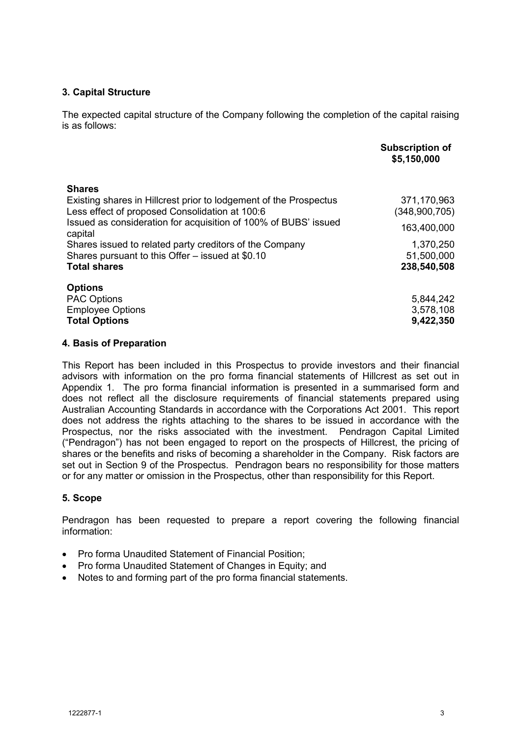# **3. Capital Structure**

The expected capital structure of the Company following the completion of the capital raising is as follows:

|                                                                                                                     | <b>Subscription of</b><br>\$5,150,000 |
|---------------------------------------------------------------------------------------------------------------------|---------------------------------------|
| <b>Shares</b>                                                                                                       |                                       |
| Existing shares in Hillcrest prior to lodgement of the Prospectus<br>Less effect of proposed Consolidation at 100:6 | 371,170,963<br>(348,900,705)          |
| Issued as consideration for acquisition of 100% of BUBS' issued<br>capital                                          | 163,400,000                           |
| Shares issued to related party creditors of the Company<br>Shares pursuant to this Offer – issued at \$0.10         | 1,370,250<br>51,500,000               |
| <b>Total shares</b>                                                                                                 | 238,540,508                           |
| <b>Options</b>                                                                                                      |                                       |
| <b>PAC Options</b>                                                                                                  | 5,844,242                             |
| <b>Employee Options</b>                                                                                             | 3,578,108                             |
| <b>Total Options</b>                                                                                                | 9,422,350                             |

## **4. Basis of Preparation**

This Report has been included in this Prospectus to provide investors and their financial advisors with information on the pro forma financial statements of Hillcrest as set out in Appendix 1. The pro forma financial information is presented in a summarised form and does not reflect all the disclosure requirements of financial statements prepared using Australian Accounting Standards in accordance with the Corporations Act 2001. This report does not address the rights attaching to the shares to be issued in accordance with the Prospectus, nor the risks associated with the investment. Pendragon Capital Limited ("Pendragon") has not been engaged to report on the prospects of Hillcrest, the pricing of shares or the benefits and risks of becoming a shareholder in the Company. Risk factors are set out in Section 9 of the Prospectus. Pendragon bears no responsibility for those matters or for any matter or omission in the Prospectus, other than responsibility for this Report.

# **5. Scope**

Pendragon has been requested to prepare a report covering the following financial information:

- Pro forma Unaudited Statement of Financial Position;
- Pro forma Unaudited Statement of Changes in Equity: and
- Notes to and forming part of the pro forma financial statements.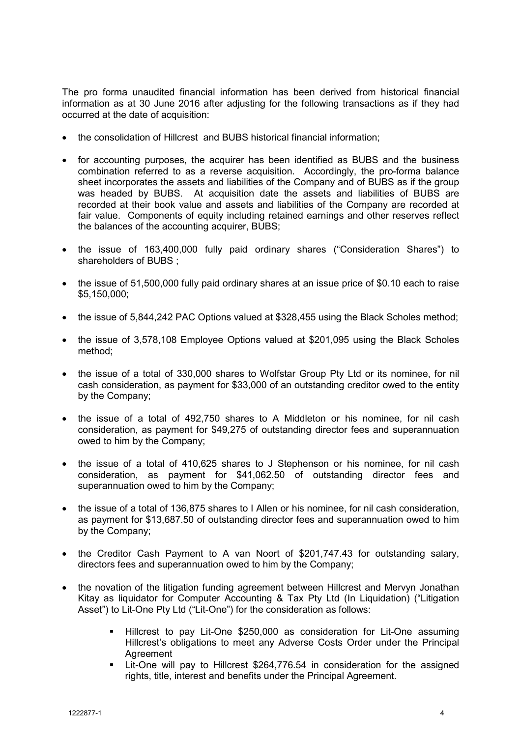The pro forma unaudited financial information has been derived from historical financial information as at 30 June 2016 after adjusting for the following transactions as if they had occurred at the date of acquisition:

- the consolidation of Hillcrest and BUBS historical financial information:
- for accounting purposes, the acquirer has been identified as BUBS and the business combination referred to as a reverse acquisition. Accordingly, the pro-forma balance sheet incorporates the assets and liabilities of the Company and of BUBS as if the group was headed by BUBS. At acquisition date the assets and liabilities of BUBS are recorded at their book value and assets and liabilities of the Company are recorded at fair value. Components of equity including retained earnings and other reserves reflect the balances of the accounting acquirer, BUBS;
- the issue of 163,400,000 fully paid ordinary shares ("Consideration Shares") to shareholders of BUBS ;
- the issue of 51,500,000 fully paid ordinary shares at an issue price of \$0.10 each to raise \$5,150,000;
- the issue of 5,844,242 PAC Options valued at \$328,455 using the Black Scholes method:
- the issue of 3,578,108 Employee Options valued at \$201,095 using the Black Scholes method;
- the issue of a total of 330,000 shares to Wolfstar Group Pty Ltd or its nominee, for nil cash consideration, as payment for \$33,000 of an outstanding creditor owed to the entity by the Company;
- the issue of a total of 492,750 shares to A Middleton or his nominee, for nil cash consideration, as payment for \$49,275 of outstanding director fees and superannuation owed to him by the Company;
- the issue of a total of 410,625 shares to J Stephenson or his nominee, for nil cash consideration, as payment for \$41,062.50 of outstanding director fees and superannuation owed to him by the Company;
- the issue of a total of 136,875 shares to I Allen or his nominee, for nil cash consideration, as payment for \$13,687.50 of outstanding director fees and superannuation owed to him by the Company;
- the Creditor Cash Payment to A van Noort of \$201,747.43 for outstanding salary, directors fees and superannuation owed to him by the Company;
- the novation of the litigation funding agreement between Hillcrest and Mervyn Jonathan Kitay as liquidator for Computer Accounting & Tax Pty Ltd (In Liquidation) ("Litigation Asset") to Lit-One Pty Ltd ("Lit-One") for the consideration as follows:
	- Hillcrest to pay Lit-One \$250,000 as consideration for Lit-One assuming Hillcrest's obligations to meet any Adverse Costs Order under the Principal **Agreement**
	- Lit-One will pay to Hillcrest \$264,776.54 in consideration for the assigned rights, title, interest and benefits under the Principal Agreement.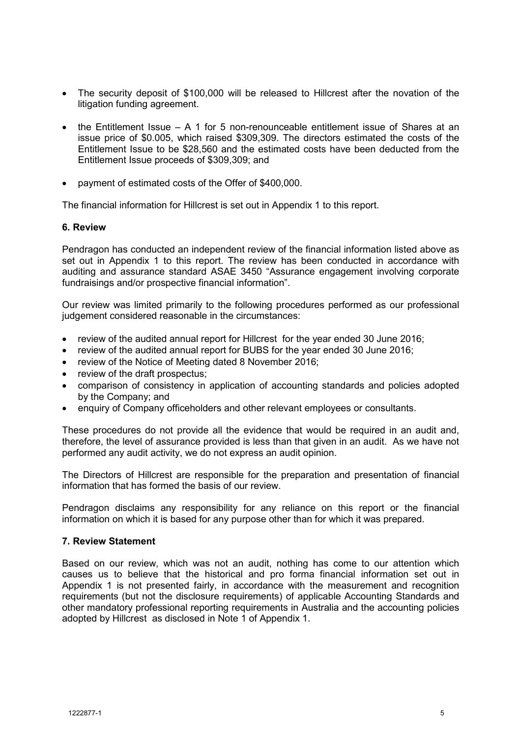- The security deposit of \$100,000 will be released to Hillcrest after the novation of the litigation funding agreement.
- the Entitlement Issue A 1 for 5 non-renounceable entitlement issue of Shares at an issue price of \$0.005, which raised \$309,309. The directors estimated the costs of the Entitlement Issue to be \$28,560 and the estimated costs have been deducted from the Entitlement Issue proceeds of \$309,309; and
- payment of estimated costs of the Offer of \$400,000.

The financial information for Hillcrest is set out in Appendix 1 to this report.

## **6. Review**

Pendragon has conducted an independent review of the financial information listed above as set out in Appendix 1 to this report. The review has been conducted in accordance with auditing and assurance standard ASAE 3450 "Assurance engagement involving corporate fundraisings and/or prospective financial information".

Our review was limited primarily to the following procedures performed as our professional judgement considered reasonable in the circumstances:

- review of the audited annual report for Hillcrest for the year ended 30 June 2016;
- review of the audited annual report for BUBS for the year ended 30 June 2016;
- review of the Notice of Meeting dated 8 November 2016;
- review of the draft prospectus;
- comparison of consistency in application of accounting standards and policies adopted by the Company; and
- enquiry of Company officeholders and other relevant employees or consultants.

These procedures do not provide all the evidence that would be required in an audit and, therefore, the level of assurance provided is less than that given in an audit. As we have not performed any audit activity, we do not express an audit opinion.

The Directors of Hillcrest are responsible for the preparation and presentation of financial information that has formed the basis of our review.

Pendragon disclaims any responsibility for any reliance on this report or the financial information on which it is based for any purpose other than for which it was prepared.

## **7. Review Statement**

Based on our review, which was not an audit, nothing has come to our attention which causes us to believe that the historical and pro forma financial information set out in Appendix 1 is not presented fairly, in accordance with the measurement and recognition requirements (but not the disclosure requirements) of applicable Accounting Standards and other mandatory professional reporting requirements in Australia and the accounting policies adopted by Hillcrest as disclosed in Note 1 of Appendix 1.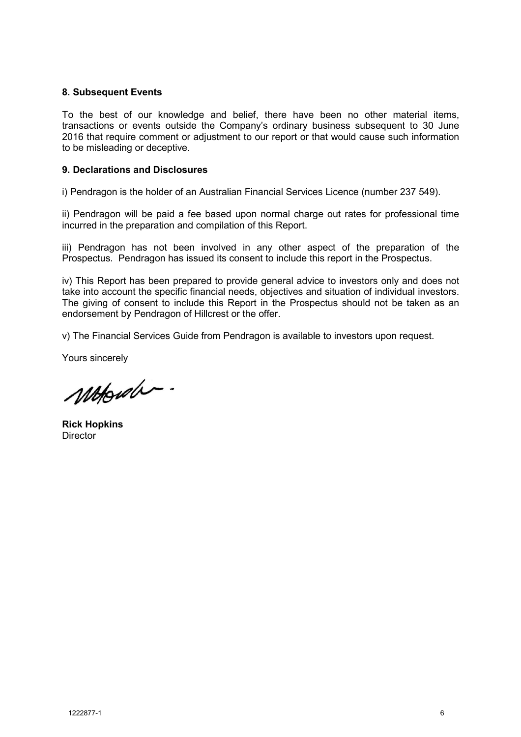## **8. Subsequent Events**

To the best of our knowledge and belief, there have been no other material items, transactions or events outside the Company's ordinary business subsequent to 30 June 2016 that require comment or adjustment to our report or that would cause such information to be misleading or deceptive.

## **9. Declarations and Disclosures**

i) Pendragon is the holder of an Australian Financial Services Licence (number 237 549).

ii) Pendragon will be paid a fee based upon normal charge out rates for professional time incurred in the preparation and compilation of this Report.

iii) Pendragon has not been involved in any other aspect of the preparation of the Prospectus. Pendragon has issued its consent to include this report in the Prospectus.

iv) This Report has been prepared to provide general advice to investors only and does not take into account the specific financial needs, objectives and situation of individual investors. The giving of consent to include this Report in the Prospectus should not be taken as an endorsement by Pendragon of Hillcrest or the offer.

v) The Financial Services Guide from Pendragon is available to investors upon request.

Yours sincerely

Motorda.

**Rick Hopkins Director**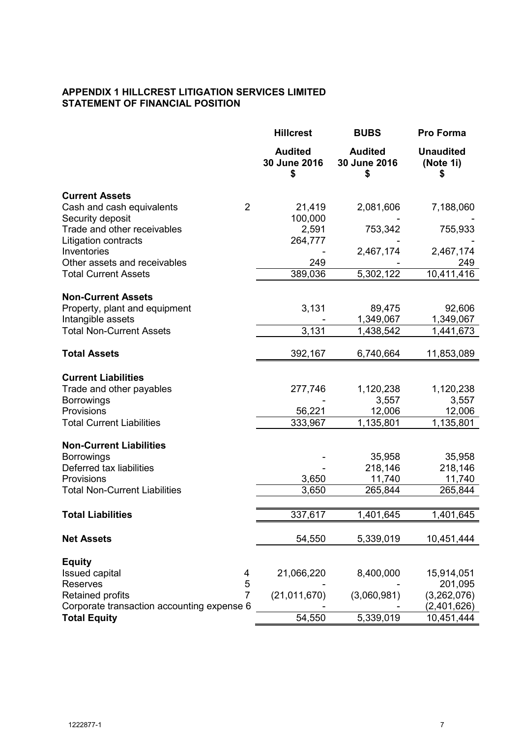# **APPENDIX 1 HILLCREST LITIGATION SERVICES LIMITED STATEMENT OF FINANCIAL POSITION**

|                                                     | <b>Hillcrest</b>                     | <b>BUBS</b>                          | Pro Forma                           |
|-----------------------------------------------------|--------------------------------------|--------------------------------------|-------------------------------------|
|                                                     | <b>Audited</b><br>30 June 2016<br>\$ | <b>Audited</b><br>30 June 2016<br>\$ | <b>Unaudited</b><br>(Note 1i)<br>\$ |
| <b>Current Assets</b>                               |                                      |                                      |                                     |
| $\overline{2}$<br>Cash and cash equivalents         | 21,419                               | 2,081,606                            | 7,188,060                           |
| Security deposit                                    | 100,000                              |                                      |                                     |
| Trade and other receivables<br>Litigation contracts | 2,591<br>264,777                     | 753,342                              | 755,933                             |
| Inventories                                         |                                      | 2,467,174                            | 2,467,174                           |
| Other assets and receivables                        | 249                                  |                                      | 249                                 |
| <b>Total Current Assets</b>                         | 389,036                              | 5,302,122                            | 10,411,416                          |
|                                                     |                                      |                                      |                                     |
| <b>Non-Current Assets</b>                           |                                      |                                      |                                     |
| Property, plant and equipment<br>Intangible assets  | 3,131                                | 89,475<br>1,349,067                  | 92,606<br>1,349,067                 |
| <b>Total Non-Current Assets</b>                     | 3,131                                | 1,438,542                            | 1,441,673                           |
|                                                     |                                      |                                      |                                     |
| <b>Total Assets</b>                                 | 392,167                              | 6,740,664                            | 11,853,089                          |
| <b>Current Liabilities</b>                          |                                      |                                      |                                     |
| Trade and other payables                            | 277,746                              | 1,120,238                            | 1,120,238                           |
| <b>Borrowings</b>                                   |                                      | 3,557                                | 3,557                               |
| Provisions                                          | 56,221                               | 12,006                               | 12,006                              |
| <b>Total Current Liabilities</b>                    | 333,967                              | 1,135,801                            | 1,135,801                           |
| <b>Non-Current Liabilities</b>                      |                                      |                                      |                                     |
| <b>Borrowings</b>                                   |                                      | 35,958                               | 35,958                              |
| Deferred tax liabilities                            |                                      | 218,146                              | 218,146                             |
| Provisions                                          | 3,650                                | 11,740                               | 11,740                              |
| <b>Total Non-Current Liabilities</b>                | 3,650                                | 265,844                              | 265,844                             |
| <b>Total Liabilities</b>                            | 337,617                              | 1,401,645                            | 1,401,645                           |
|                                                     |                                      |                                      |                                     |
| <b>Net Assets</b>                                   | 54,550                               | 5,339,019                            | 10,451,444                          |
|                                                     |                                      |                                      |                                     |
| <b>Equity</b><br><b>Issued capital</b><br>4         | 21,066,220                           | 8,400,000                            | 15,914,051                          |
| 5<br><b>Reserves</b>                                |                                      |                                      | 201,095                             |
| 7<br><b>Retained profits</b>                        | (21, 011, 670)                       | (3,060,981)                          | (3,262,076)                         |
| Corporate transaction accounting expense 6          |                                      |                                      | (2,401,626)                         |
| <b>Total Equity</b>                                 | 54,550                               | 5,339,019                            | 10,451,444                          |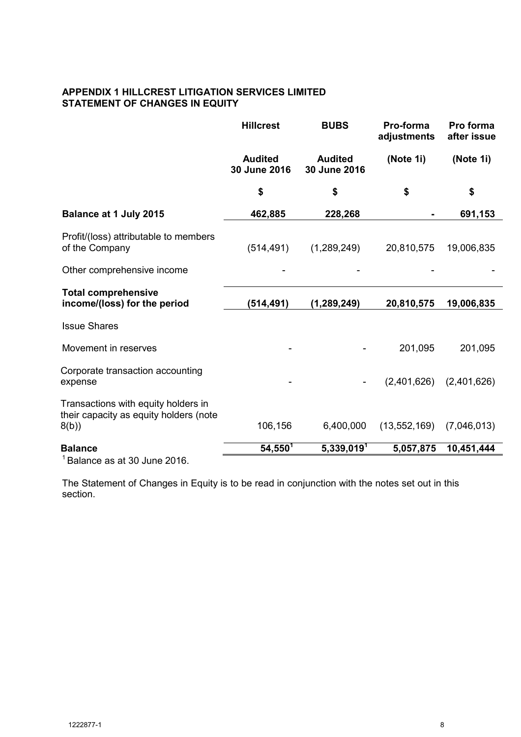# **APPENDIX 1 HILLCREST LITIGATION SERVICES LIMITED STATEMENT OF CHANGES IN EQUITY**

|                                                                                       | <b>Hillcrest</b>               | <b>BUBS</b>                    | Pro-forma<br>adjustments | Pro forma<br>after issue |
|---------------------------------------------------------------------------------------|--------------------------------|--------------------------------|--------------------------|--------------------------|
|                                                                                       | <b>Audited</b><br>30 June 2016 | <b>Audited</b><br>30 June 2016 | (Note 1i)                | (Note 1i)                |
|                                                                                       | \$                             | \$                             | \$                       | \$                       |
| Balance at 1 July 2015                                                                | 462,885                        | 228,268                        |                          | 691,153                  |
| Profit/(loss) attributable to members<br>of the Company                               | (514, 491)                     | (1,289,249)                    | 20,810,575               | 19,006,835               |
| Other comprehensive income                                                            |                                |                                |                          |                          |
| <b>Total comprehensive</b><br>income/(loss) for the period                            | (514, 491)                     | (1, 289, 249)                  | 20,810,575               | 19,006,835               |
| <b>Issue Shares</b>                                                                   |                                |                                |                          |                          |
| Movement in reserves                                                                  |                                |                                | 201,095                  | 201,095                  |
| Corporate transaction accounting<br>expense                                           |                                |                                | (2,401,626)              | (2,401,626)              |
| Transactions with equity holders in<br>their capacity as equity holders (note<br>8(b) | 106,156                        | 6,400,000                      | (13, 552, 169)           | (7,046,013)              |
| <b>Balance</b><br>$1 - 1$                                                             | $54,550^{T}$                   | 5,339,019 <sup>1</sup>         | 5,057,875                | 10,451,444               |

<sup>1</sup>Balance as at 30 June 2016.

The Statement of Changes in Equity is to be read in conjunction with the notes set out in this section.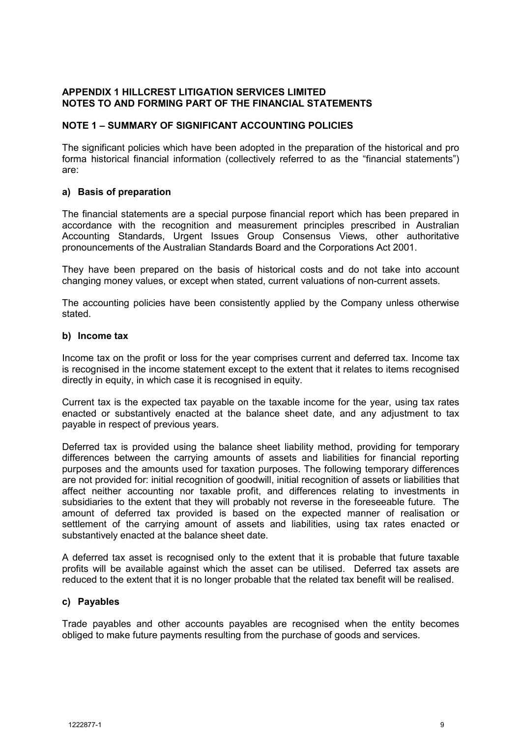## **NOTE 1 – SUMMARY OF SIGNIFICANT ACCOUNTING POLICIES**

The significant policies which have been adopted in the preparation of the historical and pro forma historical financial information (collectively referred to as the "financial statements") are:

# **a) Basis of preparation**

The financial statements are a special purpose financial report which has been prepared in accordance with the recognition and measurement principles prescribed in Australian Accounting Standards, Urgent Issues Group Consensus Views, other authoritative pronouncements of the Australian Standards Board and the Corporations Act 2001.

They have been prepared on the basis of historical costs and do not take into account changing money values, or except when stated, current valuations of non-current assets.

The accounting policies have been consistently applied by the Company unless otherwise stated.

## **b) Income tax**

Income tax on the profit or loss for the year comprises current and deferred tax. Income tax is recognised in the income statement except to the extent that it relates to items recognised directly in equity, in which case it is recognised in equity.

Current tax is the expected tax payable on the taxable income for the year, using tax rates enacted or substantively enacted at the balance sheet date, and any adjustment to tax payable in respect of previous years.

Deferred tax is provided using the balance sheet liability method, providing for temporary differences between the carrying amounts of assets and liabilities for financial reporting purposes and the amounts used for taxation purposes. The following temporary differences are not provided for: initial recognition of goodwill, initial recognition of assets or liabilities that affect neither accounting nor taxable profit, and differences relating to investments in subsidiaries to the extent that they will probably not reverse in the foreseeable future. The amount of deferred tax provided is based on the expected manner of realisation or settlement of the carrying amount of assets and liabilities, using tax rates enacted or substantively enacted at the balance sheet date.

A deferred tax asset is recognised only to the extent that it is probable that future taxable profits will be available against which the asset can be utilised. Deferred tax assets are reduced to the extent that it is no longer probable that the related tax benefit will be realised.

# **c) Payables**

Trade payables and other accounts payables are recognised when the entity becomes obliged to make future payments resulting from the purchase of goods and services.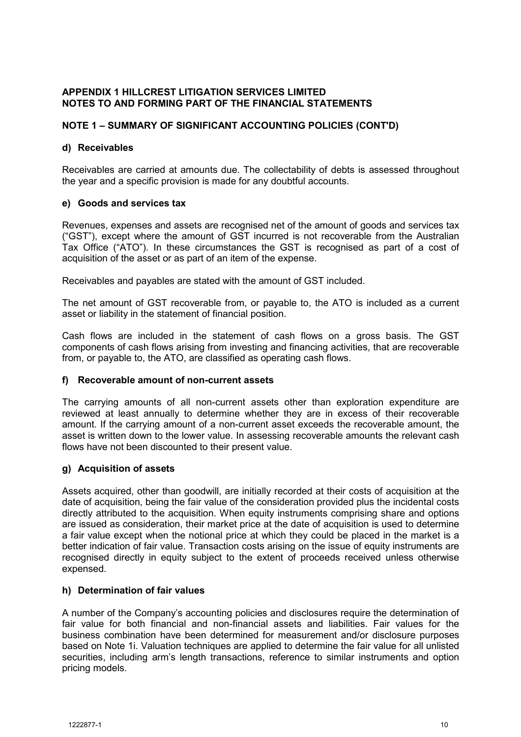# **NOTE 1 – SUMMARY OF SIGNIFICANT ACCOUNTING POLICIES (CONT'D)**

# **d) Receivables**

Receivables are carried at amounts due. The collectability of debts is assessed throughout the year and a specific provision is made for any doubtful accounts.

# **e) Goods and services tax**

Revenues, expenses and assets are recognised net of the amount of goods and services tax ("GST"), except where the amount of GST incurred is not recoverable from the Australian Tax Office ("ATO"). In these circumstances the GST is recognised as part of a cost of acquisition of the asset or as part of an item of the expense.

Receivables and payables are stated with the amount of GST included.

The net amount of GST recoverable from, or payable to, the ATO is included as a current asset or liability in the statement of financial position.

Cash flows are included in the statement of cash flows on a gross basis. The GST components of cash flows arising from investing and financing activities, that are recoverable from, or payable to, the ATO, are classified as operating cash flows.

# **f) Recoverable amount of non-current assets**

The carrying amounts of all non-current assets other than exploration expenditure are reviewed at least annually to determine whether they are in excess of their recoverable amount. If the carrying amount of a non-current asset exceeds the recoverable amount, the asset is written down to the lower value. In assessing recoverable amounts the relevant cash flows have not been discounted to their present value.

# **g) Acquisition of assets**

Assets acquired, other than goodwill, are initially recorded at their costs of acquisition at the date of acquisition, being the fair value of the consideration provided plus the incidental costs directly attributed to the acquisition. When equity instruments comprising share and options are issued as consideration, their market price at the date of acquisition is used to determine a fair value except when the notional price at which they could be placed in the market is a better indication of fair value. Transaction costs arising on the issue of equity instruments are recognised directly in equity subject to the extent of proceeds received unless otherwise expensed.

# **h) Determination of fair values**

A number of the Company's accounting policies and disclosures require the determination of fair value for both financial and non-financial assets and liabilities. Fair values for the business combination have been determined for measurement and/or disclosure purposes based on Note 1i. Valuation techniques are applied to determine the fair value for all unlisted securities, including arm's length transactions, reference to similar instruments and option pricing models.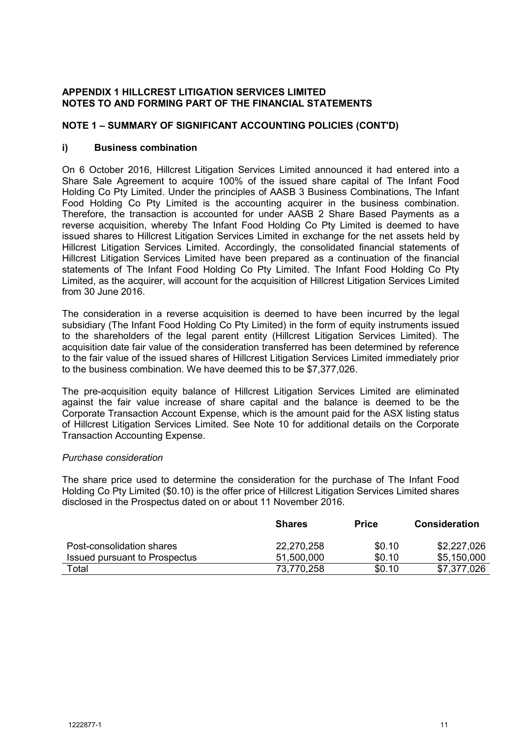# **NOTE 1 – SUMMARY OF SIGNIFICANT ACCOUNTING POLICIES (CONT'D)**

## **i) Business combination**

On 6 October 2016, Hillcrest Litigation Services Limited announced it had entered into a Share Sale Agreement to acquire 100% of the issued share capital of The Infant Food Holding Co Pty Limited. Under the principles of AASB 3 Business Combinations, The Infant Food Holding Co Pty Limited is the accounting acquirer in the business combination. Therefore, the transaction is accounted for under AASB 2 Share Based Payments as a reverse acquisition, whereby The Infant Food Holding Co Pty Limited is deemed to have issued shares to Hillcrest Litigation Services Limited in exchange for the net assets held by Hillcrest Litigation Services Limited. Accordingly, the consolidated financial statements of Hillcrest Litigation Services Limited have been prepared as a continuation of the financial statements of The Infant Food Holding Co Pty Limited. The Infant Food Holding Co Pty Limited, as the acquirer, will account for the acquisition of Hillcrest Litigation Services Limited from 30 June 2016.

The consideration in a reverse acquisition is deemed to have been incurred by the legal subsidiary (The Infant Food Holding Co Pty Limited) in the form of equity instruments issued to the shareholders of the legal parent entity (Hillcrest Litigation Services Limited). The acquisition date fair value of the consideration transferred has been determined by reference to the fair value of the issued shares of Hillcrest Litigation Services Limited immediately prior to the business combination. We have deemed this to be \$7,377,026.

The pre-acquisition equity balance of Hillcrest Litigation Services Limited are eliminated against the fair value increase of share capital and the balance is deemed to be the Corporate Transaction Account Expense, which is the amount paid for the ASX listing status of Hillcrest Litigation Services Limited. See Note 10 for additional details on the Corporate Transaction Accounting Expense.

## *Purchase consideration*

The share price used to determine the consideration for the purchase of The Infant Food Holding Co Pty Limited (\$0.10) is the offer price of Hillcrest Litigation Services Limited shares disclosed in the Prospectus dated on or about 11 November 2016.

|                               | <b>Shares</b> | <b>Price</b> | Consideration |
|-------------------------------|---------------|--------------|---------------|
| Post-consolidation shares     | 22,270,258    | \$0.10       | \$2,227,026   |
| Issued pursuant to Prospectus | 51,500,000    | \$0.10       | \$5,150,000   |
| Total                         | 73,770,258    | \$0.10       | \$7,377,026   |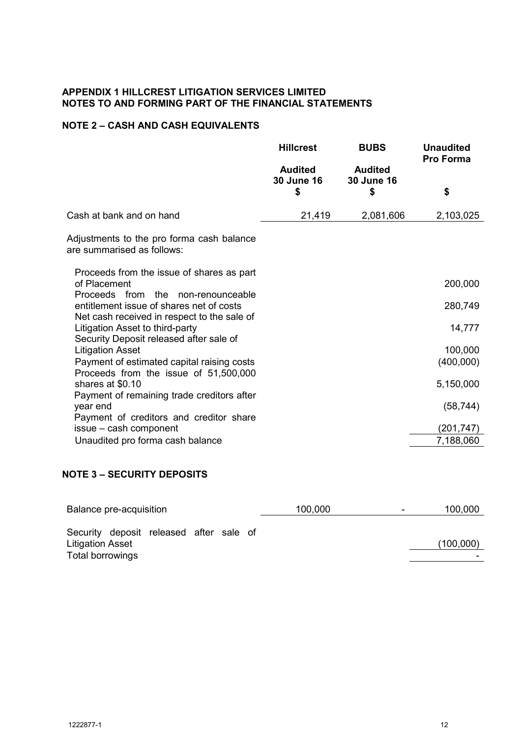# **NOTE 2 – CASH AND CASH EQUIVALENTS**

|                                                                                                 | <b>Hillcrest</b>                   | <b>BUBS</b>                        | <b>Unaudited</b><br><b>Pro Forma</b> |
|-------------------------------------------------------------------------------------------------|------------------------------------|------------------------------------|--------------------------------------|
|                                                                                                 | <b>Audited</b><br>30 June 16<br>\$ | <b>Audited</b><br>30 June 16<br>\$ | \$                                   |
| Cash at bank and on hand                                                                        | 21,419                             | 2,081,606                          | 2,103,025                            |
| Adjustments to the pro forma cash balance<br>are summarised as follows:                         |                                    |                                    |                                      |
| Proceeds from the issue of shares as part<br>of Placement<br>Proceeds from the non-renounceable |                                    |                                    | 200,000                              |
| entitlement issue of shares net of costs<br>Net cash received in respect to the sale of         |                                    |                                    | 280,749                              |
| Litigation Asset to third-party<br>Security Deposit released after sale of                      |                                    |                                    | 14,777                               |
| <b>Litigation Asset</b>                                                                         |                                    |                                    | 100,000                              |
| Payment of estimated capital raising costs<br>Proceeds from the issue of 51,500,000             |                                    |                                    | (400,000)                            |
| shares at \$0.10                                                                                |                                    |                                    | 5,150,000                            |
| Payment of remaining trade creditors after<br>year end                                          |                                    |                                    | (58, 744)                            |
| Payment of creditors and creditor share<br>issue - cash component                               |                                    |                                    | (201, 747)                           |
| Unaudited pro forma cash balance                                                                |                                    |                                    | 7,188,060                            |

# **NOTE 3 – SECURITY DEPOSITS**

| Balance pre-acquisition                                                                | 100,000<br>- | 100,000   |
|----------------------------------------------------------------------------------------|--------------|-----------|
| Security deposit released after sale of<br><b>Litigation Asset</b><br>Total borrowings |              | (100,000) |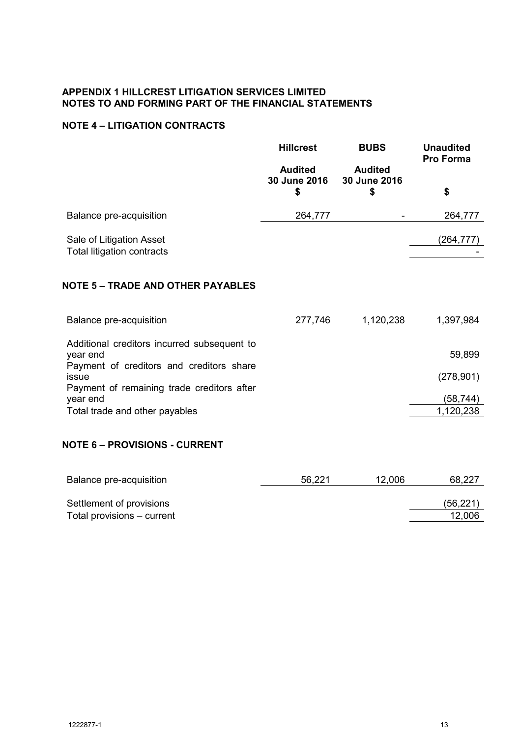# **NOTE 4 – LITIGATION CONTRACTS**

|                                                                     | <b>Hillcrest</b>                     | <b>BUBS</b>                         | <b>Unaudited</b><br>Pro Forma |
|---------------------------------------------------------------------|--------------------------------------|-------------------------------------|-------------------------------|
|                                                                     | <b>Audited</b><br>30 June 2016<br>\$ | <b>Audited</b><br>30 June 2016<br>S | \$                            |
| Balance pre-acquisition                                             | 264,777                              |                                     | 264,777                       |
| Sale of Litigation Asset<br>Total litigation contracts              |                                      |                                     | (264,777)                     |
| <b>NOTE 5 - TRADE AND OTHER PAYABLES</b><br>Balance pre-acquisition | 277,746                              | 1,120,238                           | 1,397,984                     |
| Additional creditors incurred subsequent to<br>year end             |                                      |                                     | 59,899                        |
| Payment of creditors and creditors share<br>issue                   |                                      |                                     | (278, 901)                    |
| Payment of remaining trade creditors after<br>year end              |                                      |                                     | (58,744)                      |
| Total trade and other payables                                      |                                      |                                     | 1,120,238                     |

# **NOTE 6 – PROVISIONS - CURRENT**

| Balance pre-acquisition    | 56,221 | 12,006 | 68,227    |
|----------------------------|--------|--------|-----------|
| Settlement of provisions   |        |        | (56, 221) |
| Total provisions – current |        |        | 12,006    |
|                            |        |        |           |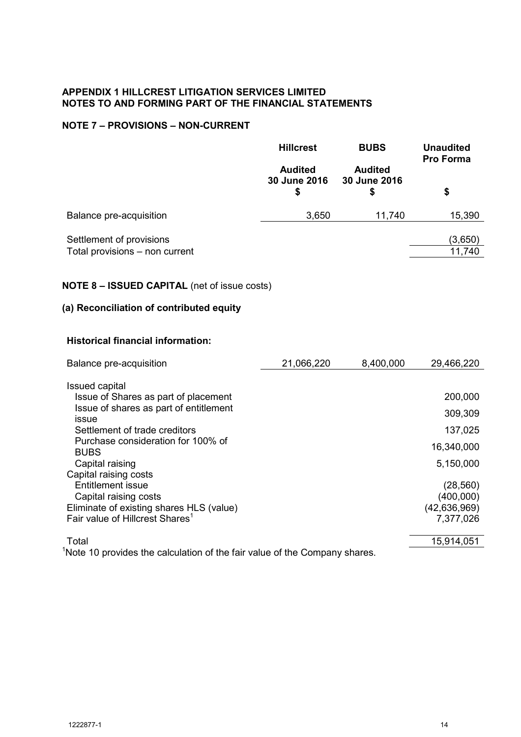# **NOTE 7 – PROVISIONS – NON-CURRENT**

|                                                                                        | <b>Hillcrest</b>                     | <b>BUBS</b>                          | <b>Unaudited</b><br><b>Pro Forma</b> |
|----------------------------------------------------------------------------------------|--------------------------------------|--------------------------------------|--------------------------------------|
|                                                                                        | <b>Audited</b><br>30 June 2016<br>\$ | <b>Audited</b><br>30 June 2016<br>\$ | \$                                   |
| Balance pre-acquisition                                                                | 3,650                                | 11,740                               | 15,390                               |
| Settlement of provisions<br>Total provisions - non current                             |                                      |                                      | (3,650)<br>11,740                    |
| <b>NOTE 8 - ISSUED CAPITAL</b> (net of issue costs)                                    |                                      |                                      |                                      |
| (a) Reconciliation of contributed equity                                               |                                      |                                      |                                      |
| <b>Historical financial information:</b>                                               |                                      |                                      |                                      |
| Balance pre-acquisition                                                                | 21,066,220                           | 8,400,000                            | 29,466,220                           |
| Issued capital                                                                         |                                      |                                      |                                      |
| Issue of Shares as part of placement                                                   |                                      |                                      | 200,000                              |
| Issue of shares as part of entitlement<br>issue                                        |                                      |                                      | 309,309                              |
| Settlement of trade creditors                                                          |                                      |                                      | 137,025                              |
| Purchase consideration for 100% of                                                     |                                      |                                      | 16,340,000                           |
| <b>BUBS</b>                                                                            |                                      |                                      | 5,150,000                            |
| Capital raising<br>Capital raising costs                                               |                                      |                                      |                                      |
| <b>Entitlement issue</b>                                                               |                                      |                                      | (28, 560)                            |
| Capital raising costs                                                                  |                                      |                                      | (400,000)                            |
| Eliminate of existing shares HLS (value)                                               |                                      |                                      | (42, 636, 969)                       |
| Fair value of Hillcrest Shares <sup>1</sup>                                            |                                      |                                      | 7,377,026                            |
| Total                                                                                  |                                      |                                      | 15,914,051                           |
| <sup>1</sup> Note 10 provides the calculation of the fair value of the Company shares. |                                      |                                      |                                      |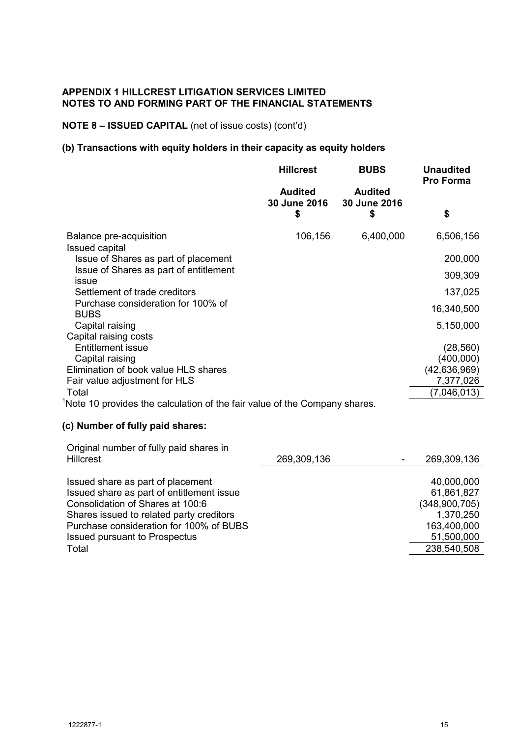## **NOTE 8 – ISSUED CAPITAL** (net of issue costs) (cont'd)

## **(b) Transactions with equity holders in their capacity as equity holders**

|                                                                           | <b>Hillcrest</b>                     | <b>BUBS</b>                          | <b>Unaudited</b><br><b>Pro Forma</b> |
|---------------------------------------------------------------------------|--------------------------------------|--------------------------------------|--------------------------------------|
|                                                                           | <b>Audited</b><br>30 June 2016<br>\$ | <b>Audited</b><br>30 June 2016<br>\$ | \$                                   |
| Balance pre-acquisition                                                   | 106,156                              | 6,400,000                            | 6,506,156                            |
| Issued capital                                                            |                                      |                                      |                                      |
| Issue of Shares as part of placement                                      |                                      |                                      | 200,000                              |
| Issue of Shares as part of entitlement<br>issue                           |                                      |                                      | 309,309                              |
| Settlement of trade creditors                                             |                                      |                                      | 137,025                              |
| Purchase consideration for 100% of<br><b>BUBS</b>                         |                                      |                                      | 16,340,500                           |
| Capital raising                                                           |                                      |                                      | 5,150,000                            |
| Capital raising costs                                                     |                                      |                                      |                                      |
| <b>Entitlement issue</b>                                                  |                                      |                                      | (28, 560)                            |
| Capital raising                                                           |                                      |                                      | (400,000)                            |
| Elimination of book value HLS shares                                      |                                      |                                      | (42, 636, 969)<br>7,377,026          |
| Fair value adjustment for HLS<br>Total                                    |                                      |                                      | (7,046,013)                          |
| Note 10 provides the calculation of the fair value of the Company shares. |                                      |                                      |                                      |
|                                                                           |                                      |                                      |                                      |
| (c) Number of fully paid shares:                                          |                                      |                                      |                                      |
| Original number of fully paid shares in                                   |                                      |                                      |                                      |
| <b>Hillcrest</b>                                                          | 269,309,136                          |                                      | 269,309,136                          |
| Issued share as part of placement                                         |                                      |                                      | 40,000,000                           |
| Issued share as part of entitlement issue                                 |                                      |                                      | 61,861,827                           |

Consolidation of Shares at 100:6 (348,900,705) Shares issued to related party creditors 1,370,250 Purchase consideration for 100% of BUBS 163,400,000 Issued pursuant to Prospectus 51,500,000 Total 238,540,508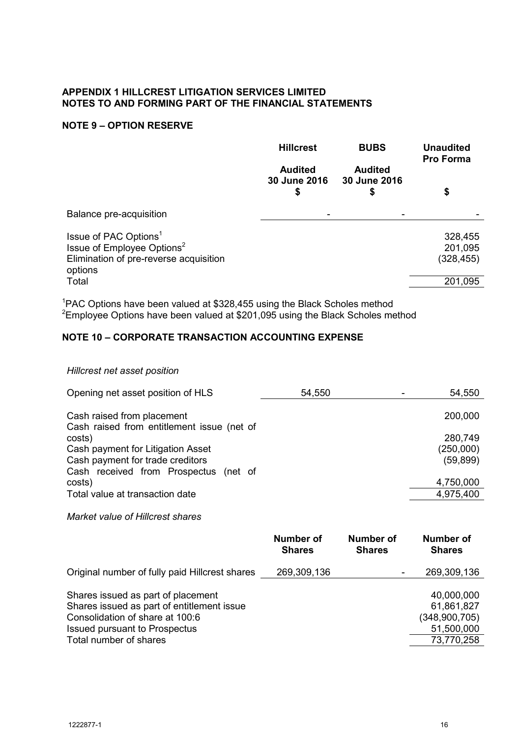# **NOTE 9 – OPTION RESERVE**

|                                                                                                                                  | <b>Hillcrest</b><br><b>Audited</b><br>30 June 2016<br>\$ | <b>BUBS</b><br><b>Audited</b><br>30 June 2016<br>\$ | <b>Unaudited</b><br><b>Pro Forma</b><br>\$ |
|----------------------------------------------------------------------------------------------------------------------------------|----------------------------------------------------------|-----------------------------------------------------|--------------------------------------------|
| Balance pre-acquisition                                                                                                          |                                                          |                                                     |                                            |
| Issue of PAC Options <sup>1</sup><br>Issue of Employee Options <sup>2</sup><br>Elimination of pre-reverse acquisition<br>options |                                                          |                                                     | 328,455<br>201,095<br>(328, 455)           |
| Total                                                                                                                            |                                                          |                                                     | 201,095                                    |

<sup>1</sup>PAC Options have been valued at \$328,455 using the Black Scholes method  $2$ Employee Options have been valued at \$201,095 using the Black Scholes method

# **NOTE 10 – CORPORATE TRANSACTION ACCOUNTING EXPENSE**

## *Hillcrest net asset position*

| Opening net asset position of HLS                                        | 54,550 | 54,550    |
|--------------------------------------------------------------------------|--------|-----------|
| Cash raised from placement<br>Cash raised from entitlement issue (net of |        | 200,000   |
| costs)                                                                   |        | 280,749   |
| Cash payment for Litigation Asset                                        |        | (250,000) |
| Cash payment for trade creditors                                         |        | (59, 899) |
| Cash received from Prospectus (net of                                    |        |           |
| costs)                                                                   |        | 4,750,000 |
| Total value at transaction date                                          |        | 4,975,400 |
| Market value of Hillcrest shares                                         |        |           |

## **Number of Shares Number of Shares Number of Shares** Original number of fully paid Hillcrest shares 269,309,136 - 269,309,136 Shares issued as part of placement 40,000,000 40,000,000 Shares issued as part of entitlement issue<br>
Consolidation of share at 100:6 (348,900,705) Consolidation of share at 100:6 Issued pursuant to Prospectus 51,500,000 Total number of shares 73,770,258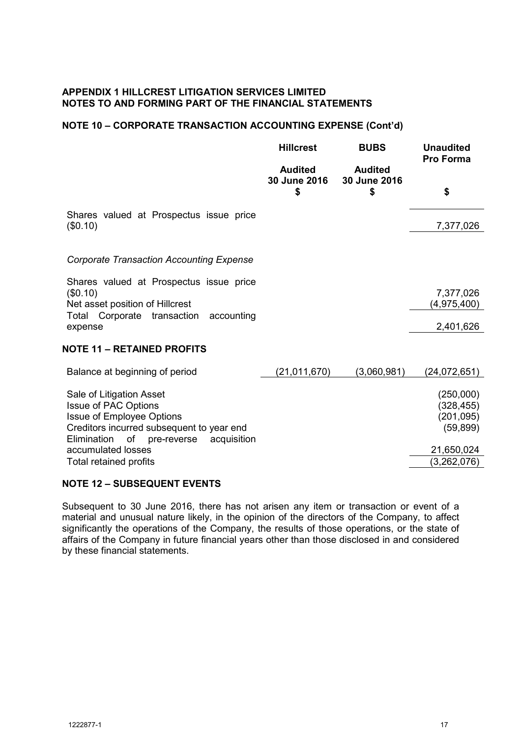# **NOTE 10 – CORPORATE TRANSACTION ACCOUNTING EXPENSE (Cont'd)**

|                                                                                                                                                                                          | <b>Hillcrest</b>                     | <b>BUBS</b>                          | <b>Unaudited</b><br><b>Pro Forma</b>               |
|------------------------------------------------------------------------------------------------------------------------------------------------------------------------------------------|--------------------------------------|--------------------------------------|----------------------------------------------------|
|                                                                                                                                                                                          | <b>Audited</b><br>30 June 2016<br>\$ | <b>Audited</b><br>30 June 2016<br>\$ | \$                                                 |
| Shares valued at Prospectus issue price<br>(\$0.10)                                                                                                                                      |                                      |                                      | 7,377,026                                          |
| <b>Corporate Transaction Accounting Expense</b>                                                                                                                                          |                                      |                                      |                                                    |
| Shares valued at Prospectus issue price<br>(\$0.10)<br>Net asset position of Hillcrest                                                                                                   |                                      |                                      | 7,377,026<br>(4,975,400)                           |
| Total Corporate transaction<br>accounting<br>expense                                                                                                                                     |                                      |                                      | 2,401,626                                          |
| <b>NOTE 11 - RETAINED PROFITS</b>                                                                                                                                                        |                                      |                                      |                                                    |
| Balance at beginning of period                                                                                                                                                           | (21, 011, 670)                       | (3,060,981)                          | (24, 072, 651)                                     |
| Sale of Litigation Asset<br><b>Issue of PAC Options</b><br><b>Issue of Employee Options</b><br>Creditors incurred subsequent to year end<br>Elimination<br>pre-reverse acquisition<br>of |                                      |                                      | (250,000)<br>(328, 455)<br>(201, 095)<br>(59, 899) |
| accumulated losses<br>Total retained profits                                                                                                                                             |                                      |                                      | 21,650,024<br>(3,262,076)                          |

## **NOTE 12 – SUBSEQUENT EVENTS**

Subsequent to 30 June 2016, there has not arisen any item or transaction or event of a material and unusual nature likely, in the opinion of the directors of the Company, to affect significantly the operations of the Company, the results of those operations, or the state of affairs of the Company in future financial years other than those disclosed in and considered by these financial statements.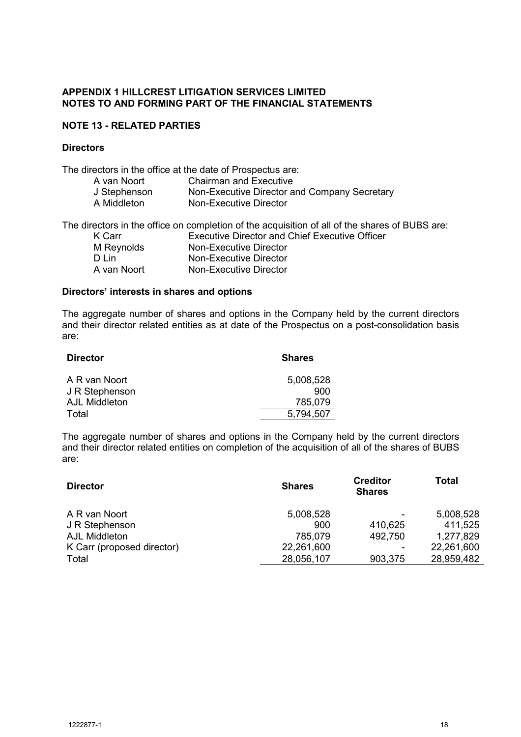# **NOTE 13 - RELATED PARTIES**

# **Directors**

The directors in the office at the date of Prospectus are:

| A van Noort  | <b>Chairman and Executive</b>                |
|--------------|----------------------------------------------|
| J Stephenson | Non-Executive Director and Company Secretary |
| A Middleton  | Non-Executive Director                       |

|             | The directors in the office on completion of the acquisition of all of the shares of BUBS are: |
|-------------|------------------------------------------------------------------------------------------------|
| K Carr      | <b>Executive Director and Chief Executive Officer</b>                                          |
| M Reynolds  | Non-Executive Director                                                                         |
| D I in      | Non-Executive Director                                                                         |
| A van Noort | Non-Executive Director                                                                         |

## **Directors' interests in shares and options**

The aggregate number of shares and options in the Company held by the current directors and their director related entities as at date of the Prospectus on a post-consolidation basis are:

| <b>Director</b> | <b>Shares</b> |
|-----------------|---------------|
| A R van Noort   | 5,008,528     |
| J R Stephenson  | 900           |
| AJL Middleton   | 785.079       |
| Total           | 5,794,507     |

The aggregate number of shares and options in the Company held by the current directors and their director related entities on completion of the acquisition of all of the shares of BUBS are:

| <b>Director</b>            | <b>Shares</b> | <b>Creditor</b><br><b>Shares</b> | Total      |
|----------------------------|---------------|----------------------------------|------------|
| A R van Noort              | 5,008,528     | ۰                                | 5,008,528  |
| J R Stephenson             | 900           | 410,625                          | 411,525    |
| AJL Middleton              | 785,079       | 492,750                          | 1,277,829  |
| K Carr (proposed director) | 22,261,600    | ۰                                | 22,261,600 |
| Total                      | 28,056,107    | 903,375                          | 28,959,482 |
|                            |               |                                  |            |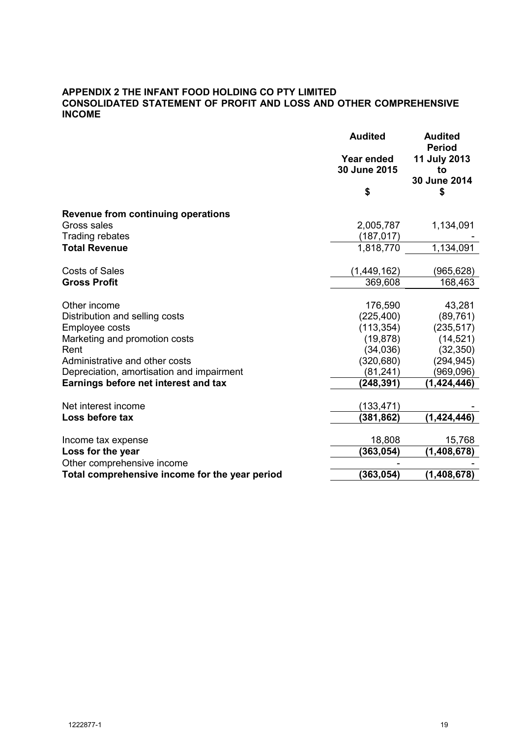# **APPENDIX 2 THE INFANT FOOD HOLDING CO PTY LIMITED CONSOLIDATED STATEMENT OF PROFIT AND LOSS AND OTHER COMPREHENSIVE INCOME**

|                                                | <b>Audited</b>             | <b>Audited</b><br><b>Period</b>    |
|------------------------------------------------|----------------------------|------------------------------------|
|                                                | Year ended<br>30 June 2015 | 11 July 2013<br>to<br>30 June 2014 |
|                                                | \$                         | \$                                 |
| Revenue from continuing operations             |                            |                                    |
| Gross sales                                    | 2,005,787                  | 1,134,091                          |
| <b>Trading rebates</b>                         | (187, 017)                 |                                    |
| <b>Total Revenue</b>                           | 1,818,770                  | 1,134,091                          |
| <b>Costs of Sales</b>                          | (1,449,162)                | (965,628)                          |
| <b>Gross Profit</b>                            | 369,608                    | 168,463                            |
|                                                |                            |                                    |
| Other income                                   | 176,590                    | 43,281                             |
| Distribution and selling costs                 | (225, 400)                 | (89, 761)                          |
| Employee costs                                 | (113, 354)                 | (235, 517)                         |
| Marketing and promotion costs                  | (19, 878)                  | (14, 521)                          |
| Rent                                           | (34, 036)                  | (32, 350)                          |
| Administrative and other costs                 | (320, 680)                 | (294, 945)                         |
| Depreciation, amortisation and impairment      | (81, 241)                  | (969, 096)                         |
| Earnings before net interest and tax           | (248, 391)                 | (1,424,446)                        |
|                                                |                            |                                    |
| Net interest income                            | (133, 471)                 |                                    |
| Loss before tax                                | (381,862)                  | (1,424,446)                        |
| Income tax expense                             | 18,808                     | 15,768                             |
| Loss for the year                              | (363, 054)                 | (1,408,678)                        |
| Other comprehensive income                     |                            |                                    |
| Total comprehensive income for the year period | (363, 054)                 | (1,408,678)                        |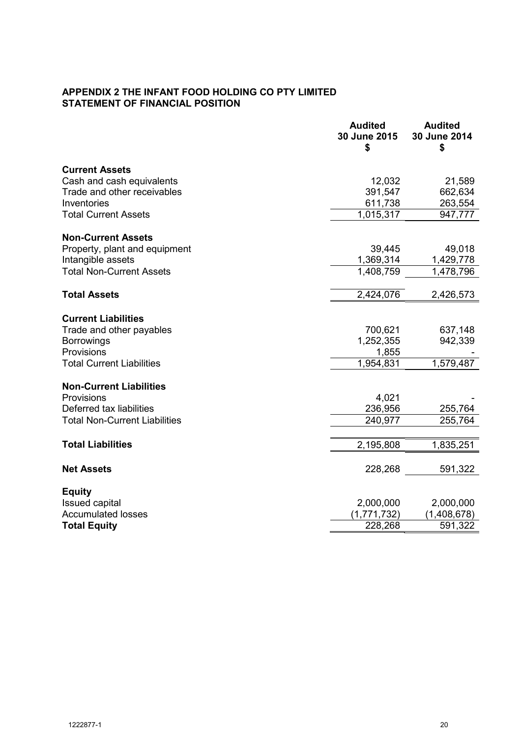# **APPENDIX 2 THE INFANT FOOD HOLDING CO PTY LIMITED STATEMENT OF FINANCIAL POSITION**

|                                      | <b>Audited</b><br>30 June 2015<br>\$ | <b>Audited</b><br>30 June 2014<br>\$ |
|--------------------------------------|--------------------------------------|--------------------------------------|
| <b>Current Assets</b>                |                                      |                                      |
| Cash and cash equivalents            | 12,032                               | 21,589                               |
| Trade and other receivables          | 391,547                              | 662,634                              |
| Inventories                          | 611,738                              | 263,554                              |
| <b>Total Current Assets</b>          | 1,015,317                            | 947,777                              |
| <b>Non-Current Assets</b>            |                                      |                                      |
| Property, plant and equipment        | 39,445                               | 49,018                               |
| Intangible assets                    | 1,369,314                            | 1,429,778                            |
| <b>Total Non-Current Assets</b>      | 1,408,759                            | 1,478,796                            |
|                                      |                                      |                                      |
| <b>Total Assets</b>                  | 2,424,076                            | 2,426,573                            |
| <b>Current Liabilities</b>           |                                      |                                      |
| Trade and other payables             | 700,621                              | 637,148                              |
| <b>Borrowings</b>                    | 1,252,355                            | 942,339                              |
| Provisions                           | 1,855                                |                                      |
| <b>Total Current Liabilities</b>     | 1,954,831                            | 1,579,487                            |
| <b>Non-Current Liabilities</b>       |                                      |                                      |
| Provisions                           | 4,021                                |                                      |
| Deferred tax liabilities             | 236,956                              | 255,764                              |
| <b>Total Non-Current Liabilities</b> | 240,977                              | 255,764                              |
| <b>Total Liabilities</b>             | 2,195,808                            | 1,835,251                            |
|                                      |                                      |                                      |
| <b>Net Assets</b>                    | 228,268                              | 591,322                              |
| <b>Equity</b>                        |                                      |                                      |
| <b>Issued capital</b>                | 2,000,000                            | 2,000,000                            |
| <b>Accumulated losses</b>            | (1,771,732)                          | (1,408,678)                          |
| <b>Total Equity</b>                  | 228,268                              | 591,322                              |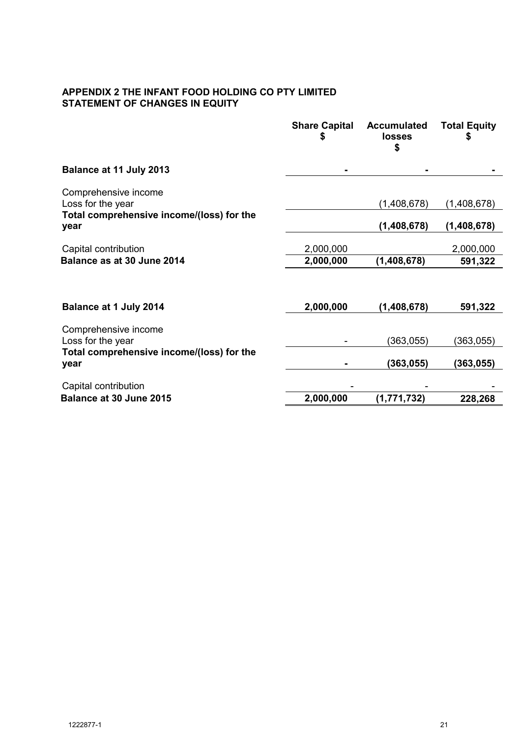# **APPENDIX 2 THE INFANT FOOD HOLDING CO PTY LIMITED STATEMENT OF CHANGES IN EQUITY**

|                                                   | <b>Share Capital</b><br>\$ | <b>Accumulated</b><br><b>losses</b> | <b>Total Equity</b> |
|---------------------------------------------------|----------------------------|-------------------------------------|---------------------|
| Balance at 11 July 2013                           |                            |                                     |                     |
| Comprehensive income<br>Loss for the year         |                            | (1,408,678)                         | (1,408,678)         |
| Total comprehensive income/(loss) for the<br>year |                            | (1,408,678)                         | (1,408,678)         |
| Capital contribution                              | 2,000,000                  |                                     | 2,000,000           |
| Balance as at 30 June 2014                        | 2,000,000                  | (1,408,678)                         | 591,322             |
|                                                   |                            |                                     |                     |
| Balance at 1 July 2014                            | 2,000,000                  | (1,408,678)                         | 591,322             |
| Comprehensive income                              |                            |                                     |                     |
| Loss for the year                                 |                            | (363,055)                           | (363,055)           |
| Total comprehensive income/(loss) for the<br>year |                            | (363, 055)                          | (363,055)           |
| Capital contribution                              |                            |                                     |                     |
| Balance at 30 June 2015                           | 2,000,000                  | (1,771,732)                         | 228,268             |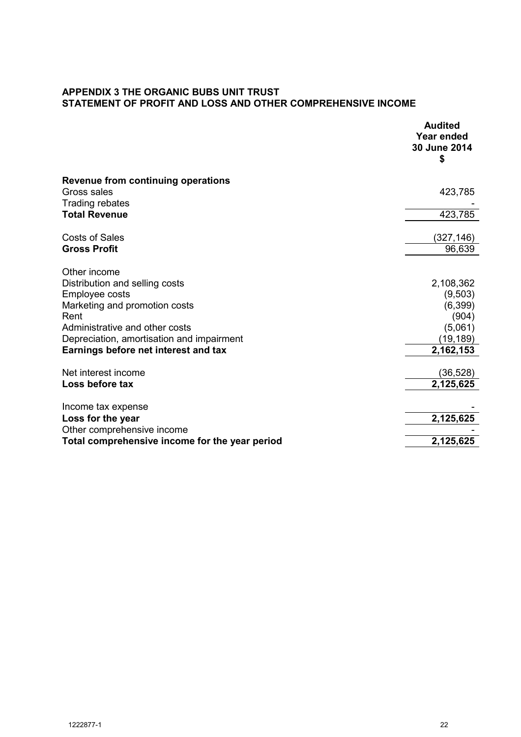# **APPENDIX 3 THE ORGANIC BUBS UNIT TRUST STATEMENT OF PROFIT AND LOSS AND OTHER COMPREHENSIVE INCOME**

|                                                | <b>Audited</b><br><b>Year ended</b><br>30 June 2014<br>\$ |
|------------------------------------------------|-----------------------------------------------------------|
| <b>Revenue from continuing operations</b>      |                                                           |
| Gross sales<br><b>Trading rebates</b>          | 423,785                                                   |
| <b>Total Revenue</b>                           | 423,785                                                   |
| <b>Costs of Sales</b>                          | (327,146)                                                 |
| <b>Gross Profit</b>                            | 96,639                                                    |
| Other income                                   |                                                           |
| Distribution and selling costs                 | 2,108,362                                                 |
| Employee costs                                 | (9,503)                                                   |
| Marketing and promotion costs                  | (6, 399)                                                  |
| Rent                                           | (904)                                                     |
| Administrative and other costs                 | (5,061)                                                   |
| Depreciation, amortisation and impairment      | (19,189)                                                  |
| Earnings before net interest and tax           | 2,162,153                                                 |
| Net interest income                            | (36, 528)                                                 |
| Loss before tax                                | 2,125,625                                                 |
| Income tax expense                             |                                                           |
| Loss for the year                              | 2,125,625                                                 |
| Other comprehensive income                     |                                                           |
| Total comprehensive income for the year period | 2,125,625                                                 |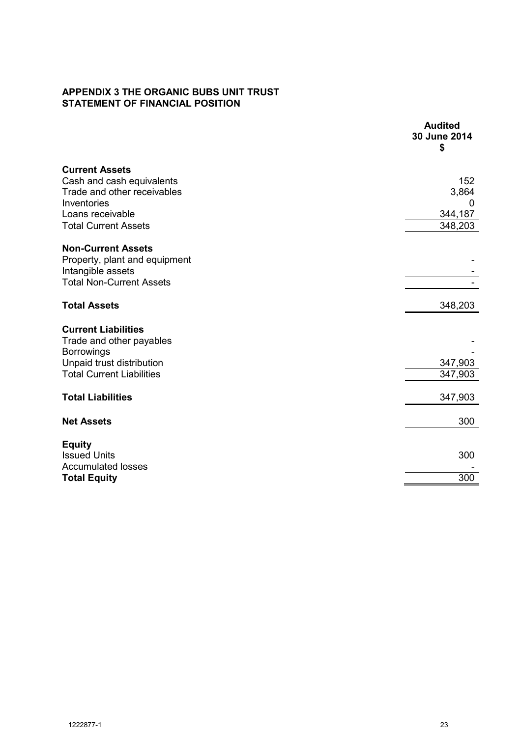# **APPENDIX 3 THE ORGANIC BUBS UNIT TRUST STATEMENT OF FINANCIAL POSITION**

|                                                        | <b>Audited</b><br>30 June 2014<br>\$ |
|--------------------------------------------------------|--------------------------------------|
| <b>Current Assets</b>                                  |                                      |
| Cash and cash equivalents                              | 152                                  |
| Trade and other receivables                            | 3,864                                |
| Inventories                                            | 0                                    |
| Loans receivable<br><b>Total Current Assets</b>        | 344,187<br>348,203                   |
|                                                        |                                      |
| <b>Non-Current Assets</b>                              |                                      |
| Property, plant and equipment                          |                                      |
| Intangible assets                                      |                                      |
| <b>Total Non-Current Assets</b>                        |                                      |
| <b>Total Assets</b>                                    | 348,203                              |
|                                                        |                                      |
| <b>Current Liabilities</b><br>Trade and other payables |                                      |
| <b>Borrowings</b>                                      |                                      |
| Unpaid trust distribution                              | 347,903                              |
| <b>Total Current Liabilities</b>                       | 347,903                              |
|                                                        |                                      |
| <b>Total Liabilities</b>                               | 347,903                              |
| <b>Net Assets</b>                                      | 300                                  |
|                                                        |                                      |
| <b>Equity</b><br><b>Issued Units</b>                   | 300                                  |
| <b>Accumulated losses</b>                              |                                      |
| <b>Total Equity</b>                                    | 300                                  |
|                                                        |                                      |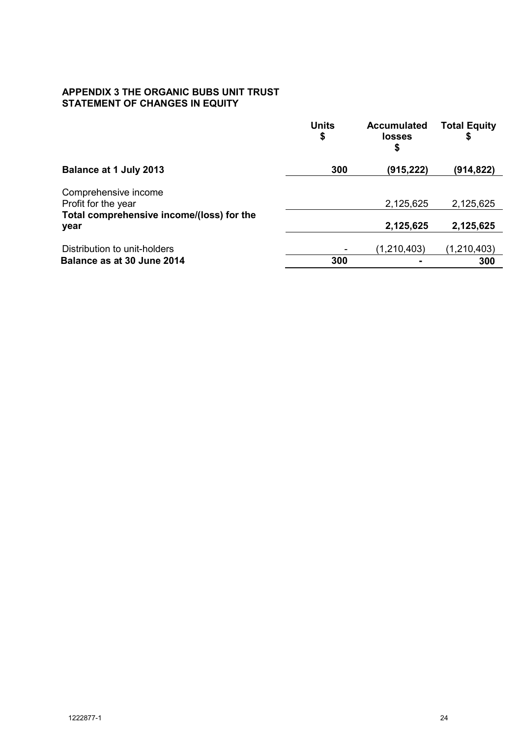# **APPENDIX 3 THE ORGANIC BUBS UNIT TRUST STATEMENT OF CHANGES IN EQUITY**

|                                                   | <b>Units</b><br>\$ | <b>Accumulated</b><br>losses<br>\$ | <b>Total Equity</b> |
|---------------------------------------------------|--------------------|------------------------------------|---------------------|
| <b>Balance at 1 July 2013</b>                     | 300                | (915, 222)                         | (914,822)           |
| Comprehensive income                              |                    |                                    |                     |
| Profit for the year                               |                    | 2,125,625                          | 2,125,625           |
| Total comprehensive income/(loss) for the<br>year |                    | 2,125,625                          | 2,125,625           |
| Distribution to unit-holders                      |                    | (1, 210, 403)                      | (1, 210, 403)       |
| Balance as at 30 June 2014                        | 300                |                                    | 300                 |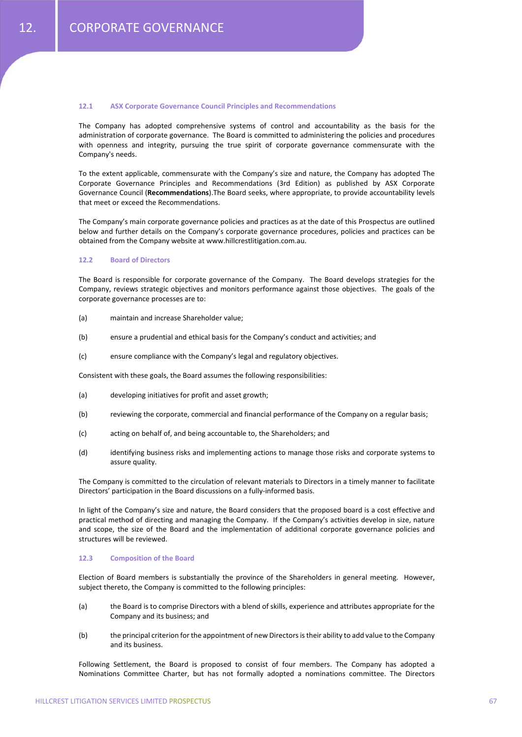## **12.1 ASX Corporate Governance Council Principles and Recommendations**

The Company has adopted comprehensive systems of control and accountability as the basis for the administration of corporate governance. The Board is committed to administering the policies and procedures with openness and integrity, pursuing the true spirit of corporate governance commensurate with the Company's needs.

To the extent applicable, commensurate with the Company's size and nature, the Company has adopted The Corporate Governance Principles and Recommendations (3rd Edition) as published by ASX Corporate Governance Council (**Recommendations**).The Board seeks, where appropriate, to provide accountability levels that meet or exceed the Recommendations.

The Company's main corporate governance policies and practices as at the date of this Prospectus are outlined below and further details on the Company's corporate governance procedures, policies and practices can be obtained from the Company website at www.hillcrestlitigation.com.au.

### **12.2 Board of Directors**

The Board is responsible for corporate governance of the Company. The Board develops strategies for the Company, reviews strategic objectives and monitors performance against those objectives. The goals of the corporate governance processes are to:

- (a) maintain and increase Shareholder value;
- (b) ensure a prudential and ethical basis for the Company's conduct and activities; and
- (c) ensure compliance with the Company's legal and regulatory objectives.

Consistent with these goals, the Board assumes the following responsibilities:

- (a) developing initiatives for profit and asset growth;
- (b) reviewing the corporate, commercial and financial performance of the Company on a regular basis;
- (c) acting on behalf of, and being accountable to, the Shareholders; and
- (d) identifying business risks and implementing actions to manage those risks and corporate systems to assure quality.

The Company is committed to the circulation of relevant materials to Directors in a timely manner to facilitate Directors' participation in the Board discussions on a fully‐informed basis.

In light of the Company's size and nature, the Board considers that the proposed board is a cost effective and practical method of directing and managing the Company. If the Company's activities develop in size, nature and scope, the size of the Board and the implementation of additional corporate governance policies and structures will be reviewed.

## **12.3 Composition of the Board**

Election of Board members is substantially the province of the Shareholders in general meeting. However, subject thereto, the Company is committed to the following principles:

- (a) the Board is to comprise Directors with a blend of skills, experience and attributes appropriate for the Company and its business; and
- (b) the principal criterion for the appointment of new Directors is their ability to add value to the Company and its business.

Following Settlement, the Board is proposed to consist of four members. The Company has adopted a Nominations Committee Charter, but has not formally adopted a nominations committee. The Directors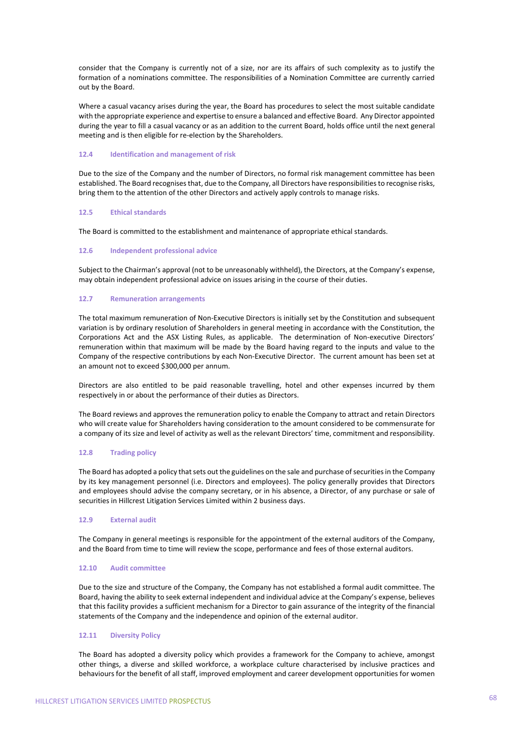consider that the Company is currently not of a size, nor are its affairs of such complexity as to justify the formation of a nominations committee. The responsibilities of a Nomination Committee are currently carried out by the Board.

Where a casual vacancy arises during the year, the Board has procedures to select the most suitable candidate with the appropriate experience and expertise to ensure a balanced and effective Board. Any Director appointed during the year to fill a casual vacancy or as an addition to the current Board, holds office until the next general meeting and is then eligible for re‐election by the Shareholders.

### **12.4 Identification and management of risk**

Due to the size of the Company and the number of Directors, no formal risk management committee has been established. The Board recognises that, due to the Company, all Directors have responsibilities to recognise risks, bring them to the attention of the other Directors and actively apply controls to manage risks.

## **12.5 Ethical standards**

The Board is committed to the establishment and maintenance of appropriate ethical standards.

## **12.6 Independent professional advice**

Subject to the Chairman's approval (not to be unreasonably withheld), the Directors, at the Company's expense, may obtain independent professional advice on issues arising in the course of their duties.

## **12.7 Remuneration arrangements**

The total maximum remuneration of Non-Executive Directors is initially set by the Constitution and subsequent variation is by ordinary resolution of Shareholders in general meeting in accordance with the Constitution, the Corporations Act and the ASX Listing Rules, as applicable. The determination of Non-executive Directors' remuneration within that maximum will be made by the Board having regard to the inputs and value to the Company of the respective contributions by each Non‐Executive Director. The current amount has been set at an amount not to exceed \$300,000 per annum.

Directors are also entitled to be paid reasonable travelling, hotel and other expenses incurred by them respectively in or about the performance of their duties as Directors.

The Board reviews and approves the remuneration policy to enable the Company to attract and retain Directors who will create value for Shareholders having consideration to the amount considered to be commensurate for a company of its size and level of activity as well as the relevant Directors' time, commitment and responsibility.

## **12.8 Trading policy**

The Board has adopted a policy that sets out the guidelines on the sale and purchase of securities in the Company by its key management personnel (i.e. Directors and employees). The policy generally provides that Directors and employees should advise the company secretary, or in his absence, a Director, of any purchase or sale of securities in Hillcrest Litigation Services Limited within 2 business days.

## **12.9 External audit**

The Company in general meetings is responsible for the appointment of the external auditors of the Company, and the Board from time to time will review the scope, performance and fees of those external auditors.

### **12.10 Audit committee**

Due to the size and structure of the Company, the Company has not established a formal audit committee. The Board, having the ability to seek external independent and individual advice at the Company's expense, believes that this facility provides a sufficient mechanism for a Director to gain assurance of the integrity of the financial statements of the Company and the independence and opinion of the external auditor.

### **12.11 Diversity Policy**

The Board has adopted a diversity policy which provides a framework for the Company to achieve, amongst other things, a diverse and skilled workforce, a workplace culture characterised by inclusive practices and behaviours for the benefit of all staff, improved employment and career development opportunities for women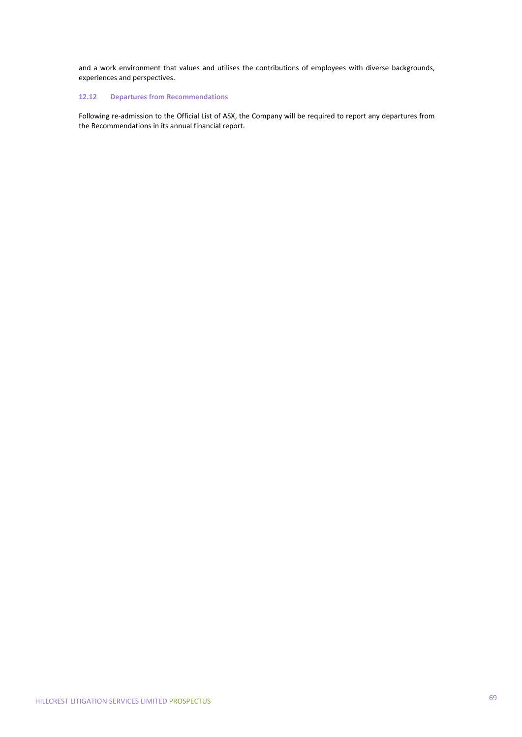and a work environment that values and utilises the contributions of employees with diverse backgrounds, experiences and perspectives.

## **12.12 Departures from Recommendations**

Following re-admission to the Official List of ASX, the Company will be required to report any departures from the Recommendations in its annual financial report.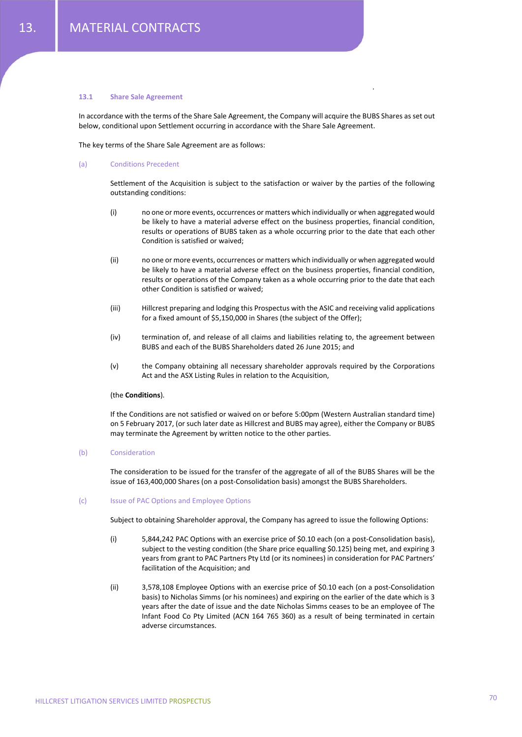#### **13.1 Share Sale Agreement**

In accordance with the terms of the Share Sale Agreement, the Company will acquire the BUBS Shares as set out below, conditional upon Settlement occurring in accordance with the Share Sale Agreement.

The key terms of the Share Sale Agreement are as follows:

### (a) Conditions Precedent

Settlement of the Acquisition is subject to the satisfaction or waiver by the parties of the following outstanding conditions:

.

- (i) no one or more events, occurrences or matters which individually or when aggregated would be likely to have a material adverse effect on the business properties, financial condition, results or operations of BUBS taken as a whole occurring prior to the date that each other Condition is satisfied or waived;
- (ii) no one or more events, occurrences or matters which individually or when aggregated would be likely to have a material adverse effect on the business properties, financial condition, results or operations of the Company taken as a whole occurring prior to the date that each other Condition is satisfied or waived;
- (iii) Hillcrest preparing and lodging this Prospectus with the ASIC and receiving valid applications for a fixed amount of \$5,150,000 in Shares (the subject of the Offer);
- (iv) termination of, and release of all claims and liabilities relating to, the agreement between BUBS and each of the BUBS Shareholders dated 26 June 2015; and
- (v) the Company obtaining all necessary shareholder approvals required by the Corporations Act and the ASX Listing Rules in relation to the Acquisition,

### (the **Conditions**).

If the Conditions are not satisfied or waived on or before 5:00pm (Western Australian standard time) on 5 February 2017, (or such later date as Hillcrest and BUBS may agree), either the Company or BUBS may terminate the Agreement by written notice to the other parties.

### (b) Consideration

The consideration to be issued for the transfer of the aggregate of all of the BUBS Shares will be the issue of 163,400,000 Shares (on a post‐Consolidation basis) amongst the BUBS Shareholders.

### (c) Issue of PAC Options and Employee Options

Subject to obtaining Shareholder approval, the Company has agreed to issue the following Options:

- (i) 5,844,242 PAC Options with an exercise price of \$0.10 each (on a post‐Consolidation basis), subject to the vesting condition (the Share price equalling \$0.125) being met, and expiring 3 years from grant to PAC Partners Pty Ltd (or its nominees) in consideration for PAC Partners' facilitation of the Acquisition; and
- (ii) 3,578,108 Employee Options with an exercise price of \$0.10 each (on a post‐Consolidation basis) to Nicholas Simms (or his nominees) and expiring on the earlier of the date which is 3 years after the date of issue and the date Nicholas Simms ceases to be an employee of The Infant Food Co Pty Limited (ACN 164 765 360) as a result of being terminated in certain adverse circumstances.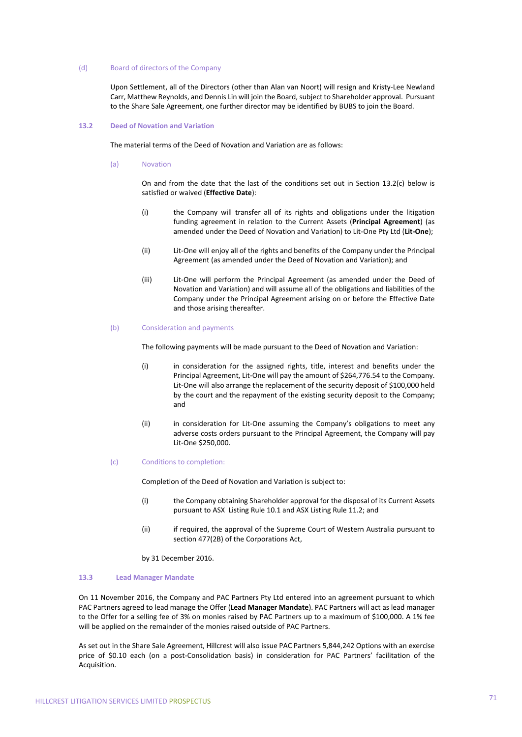### (d) Board of directors of the Company

Upon Settlement, all of the Directors (other than Alan van Noort) will resign and Kristy‐Lee Newland Carr, Matthew Reynolds, and Dennis Lin will join the Board, subject to Shareholder approval. Pursuant to the Share Sale Agreement, one further director may be identified by BUBS to join the Board.

## **13.2 Deed of Novation and Variation**

The material terms of the Deed of Novation and Variation are as follows:

(a) Novation

On and from the date that the last of the conditions set out in Section 13.2(c) below is satisfied or waived (**Effective Date**):

- (i) the Company will transfer all of its rights and obligations under the litigation funding agreement in relation to the Current Assets (**Principal Agreement**) (as amended under the Deed of Novation and Variation) to Lit‐One Pty Ltd (**Lit‐One**);
- (ii) Lit‐One will enjoy all of the rights and benefits of the Company under the Principal Agreement (as amended under the Deed of Novation and Variation); and
- (iii) Lit‐One will perform the Principal Agreement (as amended under the Deed of Novation and Variation) and will assume all of the obligations and liabilities of the Company under the Principal Agreement arising on or before the Effective Date and those arising thereafter.
- (b) Consideration and payments

The following payments will be made pursuant to the Deed of Novation and Variation:

- (i) in consideration for the assigned rights, title, interest and benefits under the Principal Agreement, Lit‐One will pay the amount of \$264,776.54 to the Company. Lit-One will also arrange the replacement of the security deposit of \$100,000 held by the court and the repayment of the existing security deposit to the Company; and
- (ii) in consideration for Lit-One assuming the Company's obligations to meet any adverse costs orders pursuant to the Principal Agreement, the Company will pay Lit‐One \$250,000.
- (c) Conditions to completion:

Completion of the Deed of Novation and Variation is subject to:

- (i) the Company obtaining Shareholder approval for the disposal of its Current Assets pursuant to ASX Listing Rule 10.1 and ASX Listing Rule 11.2; and
- (ii) if required, the approval of the Supreme Court of Western Australia pursuant to section 477(2B) of the Corporations Act,
- by 31 December 2016.

### **13.3 Lead Manager Mandate**

On 11 November 2016, the Company and PAC Partners Pty Ltd entered into an agreement pursuant to which PAC Partners agreed to lead manage the Offer (**Lead Manager Mandate**). PAC Partners will act as lead manager to the Offer for a selling fee of 3% on monies raised by PAC Partners up to a maximum of \$100,000. A 1% fee will be applied on the remainder of the monies raised outside of PAC Partners.

As set out in the Share Sale Agreement, Hillcrest will also issue PAC Partners 5,844,242 Options with an exercise price of \$0.10 each (on a post‐Consolidation basis) in consideration for PAC Partners' facilitation of the Acquisition.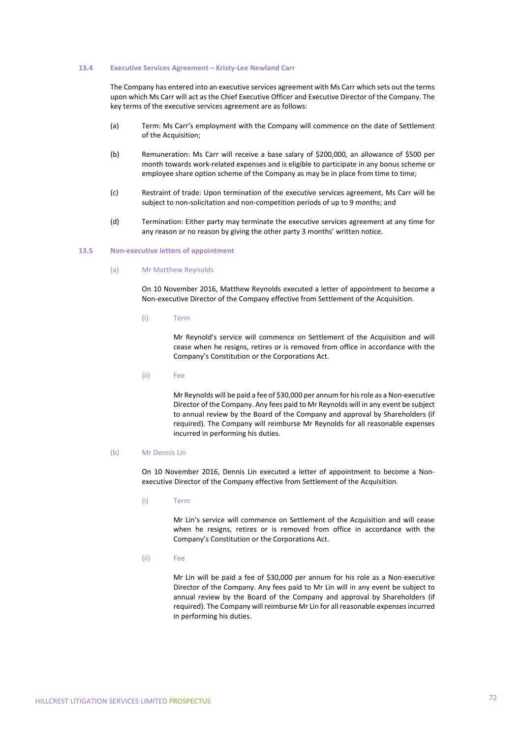#### **13.4 Executive Services Agreement – Kristy‐Lee Newland Carr**

The Company has entered into an executive services agreement with Ms Carr which sets out the terms upon which Ms Carr will act as the Chief Executive Officer and Executive Director of the Company. The key terms of the executive services agreement are as follows:

- (a) Term: Ms Carr's employment with the Company will commence on the date of Settlement of the Acquisition;
- (b) Remuneration: Ms Carr will receive a base salary of \$200,000, an allowance of \$500 per month towards work‐related expenses and is eligible to participate in any bonus scheme or employee share option scheme of the Company as may be in place from time to time;
- (c) Restraint of trade: Upon termination of the executive services agreement, Ms Carr will be subject to non‐solicitation and non‐competition periods of up to 9 months; and
- (d) Termination: Either party may terminate the executive services agreement at any time for any reason or no reason by giving the other party 3 months' written notice.

### **13.5 Non‐executive letters of appointment**

### (a) Mr Matthew Reynolds

On 10 November 2016, Matthew Reynolds executed a letter of appointment to become a Non‐executive Director of the Company effective from Settlement of the Acquisition.

(i) Term

Mr Reynold's service will commence on Settlement of the Acquisition and will cease when he resigns, retires or is removed from office in accordance with the Company's Constitution or the Corporations Act.

(ii) Fee

Mr Reynolds will be paid a fee of \$30,000 per annum for hisrole as a Non‐executive Director of the Company. Any fees paid to Mr Reynolds will in any event be subject to annual review by the Board of the Company and approval by Shareholders (if required). The Company will reimburse Mr Reynolds for all reasonable expenses incurred in performing his duties.

### (b) Mr Dennis Lin

On 10 November 2016, Dennis Lin executed a letter of appointment to become a Non‐ executive Director of the Company effective from Settlement of the Acquisition.

(i) Term

Mr Lin's service will commence on Settlement of the Acquisition and will cease when he resigns, retires or is removed from office in accordance with the Company's Constitution or the Corporations Act.

(ii) Fee

Mr Lin will be paid a fee of \$30,000 per annum for his role as a Non‐executive Director of the Company. Any fees paid to Mr Lin will in any event be subject to annual review by the Board of the Company and approval by Shareholders (if required). The Company will reimburse Mr Lin for all reasonable expensesincurred in performing his duties.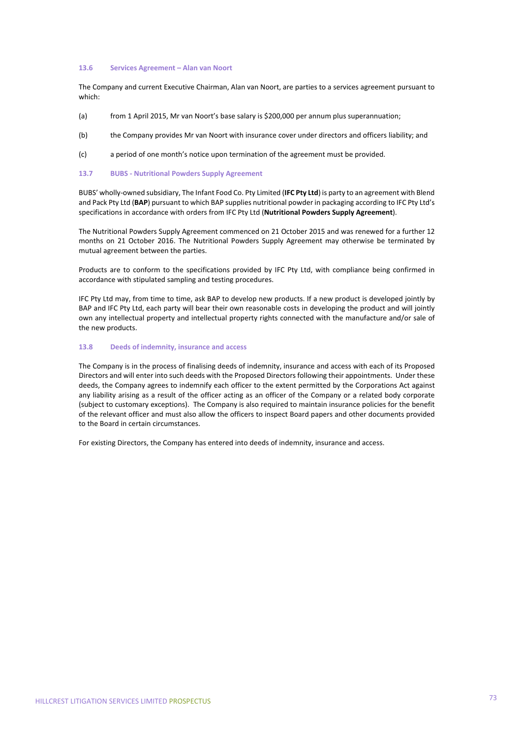#### **13.6 Services Agreement – Alan van Noort**

The Company and current Executive Chairman, Alan van Noort, are parties to a services agreement pursuant to which:

- (a) from 1 April 2015, Mr van Noort's base salary is \$200,000 per annum plus superannuation;
- (b) the Company provides Mr van Noort with insurance cover under directors and officers liability; and
- (c) a period of one month's notice upon termination of the agreement must be provided.

# **13.7 BUBS ‐ Nutritional Powders Supply Agreement**

BUBS' wholly‐owned subsidiary, The Infant Food Co. Pty Limited (**IFC Pty Ltd**) is party to an agreement with Blend and Pack Pty Ltd (**BAP**) pursuant to which BAP supplies nutritional powder in packaging according to IFC Pty Ltd's specifications in accordance with orders from IFC Pty Ltd (**Nutritional Powders Supply Agreement**).

The Nutritional Powders Supply Agreement commenced on 21 October 2015 and was renewed for a further 12 months on 21 October 2016. The Nutritional Powders Supply Agreement may otherwise be terminated by mutual agreement between the parties.

Products are to conform to the specifications provided by IFC Pty Ltd, with compliance being confirmed in accordance with stipulated sampling and testing procedures.

IFC Pty Ltd may, from time to time, ask BAP to develop new products. If a new product is developed jointly by BAP and IFC Pty Ltd, each party will bear their own reasonable costs in developing the product and will jointly own any intellectual property and intellectual property rights connected with the manufacture and/or sale of the new products.

# **13.8 Deeds of indemnity, insurance and access**

The Company is in the process of finalising deeds of indemnity, insurance and access with each of its Proposed Directors and will enter into such deeds with the Proposed Directors following their appointments. Under these deeds, the Company agrees to indemnify each officer to the extent permitted by the Corporations Act against any liability arising as a result of the officer acting as an officer of the Company or a related body corporate (subject to customary exceptions). The Company is also required to maintain insurance policies for the benefit of the relevant officer and must also allow the officers to inspect Board papers and other documents provided to the Board in certain circumstances.

For existing Directors, the Company has entered into deeds of indemnity, insurance and access.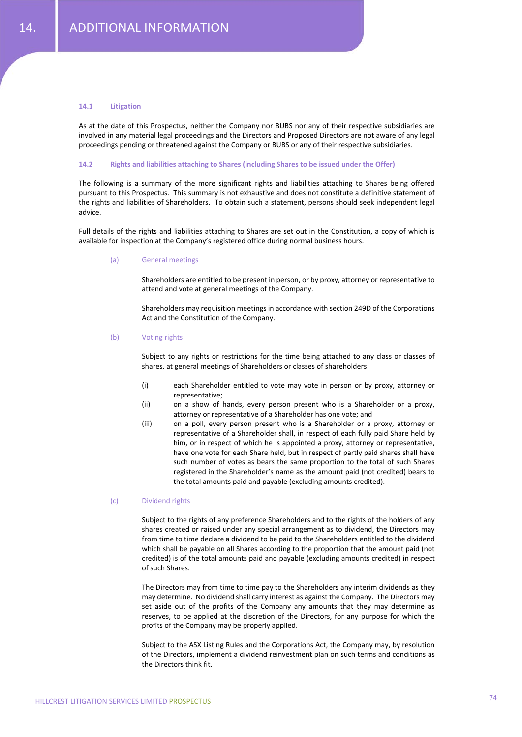# **14.1 Litigation**

As at the date of this Prospectus, neither the Company nor BUBS nor any of their respective subsidiaries are involved in any material legal proceedings and the Directors and Proposed Directors are not aware of any legal proceedings pending or threatened against the Company or BUBS or any of their respective subsidiaries.

# **14.2 Rights and liabilities attaching to Shares (including Shares to be issued under the Offer)**

The following is a summary of the more significant rights and liabilities attaching to Shares being offered pursuant to this Prospectus. This summary is not exhaustive and does not constitute a definitive statement of the rights and liabilities of Shareholders. To obtain such a statement, persons should seek independent legal advice.

Full details of the rights and liabilities attaching to Shares are set out in the Constitution, a copy of which is available for inspection at the Company's registered office during normal business hours.

### (a) General meetings

Shareholders are entitled to be present in person, or by proxy, attorney or representative to attend and vote at general meetings of the Company.

Shareholders may requisition meetings in accordance with section 249D of the Corporations Act and the Constitution of the Company.

## (b) Voting rights

Subject to any rights or restrictions for the time being attached to any class or classes of shares, at general meetings of Shareholders or classes of shareholders:

- (i) each Shareholder entitled to vote may vote in person or by proxy, attorney or representative;
- (ii) on a show of hands, every person present who is a Shareholder or a proxy, attorney or representative of a Shareholder has one vote; and
- (iii) on a poll, every person present who is a Shareholder or a proxy, attorney or representative of a Shareholder shall, in respect of each fully paid Share held by him, or in respect of which he is appointed a proxy, attorney or representative, have one vote for each Share held, but in respect of partly paid shares shall have such number of votes as bears the same proportion to the total of such Shares registered in the Shareholder's name as the amount paid (not credited) bears to the total amounts paid and payable (excluding amounts credited).

## (c) Dividend rights

Subject to the rights of any preference Shareholders and to the rights of the holders of any shares created or raised under any special arrangement as to dividend, the Directors may from time to time declare a dividend to be paid to the Shareholders entitled to the dividend which shall be payable on all Shares according to the proportion that the amount paid (not credited) is of the total amounts paid and payable (excluding amounts credited) in respect of such Shares.

The Directors may from time to time pay to the Shareholders any interim dividends as they may determine. No dividend shall carry interest as against the Company. The Directors may set aside out of the profits of the Company any amounts that they may determine as reserves, to be applied at the discretion of the Directors, for any purpose for which the profits of the Company may be properly applied.

Subject to the ASX Listing Rules and the Corporations Act, the Company may, by resolution of the Directors, implement a dividend reinvestment plan on such terms and conditions as the Directors think fit.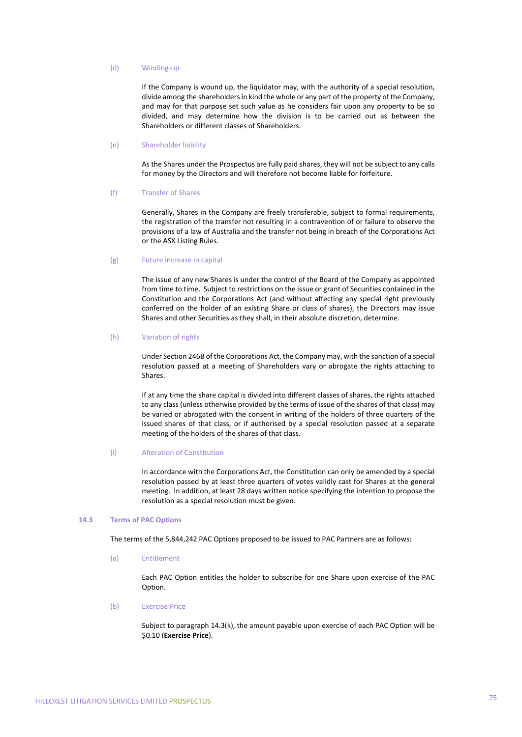# (d) Winding‐up

If the Company is wound up, the liquidator may, with the authority of a special resolution, divide among the shareholders in kind the whole or any part of the property of the Company, and may for that purpose set such value as he considers fair upon any property to be so divided, and may determine how the division is to be carried out as between the Shareholders or different classes of Shareholders.

#### (e) Shareholder liability

As the Shares under the Prospectus are fully paid shares, they will not be subject to any calls for money by the Directors and will therefore not become liable for forfeiture.

#### (f) Transfer of Shares

Generally, Shares in the Company are freely transferable, subject to formal requirements, the registration of the transfer not resulting in a contravention of or failure to observe the provisions of a law of Australia and the transfer not being in breach of the Corporations Act or the ASX Listing Rules.

#### (g) Future increase in capital

The issue of any new Shares is under the control of the Board of the Company as appointed from time to time. Subject to restrictions on the issue or grant of Securities contained in the Constitution and the Corporations Act (and without affecting any special right previously conferred on the holder of an existing Share or class of shares), the Directors may issue Shares and other Securities as they shall, in their absolute discretion, determine.

# (h) Variation of rights

Under Section 246B of the Corporations Act, the Company may, with the sanction of a special resolution passed at a meeting of Shareholders vary or abrogate the rights attaching to Shares.

If at any time the share capital is divided into different classes of shares, the rights attached to any class (unless otherwise provided by the terms of issue of the shares of that class) may be varied or abrogated with the consent in writing of the holders of three quarters of the issued shares of that class, or if authorised by a special resolution passed at a separate meeting of the holders of the shares of that class.

## (i) Alteration of Constitution

In accordance with the Corporations Act, the Constitution can only be amended by a special resolution passed by at least three quarters of votes validly cast for Shares at the general meeting. In addition, at least 28 days written notice specifying the intention to propose the resolution as a special resolution must be given.

## **14.3 Terms of PAC Options**

The terms of the 5,844,242 PAC Options proposed to be issued to PAC Partners are as follows:

# (a) Entitlement

Each PAC Option entitles the holder to subscribe for one Share upon exercise of the PAC Option.

# (b) Exercise Price

Subject to paragraph 14.3(k), the amount payable upon exercise of each PAC Option will be \$0.10 (**Exercise Price**).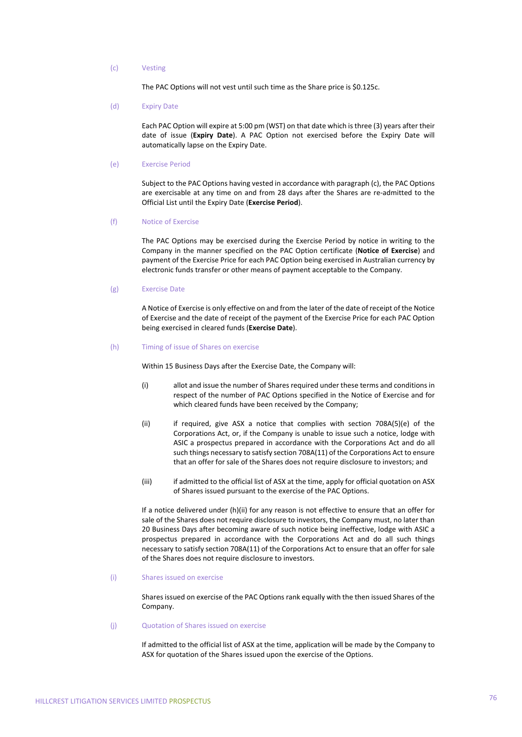# (c) Vesting

The PAC Options will not vest until such time as the Share price is \$0.125c.

(d) Expiry Date

Each PAC Option will expire at 5:00 pm (WST) on that date which is three (3) years after their date of issue (**Expiry Date**). A PAC Option not exercised before the Expiry Date will automatically lapse on the Expiry Date.

#### (e) Exercise Period

Subject to the PAC Options having vested in accordance with paragraph (c), the PAC Options are exercisable at any time on and from 28 days after the Shares are re‐admitted to the Official List until the Expiry Date (**Exercise Period**).

(f) Notice of Exercise

The PAC Options may be exercised during the Exercise Period by notice in writing to the Company in the manner specified on the PAC Option certificate (**Notice of Exercise**) and payment of the Exercise Price for each PAC Option being exercised in Australian currency by electronic funds transfer or other means of payment acceptable to the Company.

## (g) Exercise Date

A Notice of Exercise is only effective on and from the later of the date of receipt of the Notice of Exercise and the date of receipt of the payment of the Exercise Price for each PAC Option being exercised in cleared funds (**Exercise Date**).

### (h) Timing of issue of Shares on exercise

Within 15 Business Days after the Exercise Date, the Company will:

- (i) allot and issue the number of Shares required under these terms and conditions in respect of the number of PAC Options specified in the Notice of Exercise and for which cleared funds have been received by the Company;
- (ii) if required, give ASX a notice that complies with section 708A(5)(e) of the Corporations Act, or, if the Company is unable to issue such a notice, lodge with ASIC a prospectus prepared in accordance with the Corporations Act and do all such things necessary to satisfy section 708A(11) of the Corporations Act to ensure that an offer for sale of the Shares does not require disclosure to investors; and
- (iii) if admitted to the official list of ASX at the time, apply for official quotation on ASX of Shares issued pursuant to the exercise of the PAC Options.

If a notice delivered under (h)(ii) for any reason is not effective to ensure that an offer for sale of the Shares does not require disclosure to investors, the Company must, no later than 20 Business Days after becoming aware of such notice being ineffective, lodge with ASIC a prospectus prepared in accordance with the Corporations Act and do all such things necessary to satisfy section 708A(11) of the Corporations Act to ensure that an offer for sale of the Shares does not require disclosure to investors.

(i) Shares issued on exercise

Shares issued on exercise of the PAC Options rank equally with the then issued Shares of the Company.

# (j) Quotation of Shares issued on exercise

If admitted to the official list of ASX at the time, application will be made by the Company to ASX for quotation of the Shares issued upon the exercise of the Options.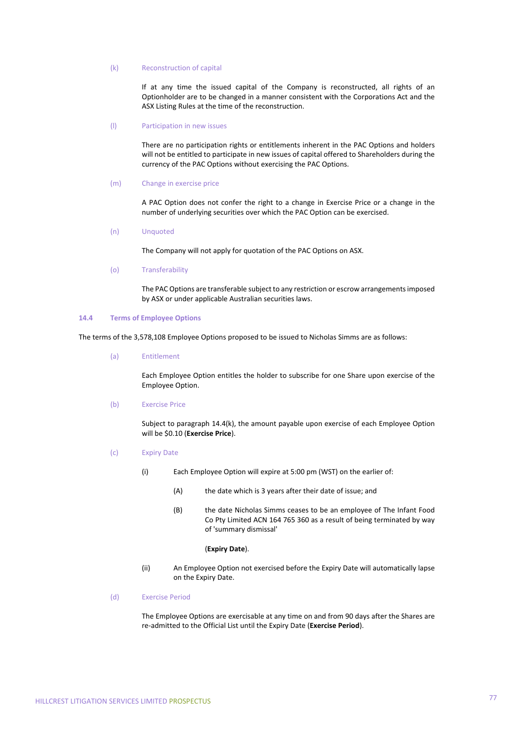# (k) Reconstruction of capital

If at any time the issued capital of the Company is reconstructed, all rights of an Optionholder are to be changed in a manner consistent with the Corporations Act and the ASX Listing Rules at the time of the reconstruction.

#### (l) Participation in new issues

There are no participation rights or entitlements inherent in the PAC Options and holders will not be entitled to participate in new issues of capital offered to Shareholders during the currency of the PAC Options without exercising the PAC Options.

#### (m) Change in exercise price

A PAC Option does not confer the right to a change in Exercise Price or a change in the number of underlying securities over which the PAC Option can be exercised.

### (n) Unquoted

The Company will not apply for quotation of the PAC Options on ASX.

### (o) Transferability

The PAC Options are transferable subject to any restriction or escrow arrangementsimposed by ASX or under applicable Australian securities laws.

# **14.4 Terms of Employee Options**

The terms of the 3,578,108 Employee Options proposed to be issued to Nicholas Simms are as follows:

# (a) Entitlement

Each Employee Option entitles the holder to subscribe for one Share upon exercise of the Employee Option.

#### (b) Exercise Price

Subject to paragraph 14.4(k), the amount payable upon exercise of each Employee Option will be \$0.10 (**Exercise Price**).

- (c) Expiry Date
	- (i) Each Employee Option will expire at 5:00 pm (WST) on the earlier of:
		- (A) the date which is 3 years after their date of issue; and
		- (B) the date Nicholas Simms ceases to be an employee of The Infant Food Co Pty Limited ACN 164 765 360 as a result of being terminated by way of 'summary dismissal'

#### (**Expiry Date**).

- (ii) An Employee Option not exercised before the Expiry Date will automatically lapse on the Expiry Date.
- (d) Exercise Period

The Employee Options are exercisable at any time on and from 90 days after the Shares are re‐admitted to the Official List until the Expiry Date (**Exercise Period**).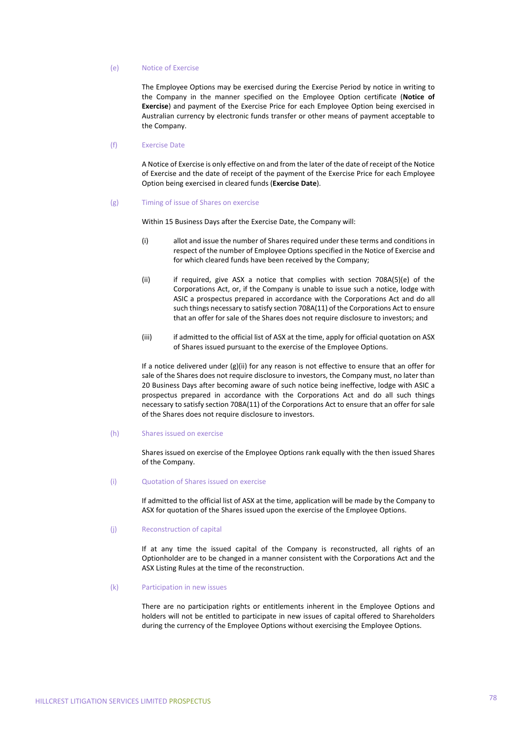## (e) Notice of Exercise

The Employee Options may be exercised during the Exercise Period by notice in writing to the Company in the manner specified on the Employee Option certificate (**Notice of Exercise**) and payment of the Exercise Price for each Employee Option being exercised in Australian currency by electronic funds transfer or other means of payment acceptable to the Company.

#### (f) Exercise Date

A Notice of Exercise is only effective on and from the later of the date of receipt of the Notice of Exercise and the date of receipt of the payment of the Exercise Price for each Employee Option being exercised in cleared funds (**Exercise Date**).

(g) Timing of issue of Shares on exercise

Within 15 Business Days after the Exercise Date, the Company will:

- (i) allot and issue the number of Shares required under these terms and conditions in respect of the number of Employee Options specified in the Notice of Exercise and for which cleared funds have been received by the Company;
- (ii) if required, give ASX a notice that complies with section 708A(5)(e) of the Corporations Act, or, if the Company is unable to issue such a notice, lodge with ASIC a prospectus prepared in accordance with the Corporations Act and do all such things necessary to satisfy section 708A(11) of the Corporations Act to ensure that an offer for sale of the Shares does not require disclosure to investors; and
- (iii) if admitted to the official list of ASX at the time, apply for official quotation on ASX of Shares issued pursuant to the exercise of the Employee Options.

If a notice delivered under  $(g)(ii)$  for any reason is not effective to ensure that an offer for sale of the Shares does not require disclosure to investors, the Company must, no later than 20 Business Days after becoming aware of such notice being ineffective, lodge with ASIC a prospectus prepared in accordance with the Corporations Act and do all such things necessary to satisfy section 708A(11) of the Corporations Act to ensure that an offer for sale of the Shares does not require disclosure to investors.

(h) Shares issued on exercise

Shares issued on exercise of the Employee Options rank equally with the then issued Shares of the Company.

### (i) Quotation of Shares issued on exercise

If admitted to the official list of ASX at the time, application will be made by the Company to ASX for quotation of the Shares issued upon the exercise of the Employee Options.

#### (j) Reconstruction of capital

If at any time the issued capital of the Company is reconstructed, all rights of an Optionholder are to be changed in a manner consistent with the Corporations Act and the ASX Listing Rules at the time of the reconstruction.

## (k) Participation in new issues

There are no participation rights or entitlements inherent in the Employee Options and holders will not be entitled to participate in new issues of capital offered to Shareholders during the currency of the Employee Options without exercising the Employee Options.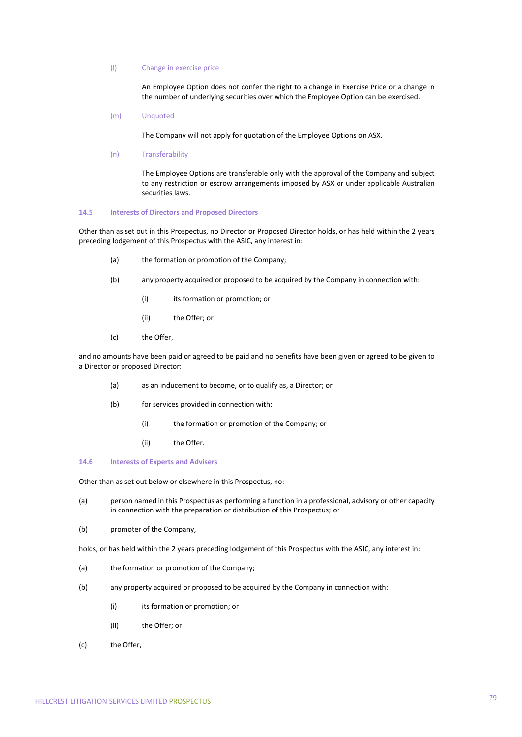# (l) Change in exercise price

An Employee Option does not confer the right to a change in Exercise Price or a change in the number of underlying securities over which the Employee Option can be exercised.

(m) Unquoted

The Company will not apply for quotation of the Employee Options on ASX.

(n) Transferability

The Employee Options are transferable only with the approval of the Company and subject to any restriction or escrow arrangements imposed by ASX or under applicable Australian securities laws.

#### **14.5 Interests of Directors and Proposed Directors**

Other than as set out in this Prospectus, no Director or Proposed Director holds, or has held within the 2 years preceding lodgement of this Prospectus with the ASIC, any interest in:

- (a) the formation or promotion of the Company;
- (b) any property acquired or proposed to be acquired by the Company in connection with:
	- (i) its formation or promotion; or
	- (ii) the Offer; or
- (c) the Offer,

and no amounts have been paid or agreed to be paid and no benefits have been given or agreed to be given to a Director or proposed Director:

- (a) as an inducement to become, or to qualify as, a Director; or
- (b) for services provided in connection with:
	- (i) the formation or promotion of the Company; or
	- (ii) the Offer.

# **14.6 Interests of Experts and Advisers**

Other than as set out below or elsewhere in this Prospectus, no:

- (a) person named in this Prospectus as performing a function in a professional, advisory or other capacity in connection with the preparation or distribution of this Prospectus; or
- (b) promoter of the Company,

holds, or has held within the 2 years preceding lodgement of this Prospectus with the ASIC, any interest in:

- (a) the formation or promotion of the Company;
- (b) any property acquired or proposed to be acquired by the Company in connection with:
	- (i) its formation or promotion; or
	- (ii) the Offer; or
- (c) the Offer,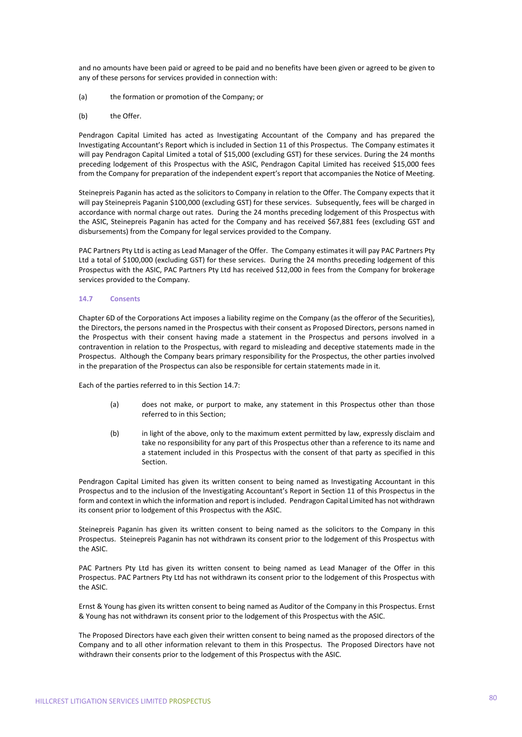and no amounts have been paid or agreed to be paid and no benefits have been given or agreed to be given to any of these persons for services provided in connection with:

- (a) the formation or promotion of the Company; or
- (b) the Offer.

Pendragon Capital Limited has acted as Investigating Accountant of the Company and has prepared the Investigating Accountant's Report which is included in Section 11 of this Prospectus. The Company estimates it will pay Pendragon Capital Limited a total of \$15,000 (excluding GST) for these services. During the 24 months preceding lodgement of this Prospectus with the ASIC, Pendragon Capital Limited has received \$15,000 fees from the Company for preparation of the independent expert's report that accompanies the Notice of Meeting.

Steinepreis Paganin has acted as the solicitors to Company in relation to the Offer. The Company expects that it will pay Steinepreis Paganin \$100,000 (excluding GST) for these services. Subsequently, fees will be charged in accordance with normal charge out rates. During the 24 months preceding lodgement of this Prospectus with the ASIC, Steinepreis Paganin has acted for the Company and has received \$67,881 fees (excluding GST and disbursements) from the Company for legal services provided to the Company.

PAC Partners Pty Ltd is acting as Lead Manager of the Offer. The Company estimates it will pay PAC Partners Pty Ltd a total of \$100,000 (excluding GST) for these services. During the 24 months preceding lodgement of this Prospectus with the ASIC, PAC Partners Pty Ltd has received \$12,000 in fees from the Company for brokerage services provided to the Company.

# **14.7 Consents**

Chapter 6D of the Corporations Act imposes a liability regime on the Company (as the offeror of the Securities), the Directors, the persons named in the Prospectus with their consent as Proposed Directors, persons named in the Prospectus with their consent having made a statement in the Prospectus and persons involved in a contravention in relation to the Prospectus, with regard to misleading and deceptive statements made in the Prospectus. Although the Company bears primary responsibility for the Prospectus, the other parties involved in the preparation of the Prospectus can also be responsible for certain statements made in it.

Each of the parties referred to in this Section 14.7:

- (a) does not make, or purport to make, any statement in this Prospectus other than those referred to in this Section;
- (b) in light of the above, only to the maximum extent permitted by law, expressly disclaim and take no responsibility for any part of this Prospectus other than a reference to its name and a statement included in this Prospectus with the consent of that party as specified in this Section.

Pendragon Capital Limited has given its written consent to being named as Investigating Accountant in this Prospectus and to the inclusion of the Investigating Accountant's Report in Section 11 of this Prospectus in the form and context in which the information and report is included. Pendragon Capital Limited has not withdrawn its consent prior to lodgement of this Prospectus with the ASIC.

Steinepreis Paganin has given its written consent to being named as the solicitors to the Company in this Prospectus. Steinepreis Paganin has not withdrawn its consent prior to the lodgement of this Prospectus with the ASIC.

PAC Partners Pty Ltd has given its written consent to being named as Lead Manager of the Offer in this Prospectus. PAC Partners Pty Ltd has not withdrawn its consent prior to the lodgement of this Prospectus with the ASIC.

Ernst & Young has given its written consent to being named as Auditor of the Company in this Prospectus. Ernst & Young has not withdrawn its consent prior to the lodgement of this Prospectus with the ASIC.

The Proposed Directors have each given their written consent to being named as the proposed directors of the Company and to all other information relevant to them in this Prospectus. The Proposed Directors have not withdrawn their consents prior to the lodgement of this Prospectus with the ASIC.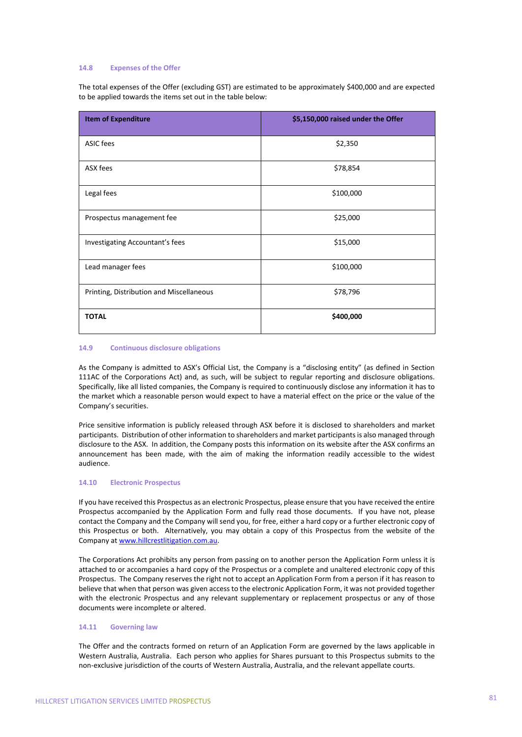## **14.8 Expenses of the Offer**

The total expenses of the Offer (excluding GST) are estimated to be approximately \$400,000 and are expected to be applied towards the items set out in the table below:

| <b>Item of Expenditure</b>               | \$5,150,000 raised under the Offer |
|------------------------------------------|------------------------------------|
| ASIC fees                                | \$2,350                            |
| ASX fees                                 | \$78,854                           |
| Legal fees                               | \$100,000                          |
| Prospectus management fee                | \$25,000                           |
| Investigating Accountant's fees          | \$15,000                           |
| Lead manager fees                        | \$100,000                          |
| Printing, Distribution and Miscellaneous | \$78,796                           |
| <b>TOTAL</b>                             | \$400,000                          |

# **14.9 Continuous disclosure obligations**

As the Company is admitted to ASX's Official List, the Company is a "disclosing entity" (as defined in Section 111AC of the Corporations Act) and, as such, will be subject to regular reporting and disclosure obligations. Specifically, like all listed companies, the Company is required to continuously disclose any information it has to the market which a reasonable person would expect to have a material effect on the price or the value of the Company's securities.

Price sensitive information is publicly released through ASX before it is disclosed to shareholders and market participants. Distribution of other information to shareholders and market participants is also managed through disclosure to the ASX. In addition, the Company posts this information on its website after the ASX confirms an announcement has been made, with the aim of making the information readily accessible to the widest audience.

# **14.10 Electronic Prospectus**

If you have received this Prospectus as an electronic Prospectus, please ensure that you have received the entire Prospectus accompanied by the Application Form and fully read those documents. If you have not, please contact the Company and the Company will send you, for free, either a hard copy or a further electronic copy of this Prospectus or both. Alternatively, you may obtain a copy of this Prospectus from the website of the Company at www.hillcrestlitigation.com.au.

The Corporations Act prohibits any person from passing on to another person the Application Form unless it is attached to or accompanies a hard copy of the Prospectus or a complete and unaltered electronic copy of this Prospectus. The Company reserves the right not to accept an Application Form from a person if it has reason to believe that when that person was given access to the electronic Application Form, it was not provided together with the electronic Prospectus and any relevant supplementary or replacement prospectus or any of those documents were incomplete or altered.

# **14.11 Governing law**

The Offer and the contracts formed on return of an Application Form are governed by the laws applicable in Western Australia, Australia. Each person who applies for Shares pursuant to this Prospectus submits to the non‐exclusive jurisdiction of the courts of Western Australia, Australia, and the relevant appellate courts.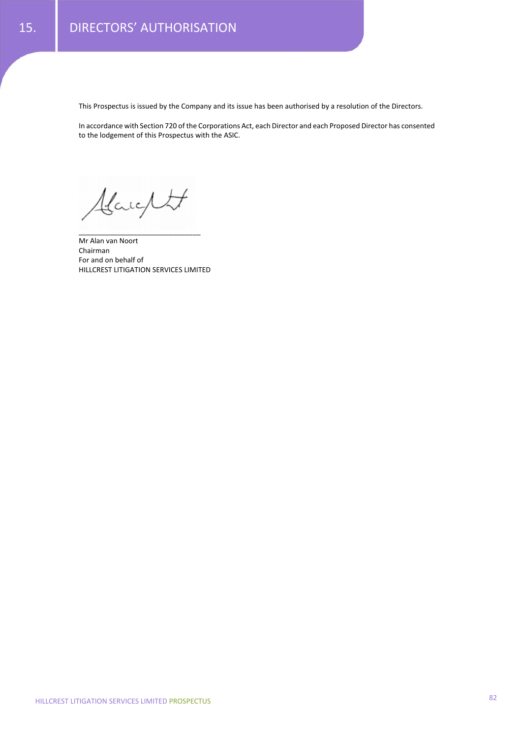This Prospectus is issued by the Company and its issue has been authorised by a resolution of the Directors.

In accordance with Section 720 of the Corporations Act, each Director and each Proposed Director has consented to the lodgement of this Prospectus with the ASIC.

Alanglett

Mr Alan van Noort Chairman For and on behalf of HILLCREST LITIGATION SERVICES LIMITED

\_\_\_\_\_\_\_\_\_\_\_\_\_\_\_\_\_\_\_\_\_\_\_\_\_\_\_\_\_\_\_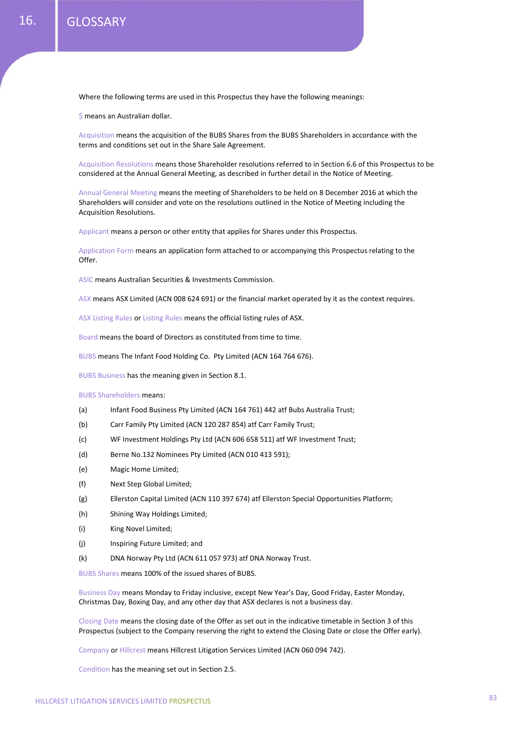Where the following terms are used in this Prospectus they have the following meanings:

\$ means an Australian dollar.

Acquisition means the acquisition of the BUBS Shares from the BUBS Shareholders in accordance with the terms and conditions set out in the Share Sale Agreement.

Acquisition Resolutions means those Shareholder resolutions referred to in Section 6.6 of this Prospectus to be considered at the Annual General Meeting, as described in further detail in the Notice of Meeting.

Annual General Meeting means the meeting of Shareholders to be held on 8 December 2016 at which the Shareholders will consider and vote on the resolutions outlined in the Notice of Meeting including the Acquisition Resolutions.

Applicant means a person or other entity that applies for Shares under this Prospectus.

Application Form means an application form attached to or accompanying this Prospectus relating to the Offer.

ASIC means Australian Securities & Investments Commission.

ASX means ASX Limited (ACN 008 624 691) or the financial market operated by it as the context requires.

ASX Listing Rules or Listing Rules means the official listing rules of ASX.

Board means the board of Directors as constituted from time to time.

BUBS means The Infant Food Holding Co. Pty Limited (ACN 164 764 676).

BUBS Business has the meaning given in Section 8.1.

### BUBS Shareholders means:

- (a) Infant Food Business Pty Limited (ACN 164 761) 442 atf Bubs Australia Trust;
- (b) Carr Family Pty Limited (ACN 120 287 854) atf Carr Family Trust;
- (c) WF Investment Holdings Pty Ltd (ACN 606 658 511) atf WF Investment Trust;
- (d) Berne No.132 Nominees Pty Limited (ACN 010 413 591);
- (e) Magic Home Limited;
- (f) Next Step Global Limited;
- (g) Ellerston Capital Limited (ACN 110 397 674) atf Ellerston Special Opportunities Platform;
- (h) Shining Way Holdings Limited;
- (i) King Novel Limited;
- (j) Inspiring Future Limited; and
- (k) DNA Norway Pty Ltd (ACN 611 057 973) atf DNA Norway Trust.

BUBS Shares means 100% of the issued shares of BUBS.

Business Day means Monday to Friday inclusive, except New Year's Day, Good Friday, Easter Monday, Christmas Day, Boxing Day, and any other day that ASX declares is not a business day.

Closing Date means the closing date of the Offer as set out in the indicative timetable in Section 3 of this Prospectus (subject to the Company reserving the right to extend the Closing Date or close the Offer early).

Company or Hillcrest means Hillcrest Litigation Services Limited (ACN 060 094 742).

Condition has the meaning set out in Section 2.5.